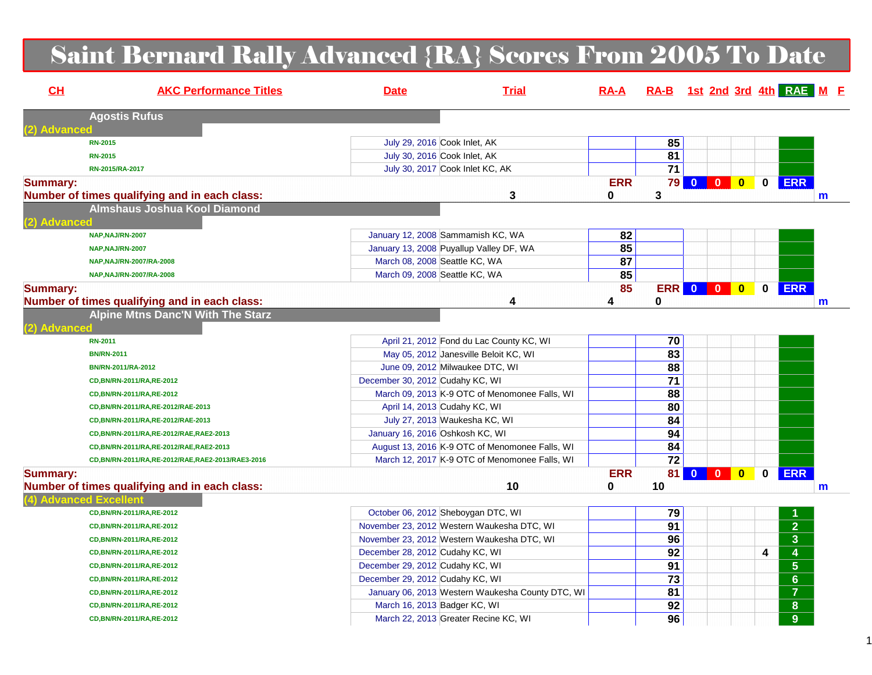# Saint Bernard Rally Advanced {RA} Scores From 2005 To Date

| CH                           | <b>AKC Performance Titles</b>                    | <b>Date</b>                                | <b>Trial</b>                                     | $RA-A$     | RA-B 1st 2nd 3rd 4th RAE M E |                 |                         |             |                         |   |
|------------------------------|--------------------------------------------------|--------------------------------------------|--------------------------------------------------|------------|------------------------------|-----------------|-------------------------|-------------|-------------------------|---|
|                              | <b>Agostis Rufus</b>                             |                                            |                                                  |            |                              |                 |                         |             |                         |   |
| <b>Advanced</b>              | <b>RN-2015</b>                                   | July 29, 2016 Cook Inlet, AK               |                                                  |            | 85                           |                 |                         |             |                         |   |
|                              | <b>RN-2015</b>                                   | July 30, 2016 Cook Inlet, AK               |                                                  |            | 81                           |                 |                         |             |                         |   |
|                              | RN-2015/RA-2017                                  | July 30, 2017 Cook Inlet KC, AK            |                                                  |            | 71                           |                 |                         |             |                         |   |
| <b>Summary:</b>              |                                                  |                                            |                                                  | <b>ERR</b> |                              | <b>79 0 0 0</b> | $\overline{\mathbf{0}}$ |             | 0 ERR                   |   |
|                              | Number of times qualifying and in each class:    |                                            | 3                                                | 0          | 3                            |                 |                         |             |                         | m |
|                              | Almshaus Joshua Kool Diamond                     |                                            |                                                  |            |                              |                 |                         |             |                         |   |
| <b>Advanced</b>              |                                                  |                                            |                                                  |            |                              |                 |                         |             |                         |   |
|                              | NAP, NAJ/RN-2007                                 | January 12, 2008 Sammamish KC, WA          |                                                  | 82         |                              |                 |                         |             |                         |   |
|                              | NAP, NAJ/RN-2007                                 | January 13, 2008 Puyallup Valley DF, WA    |                                                  | 85         |                              |                 |                         |             |                         |   |
|                              | NAP, NAJ/RN-2007/RA-2008                         | March 08, 2008 Seattle KC, WA              |                                                  | 87         |                              |                 |                         |             |                         |   |
|                              | NAP, NAJ/RN-2007/RA-2008                         | March 09, 2008 Seattle KC, WA              |                                                  | 85         |                              |                 |                         |             |                         |   |
| <b>Summary:</b>              |                                                  |                                            |                                                  | 85         |                              | ERR 0 0         | $\mathbf{0}$            | 0           | <b>ERR</b>              |   |
|                              | Number of times qualifying and in each class:    |                                            | 4                                                | 4          | 0                            |                 |                         |             |                         | m |
|                              | <b>Alpine Mtns Danc'N With The Starz</b>         |                                            |                                                  |            |                              |                 |                         |             |                         |   |
| <b>Advanced</b>              |                                                  |                                            |                                                  |            |                              |                 |                         |             |                         |   |
|                              | <b>RN-2011</b>                                   |                                            | April 21, 2012 Fond du Lac County KC, WI         |            | 70                           |                 |                         |             |                         |   |
|                              | <b>BN/RN-2011</b>                                | May 05, 2012 Janesville Beloit KC, WI      |                                                  |            | $\overline{83}$              |                 |                         |             |                         |   |
|                              | BN/RN-2011/RA-2012                               | June 09, 2012 Milwaukee DTC, WI            |                                                  |            | 88                           |                 |                         |             |                         |   |
|                              | CD, BN/RN-2011/RA, RE-2012                       | December 30, 2012 Cudahy KC, WI            |                                                  |            | $\overline{71}$              |                 |                         |             |                         |   |
|                              | CD, BN/RN-2011/RA, RE-2012                       |                                            | March 09, 2013 K-9 OTC of Menomonee Falls, WI    |            | 88                           |                 |                         |             |                         |   |
|                              | CD, BN/RN-2011/RA, RE-2012/RAE-2013              | April 14, 2013 Cudahy KC, WI               |                                                  |            | 80                           |                 |                         |             |                         |   |
|                              | CD, BN/RN-2011/RA, RE-2012/RAE-2013              | July 27, 2013 Waukesha KC, WI              |                                                  |            | 84                           |                 |                         |             |                         |   |
|                              | CD, BN/RN-2011/RA, RE-2012/RAE, RAE2-2013        | January 16, 2016 Oshkosh KC, WI            |                                                  |            | 94                           |                 |                         |             |                         |   |
|                              | CD, BN/RN-2011/RA, RE-2012/RAE, RAE2-2013        |                                            | August 13, 2016 K-9 OTC of Menomonee Falls, WI   |            | 84                           |                 |                         |             |                         |   |
|                              | CD,BN/RN-2011/RA,RE-2012/RAE,RAE2-2013/RAE3-2016 |                                            | March 12, 2017 K-9 OTC of Menomonee Falls, WI    |            | $\overline{72}$              |                 |                         |             |                         |   |
| <b>Summary:</b>              |                                                  |                                            |                                                  | <b>ERR</b> | 81                           |                 |                         | $\mathbf 0$ | <b>ERR</b>              |   |
|                              | Number of times qualifying and in each class:    |                                            | 10                                               | 0          | 10                           |                 |                         |             |                         | m |
| <b>4) Advanced Excellent</b> |                                                  |                                            |                                                  |            |                              |                 |                         |             |                         |   |
|                              | CD, BN/RN-2011/RA, RE-2012                       | October 06, 2012 Sheboygan DTC, WI         |                                                  |            | 79                           |                 |                         |             |                         |   |
|                              | CD, BN/RN-2011/RA, RE-2012                       | November 23, 2012 Western Waukesha DTC, WI |                                                  |            | $\overline{91}$              |                 |                         |             | $\overline{2}$          |   |
|                              | CD, BN/RN-2011/RA, RE-2012                       | November 23, 2012 Western Waukesha DTC, WI |                                                  |            | 96                           |                 |                         |             | $\overline{\mathbf{3}}$ |   |
|                              | CD, BN/RN-2011/RA, RE-2012                       | December 28, 2012 Cudahy KC, WI            |                                                  |            | 92                           |                 |                         | 4           | $\overline{\mathbf{4}}$ |   |
|                              | CD, BN/RN-2011/RA, RE-2012                       | December 29, 2012 Cudahy KC, WI            |                                                  |            | 91                           |                 |                         |             | 5 <sub>5</sub>          |   |
|                              | CD, BN/RN-2011/RA, RE-2012                       | December 29, 2012 Cudahy KC, WI            |                                                  |            | 73                           |                 |                         |             | $\overline{6}$          |   |
|                              | CD, BN/RN-2011/RA, RE-2012                       |                                            | January 06, 2013 Western Waukesha County DTC, WI |            | 81                           |                 |                         |             | $\overline{\mathbf{7}}$ |   |
|                              | CD, BN/RN-2011/RA, RE-2012                       | March 16, 2013 Badger KC, WI               |                                                  |            | 92                           |                 |                         |             | $\bf{8}$                |   |
|                              | CD, BN/RN-2011/RA, RE-2012                       | March 22, 2013 Greater Recine KC, WI       |                                                  |            | 96                           |                 |                         |             | 9                       |   |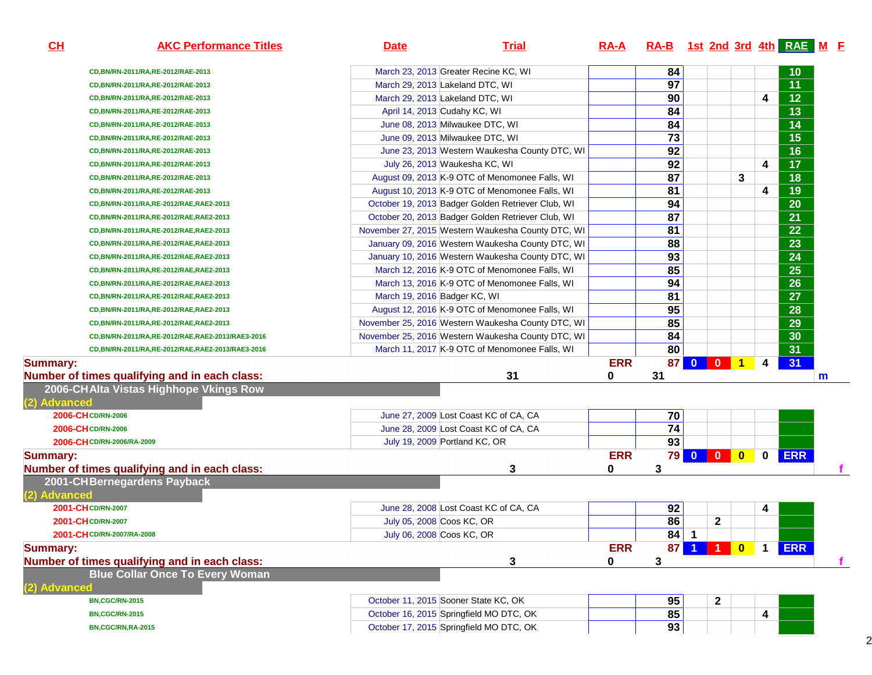| CH              | <b>AKC Performance Titles</b>                                                           | <b>Date</b>                  | <b>Trial</b>                                      | $RA-A$     | RA-B 1st 2nd 3rd 4th RAE M E |                         |                |                 |              |                 |   |
|-----------------|-----------------------------------------------------------------------------------------|------------------------------|---------------------------------------------------|------------|------------------------------|-------------------------|----------------|-----------------|--------------|-----------------|---|
|                 | CD, BN/RN-2011/RA, RE-2012/RAE-2013                                                     |                              | March 23, 2013 Greater Recine KC, WI              |            | 84                           |                         |                |                 |              | 10              |   |
|                 | CD, BN/RN-2011/RA, RE-2012/RAE-2013                                                     |                              | March 29, 2013 Lakeland DTC, WI                   |            | $\overline{97}$              |                         |                |                 |              | $\overline{11}$ |   |
|                 | CD, BN/RN-2011/RA, RE-2012/RAE-2013                                                     |                              | March 29, 2013 Lakeland DTC, WI                   |            | 90                           |                         |                |                 | 4            | $\overline{12}$ |   |
|                 | CD, BN/RN-2011/RA, RE-2012/RAE-2013                                                     |                              | April 14, 2013 Cudahy KC, WI                      |            | 84                           |                         |                |                 |              | $\overline{13}$ |   |
|                 | CD, BN/RN-2011/RA, RE-2012/RAE-2013                                                     |                              | June 08, 2013 Milwaukee DTC, WI                   |            | 84                           |                         |                |                 |              | $\overline{14}$ |   |
|                 | CD, BN/RN-2011/RA, RE-2012/RAE-2013                                                     |                              | June 09, 2013 Milwaukee DTC, WI                   |            | $\overline{73}$              |                         |                |                 |              | 15              |   |
|                 | CD, BN/RN-2011/RA, RE-2012/RAE-2013                                                     |                              | June 23, 2013 Western Waukesha County DTC, WI     |            | $\overline{92}$              |                         |                |                 |              | 16              |   |
|                 | CD, BN/RN-2011/RA, RE-2012/RAE-2013                                                     |                              | July 26, 2013 Waukesha KC, WI                     |            | 92                           |                         |                |                 | 4            | $\overline{17}$ |   |
|                 | CD, BN/RN-2011/RA, RE-2012/RAE-2013                                                     |                              | August 09, 2013 K-9 OTC of Menomonee Falls, WI    |            | $\overline{87}$              |                         |                | 3               |              | $\overline{18}$ |   |
|                 | CD, BN/RN-2011/RA, RE-2012/RAE-2013                                                     |                              | August 10, 2013 K-9 OTC of Menomonee Falls, WI    |            | 81                           |                         |                |                 | 4            | $\overline{19}$ |   |
|                 | CD, BN/RN-2011/RA, RE-2012/RAE, RAE2-2013                                               |                              | October 19, 2013 Badger Golden Retriever Club, WI |            | 94                           |                         |                |                 |              | $\overline{20}$ |   |
|                 | CD, BN/RN-2011/RA, RE-2012/RAE, RAE2-2013                                               |                              | October 20, 2013 Badger Golden Retriever Club, WI |            | 87                           |                         |                |                 |              | $\overline{21}$ |   |
|                 | CD, BN/RN-2011/RA, RE-2012/RAE, RAE2-2013                                               |                              | November 27, 2015 Western Waukesha County DTC, WI |            | $\overline{81}$              |                         |                |                 |              | $\overline{22}$ |   |
|                 | CD, BN/RN-2011/RA, RE-2012/RAE, RAE2-2013                                               |                              | January 09, 2016 Western Waukesha County DTC, WI  |            | 88                           |                         |                |                 |              | $\overline{23}$ |   |
|                 | CD,BN/RN-2011/RA,RE-2012/RAE,RAE2-2013                                                  |                              | January 10, 2016 Western Waukesha County DTC, WI  |            | $\overline{93}$              |                         |                |                 |              | $\overline{24}$ |   |
|                 | CD,BN/RN-2011/RA,RE-2012/RAE,RAE2-2013                                                  |                              | March 12, 2016 K-9 OTC of Menomonee Falls, WI     |            | 85                           |                         |                |                 |              | $\overline{25}$ |   |
|                 | CD, BN/RN-2011/RA, RE-2012/RAE, RAE2-2013                                               |                              | March 13, 2016 K-9 OTC of Menomonee Falls, WI     |            | 94                           |                         |                |                 |              | $\overline{26}$ |   |
|                 | CD, BN/RN-2011/RA, RE-2012/RAE, RAE2-2013                                               | March 19, 2016 Badger KC, WI |                                                   |            | 81                           |                         |                |                 |              | $\overline{27}$ |   |
|                 | CD, BN/RN-2011/RA, RE-2012/RAE, RAE2-2013                                               |                              | August 12, 2016 K-9 OTC of Menomonee Falls, WI    |            | 95                           |                         |                |                 |              | $\overline{28}$ |   |
|                 | CD, BN/RN-2011/RA, RE-2012/RAE, RAE2-2013                                               |                              | November 25, 2016 Western Waukesha County DTC, WI |            | 85                           |                         |                |                 |              | $\overline{29}$ |   |
|                 | CD, BN/RN-2011/RA, RE-2012/RAE, RAE2-2013/RAE3-2016                                     |                              | November 25, 2016 Western Waukesha County DTC, WI |            | 84                           |                         |                |                 |              | 30              |   |
|                 | CD,BN/RN-2011/RA,RE-2012/RAE,RAE2-2013/RAE3-2016                                        |                              | March 11, 2017 K-9 OTC of Menomonee Falls, WI     |            | 80                           |                         |                |                 |              | $\overline{31}$ |   |
| <b>Summary:</b> |                                                                                         |                              |                                                   | <b>ERR</b> | 87 <sup>1</sup>              | $\overline{\mathbf{0}}$ | $\overline{0}$ | $\overline{11}$ | 4            | 31              |   |
|                 | Number of times qualifying and in each class:<br>2006-CHAlta Vistas Highhope Vkings Row |                              | 31                                                | $\bf{0}$   | 31                           |                         |                |                 |              |                 | m |
| (2) Advanced    |                                                                                         |                              |                                                   |            |                              |                         |                |                 |              |                 |   |
|                 | 2006-CHCD/RN-2006                                                                       |                              | June 27, 2009 Lost Coast KC of CA, CA             |            | 70                           |                         |                |                 |              |                 |   |
|                 | 2006-CHCD/RN-2006                                                                       |                              | June 28, 2009 Lost Coast KC of CA, CA             |            | 74                           |                         |                |                 |              |                 |   |
|                 | 2006-CHCD/RN-2006/RA-2009                                                               |                              | July 19, 2009 Portland KC, OR                     |            | 93                           |                         |                |                 |              |                 |   |
| <b>Summary:</b> |                                                                                         |                              |                                                   | <b>ERR</b> |                              |                         | 79 0 0 0       |                 | 0            | <b>ERR</b>      |   |
|                 | Number of times qualifying and in each class:                                           |                              | 3                                                 | 0          | 3                            |                         |                |                 |              |                 |   |
| (2) Advanced    | 2001-CHBernegardens Payback                                                             |                              |                                                   |            |                              |                         |                |                 |              |                 |   |
|                 | 2001-CHCD/RN-2007                                                                       |                              | June 28, 2008 Lost Coast KC of CA, CA             |            | 92                           |                         |                |                 | 4            |                 |   |
|                 | 2001-CHCD/RN-2007                                                                       | July 05, 2008 Coos KC, OR    |                                                   |            | 86                           |                         | $\overline{2}$ |                 |              |                 |   |
|                 | 2001-CH CD/RN-2007/RA-2008                                                              | July 06, 2008 Coos KC, OR    |                                                   |            | 84                           | 1                       |                |                 |              |                 |   |
| <b>Summary:</b> |                                                                                         |                              |                                                   | <b>ERR</b> | 87                           | $\overline{1}$          | $\mathbf{1}$   | $\mathbf{0}$    | $\mathbf{1}$ | <b>ERR</b>      |   |

**Number of times qualifying and in each class:**

**Blue Collar Once To Every Woman (2) Advanced**

| <b>BN.CGC/RN-2015</b>    | October 11, 2015 Sooner State KC, OK    | 95 |  |  |  |
|--------------------------|-----------------------------------------|----|--|--|--|
| <b>BN,CGC/RN-2015</b>    | October 16, 2015 Springfield MO DTC, OK | 85 |  |  |  |
| <b>BN,CGC/RN,RA-2015</b> | October 17, 2015 Springfield MO DTC, OK | 93 |  |  |  |

<u>**3 1 3 1 1 1 3 1 1 1 3 1 1 1 1 3 1 1 1 1 1**</u>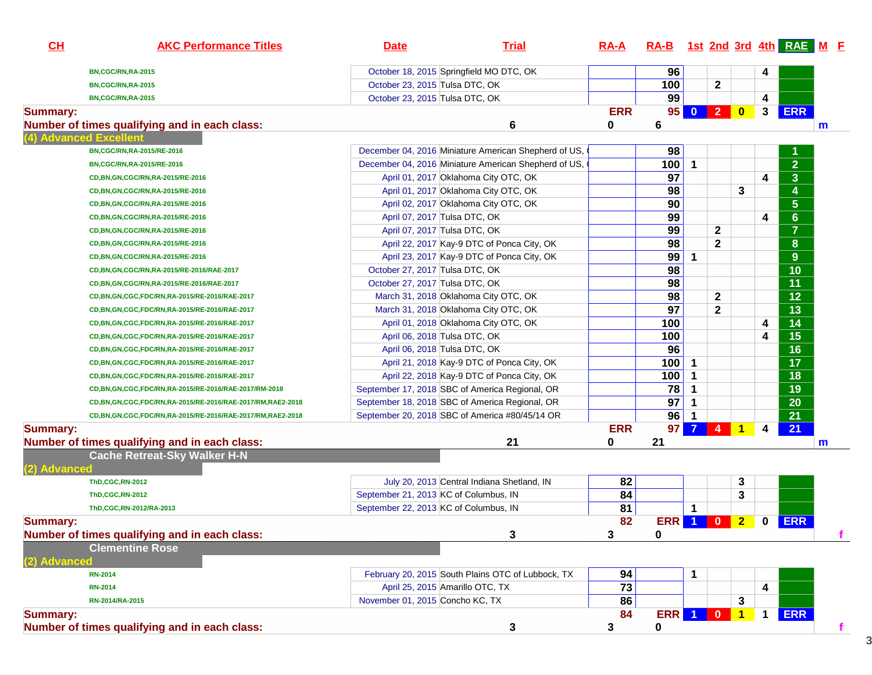| CH              | <b>AKC Performance Titles</b>                             | <b>Date</b>                     | <b>Trial</b>                                         | <u>RA-A</u> | RA-B 1st 2nd 3rd 4th RAE M E |                |                |                         |             |                         |              |
|-----------------|-----------------------------------------------------------|---------------------------------|------------------------------------------------------|-------------|------------------------------|----------------|----------------|-------------------------|-------------|-------------------------|--------------|
|                 | BN,CGC/RN,RA-2015                                         |                                 | October 18, 2015 Springfield MO DTC, OK              |             | 96                           |                |                |                         | 4           |                         |              |
|                 | BN,CGC/RN,RA-2015                                         | October 23, 2015 Tulsa DTC, OK  |                                                      |             | 100                          |                | 2              |                         |             |                         |              |
|                 | BN,CGC/RN,RA-2015                                         | October 23, 2015 Tulsa DTC, OK  |                                                      |             | 99                           |                |                |                         | 4           |                         |              |
| <b>Summary:</b> |                                                           |                                 |                                                      | <b>ERR</b>  | 95                           | $\mathbf{0}$   | $\vert$ 2      | $\bf{0}$                | 3           | <b>ERR</b>              |              |
|                 | Number of times qualifying and in each class:             |                                 | 6                                                    | 0           | 6                            |                |                |                         |             |                         | $\mathsf{m}$ |
|                 | 4) Advanced Excellent                                     |                                 |                                                      |             |                              |                |                |                         |             |                         |              |
|                 | BN,CGC/RN,RA-2015/RE-2016                                 |                                 | December 04, 2016 Miniature American Shepherd of US, |             | 98                           |                |                |                         |             |                         |              |
|                 | BN,CGC/RN,RA-2015/RE-2016                                 |                                 | December 04, 2016 Miniature American Shepherd of US, |             | 100                          | 1              |                |                         |             | $\overline{2}$          |              |
|                 | CD, BN, GN, CGC/RN, RA-2015/RE-2016                       |                                 | April 01, 2017 Oklahoma City OTC, OK                 |             | 97                           |                |                |                         | 4           | $\overline{\mathbf{3}}$ |              |
|                 | CD, BN, GN, CGC/RN, RA-2015/RE-2016                       |                                 | April 01, 2017 Oklahoma City OTC, OK                 |             | 98                           |                |                | 3                       |             |                         |              |
|                 | CD, BN, GN, CGC/RN, RA-2015/RE-2016                       |                                 | April 02, 2017 Oklahoma City OTC, OK                 |             | 90                           |                |                |                         |             | $\frac{4}{5}$           |              |
|                 | CD, BN, GN, CGC/RN, RA-2015/RE-2016                       |                                 | April 07, 2017 Tulsa DTC, OK                         |             | 99                           |                |                |                         | 4           | $\overline{6}$          |              |
|                 | CD, BN, GN, CGC/RN, RA-2015/RE-2016                       |                                 | April 07, 2017 Tulsa DTC, OK                         |             | 99                           |                | 2              |                         |             | $\overline{7}$          |              |
|                 | CD, BN, GN, CGC/RN, RA-2015/RE-2016                       |                                 | April 22, 2017 Kay-9 DTC of Ponca City, OK           |             | 98                           |                | $\mathbf{2}$   |                         |             | $\overline{\mathbf{8}}$ |              |
|                 | CD, BN, GN, CGC/RN, RA-2015/RE-2016                       |                                 | April 23, 2017 Kay-9 DTC of Ponca City, OK           |             | 99                           | 1              |                |                         |             | $\overline{9}$          |              |
|                 | CD,BN,GN,CGC/RN,RA-2015/RE-2016/RAE-2017                  | October 27, 2017 Tulsa DTC, OK  |                                                      |             | 98                           |                |                |                         |             | $\overline{10}$         |              |
|                 | CD,BN,GN,CGC/RN,RA-2015/RE-2016/RAE-2017                  | October 27, 2017 Tulsa DTC, OK  |                                                      |             | 98                           |                |                |                         |             | 11                      |              |
|                 | CD,BN,GN,CGC,FDC/RN,RA-2015/RE-2016/RAE-2017              |                                 | March 31, 2018 Oklahoma City OTC, OK                 |             | 98                           |                | $\mathbf{2}$   |                         |             | 12 <sub>2</sub>         |              |
|                 | CD,BN,GN,CGC,FDC/RN,RA-2015/RE-2016/RAE-2017              |                                 | March 31, 2018 Oklahoma City OTC, OK                 |             | $\overline{97}$              |                | $\overline{2}$ |                         |             | 13                      |              |
|                 | CD,BN,GN,CGC,FDC/RN,RA-2015/RE-2016/RAE-2017              |                                 | April 01, 2018 Oklahoma City OTC, OK                 |             | 100                          |                |                |                         | 4           | 14                      |              |
|                 | CD,BN,GN,CGC,FDC/RN,RA-2015/RE-2016/RAE-2017              |                                 | April 06, 2018 Tulsa DTC, OK                         |             | 100                          |                |                |                         | 4           | 15                      |              |
|                 | CD,BN,GN,CGC,FDC/RN,RA-2015/RE-2016/RAE-2017              |                                 | April 06, 2018 Tulsa DTC, OK                         |             | 96                           |                |                |                         |             | 16                      |              |
|                 | CD,BN,GN,CGC,FDC/RN,RA-2015/RE-2016/RAE-2017              |                                 | April 21, 2018 Kay-9 DTC of Ponca City, OK           |             | 100                          | 1              |                |                         |             | 17                      |              |
|                 | CD,BN,GN,CGC,FDC/RN,RA-2015/RE-2016/RAE-2017              |                                 | April 22, 2018 Kay-9 DTC of Ponca City, OK           |             | 100                          | 1              |                |                         |             | 18                      |              |
|                 | CD,BN,GN,CGC,FDC/RN,RA-2015/RE-2016/RAE-2017/RM-2018      |                                 | September 17, 2018 SBC of America Regional, OR       |             | 78                           | $\mathbf{1}$   |                |                         |             | 19                      |              |
|                 | CD,BN,GN,CGC,FDC/RN,RA-2015/RE-2016/RAE-2017/RM,RAE2-2018 |                                 | September 18, 2018 SBC of America Regional, OR       |             | 97                           | $\mathbf 1$    |                |                         |             | 20                      |              |
|                 | CD,BN,GN,CGC,FDC/RN,RA-2015/RE-2016/RAE-2017/RM,RAE2-2018 |                                 | September 20, 2018 SBC of America #80/45/14 OR       |             | 96                           | $\mathbf 1$    |                |                         |             | 21                      |              |
| <b>Summary:</b> |                                                           |                                 |                                                      | <b>ERR</b>  | 97                           | $\overline{7}$ | $\overline{4}$ | $\blacktriangleleft$    | 4           | 21                      |              |
|                 | Number of times qualifying and in each class:             |                                 | 21                                                   | 0           | 21                           |                |                |                         |             |                         | m            |
| (2) Advanced    | <b>Cache Retreat-Sky Walker H-N</b>                       |                                 |                                                      |             |                              |                |                |                         |             |                         |              |
|                 | <b>ThD,CGC,RN-2012</b>                                    |                                 | July 20, 2013 Central Indiana Shetland, IN           | 82          |                              |                |                | 3                       |             |                         |              |
|                 | <b>ThD,CGC,RN-2012</b>                                    |                                 | September 21, 2013 KC of Columbus, IN                | 84          |                              |                |                | 3                       |             |                         |              |
|                 | ThD,CGC,RN-2012/RA-2013                                   |                                 | September 22, 2013 KC of Columbus, IN                | 81          |                              | 1              |                |                         |             |                         |              |
| <b>Summary:</b> |                                                           |                                 |                                                      | 82          | <b>ERR</b> 1 0               |                |                | $\overline{\mathbf{2}}$ | 0           | <b>ERR</b>              |              |
|                 | Number of times qualifying and in each class:             |                                 | 3                                                    | 3           | 0                            |                |                |                         |             |                         |              |
|                 | <b>Clementine Rose</b>                                    |                                 |                                                      |             |                              |                |                |                         |             |                         |              |
| (2) Advanced    |                                                           |                                 |                                                      |             |                              |                |                |                         |             |                         |              |
|                 | <b>RN-2014</b>                                            |                                 | February 20, 2015 South Plains OTC of Lubbock, TX    | 94          |                              | 1              |                |                         |             |                         |              |
|                 | <b>RN-2014</b>                                            |                                 | April 25, 2015 Amarillo OTC, TX                      | 73          |                              |                |                |                         | 4           |                         |              |
|                 | RN-2014/RA-2015                                           | November 01, 2015 Concho KC, TX |                                                      | 86          |                              |                |                | 3                       |             |                         |              |
| <b>Summary:</b> |                                                           |                                 |                                                      | 84          | <b>ERR</b> 1 0               |                |                | $\mathbf{1}$            | $\mathbf 1$ | ERR                     |              |
|                 | Number of times qualifying and in each class:             |                                 | 3                                                    | 3           | 0                            |                |                |                         |             |                         | $\mathbf{f}$ |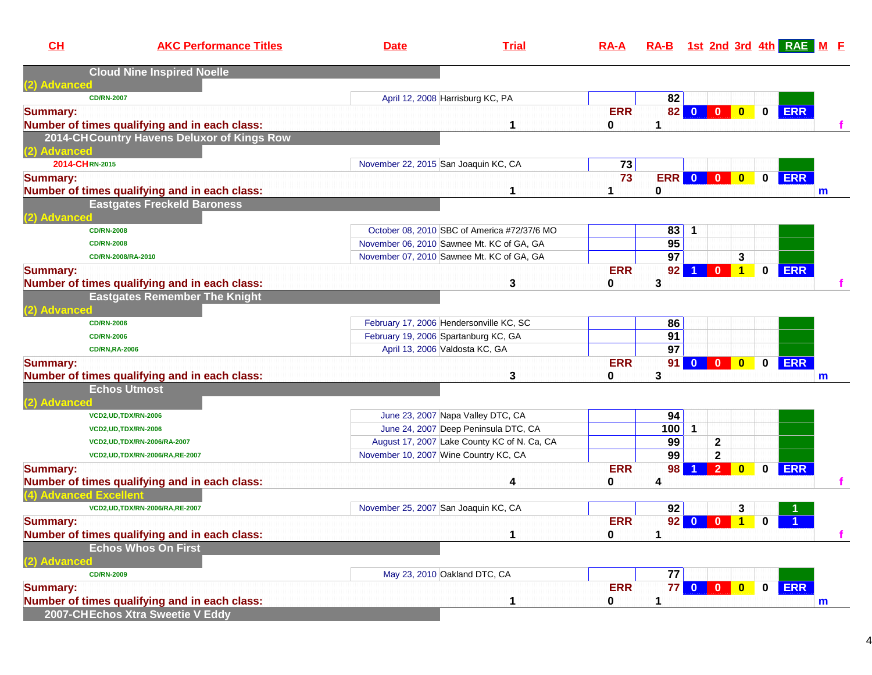| CL                     | <b>AKC Performance Titles</b>                                      | <b>Date</b>                               | <b>Trial</b>                                                                        | $RA-A$     |                 |                          |                                                                                   |             | RA-B 1st 2nd 3rd 4th RAE M E |   |
|------------------------|--------------------------------------------------------------------|-------------------------------------------|-------------------------------------------------------------------------------------|------------|-----------------|--------------------------|-----------------------------------------------------------------------------------|-------------|------------------------------|---|
| (2) Advanced           | <b>Cloud Nine Inspired Noelle</b>                                  |                                           |                                                                                     |            |                 |                          |                                                                                   |             |                              |   |
|                        | <b>CD/RN-2007</b>                                                  | April 12, 2008 Harrisburg KC, PA          |                                                                                     |            | 82              |                          |                                                                                   |             |                              |   |
| <b>Summary:</b>        |                                                                    |                                           |                                                                                     | <b>ERR</b> |                 | 82 0                     | $\mathbf{0}$<br>$\bullet$                                                         | $\mathbf 0$ | <b>ERR</b>                   |   |
|                        | Number of times qualifying and in each class:                      |                                           | 1                                                                                   | 0          | 1               |                          |                                                                                   |             |                              |   |
| (2) Advanced           | 2014-CHCountry Havens Deluxor of Kings Row                         |                                           |                                                                                     |            |                 |                          |                                                                                   |             |                              |   |
| 2014-CHRN-2015         |                                                                    | November 22, 2015 San Joaquin KC, CA      |                                                                                     | 73         |                 |                          |                                                                                   |             |                              |   |
| <b>Summary:</b>        |                                                                    |                                           |                                                                                     | 73         |                 | ERR 0 0                  | $\bullet$                                                                         | $\mathbf 0$ | <b>ERR</b>                   |   |
|                        | Number of times qualifying and in each class:                      |                                           | 1                                                                                   | 1          | 0               |                          |                                                                                   |             |                              | m |
|                        | <b>Eastgates Freckeld Baroness</b>                                 |                                           |                                                                                     |            |                 |                          |                                                                                   |             |                              |   |
| (2) Advanced           |                                                                    |                                           |                                                                                     |            |                 |                          |                                                                                   |             |                              |   |
|                        | <b>CD/RN-2008</b>                                                  |                                           | October 08, 2010 SBC of America #72/37/6 MO                                         |            | 83              | $\mathbf 1$              |                                                                                   |             |                              |   |
|                        | <b>CD/RN-2008</b>                                                  | November 06, 2010 Sawnee Mt. KC of GA, GA |                                                                                     |            | 95              |                          |                                                                                   |             |                              |   |
|                        | CD/RN-2008/RA-2010                                                 | November 07, 2010 Sawnee Mt. KC of GA, GA |                                                                                     |            | 97              |                          | 3                                                                                 |             |                              |   |
| <b>Summary:</b>        |                                                                    |                                           |                                                                                     | <b>ERR</b> | 92 <sub>1</sub> | $\blacktriangleleft$     |                                                                                   | $\mathbf 0$ | <b>ERR</b>                   |   |
|                        | Number of times qualifying and in each class:                      |                                           | 3                                                                                   | 0          | 3               |                          |                                                                                   |             |                              |   |
|                        | <b>Eastgates Remember The Knight</b>                               |                                           |                                                                                     |            |                 |                          |                                                                                   |             |                              |   |
| (2) Advanced           |                                                                    |                                           |                                                                                     |            |                 |                          |                                                                                   |             |                              |   |
|                        | <b>CD/RN-2006</b>                                                  | February 17, 2006 Hendersonville KC, SC   |                                                                                     |            | 86              |                          |                                                                                   |             |                              |   |
|                        | <b>CD/RN-2006</b>                                                  | February 19, 2006 Spartanburg KC, GA      |                                                                                     |            | 91              |                          |                                                                                   |             |                              |   |
|                        | <b>CD/RN,RA-2006</b>                                               | April 13, 2006 Valdosta KC, GA            |                                                                                     |            | $\overline{97}$ |                          |                                                                                   |             |                              |   |
| <b>Summary:</b>        |                                                                    |                                           |                                                                                     | <b>ERR</b> | 91              | $\overline{\mathbf{0}}$  | $\bullet$<br>$\bullet$                                                            |             | 0 ERR                        |   |
|                        | Number of times qualifying and in each class:                      |                                           | 3                                                                                   | 0          | 3               |                          |                                                                                   |             |                              | m |
|                        | <b>Echos Utmost</b>                                                |                                           |                                                                                     |            |                 |                          |                                                                                   |             |                              |   |
| (2) Advanced           |                                                                    |                                           |                                                                                     |            |                 |                          |                                                                                   |             |                              |   |
|                        | VCD2, UD, TDX/RN-2006                                              | June 23, 2007 Napa Valley DTC, CA         |                                                                                     |            | 94<br>100       | $\mathbf 1$              |                                                                                   |             |                              |   |
|                        | VCD2, UD, TDX/RN-2006                                              |                                           | June 24, 2007 Deep Peninsula DTC, CA<br>August 17, 2007 Lake County KC of N. Ca, CA |            | 99              |                          | $\mathbf{2}$                                                                      |             |                              |   |
|                        | VCD2, UD, TDX/RN-2006/RA-2007<br>VCD2, UD, TDX/RN-2006/RA, RE-2007 | November 10, 2007 Wine Country KC, CA     |                                                                                     |            | 99              |                          | $\overline{2}$                                                                    |             |                              |   |
| <b>Summary:</b>        |                                                                    |                                           |                                                                                     | <b>ERR</b> | 98 <sub>1</sub> | $\blacktriangleleft$     | $\overline{2}$<br>$\bullet$                                                       |             | $0$ ERR                      |   |
|                        | Number of times qualifying and in each class:                      |                                           | 4                                                                                   | 0          | 4               |                          |                                                                                   |             |                              |   |
| (4) Advanced Excellent |                                                                    |                                           |                                                                                     |            |                 |                          |                                                                                   |             |                              |   |
|                        | VCD2, UD, TDX/RN-2006/RA, RE-2007                                  | November 25, 2007 San Joaquin KC, CA      |                                                                                     |            | 92              |                          | 3                                                                                 |             |                              |   |
| <b>Summary:</b>        |                                                                    |                                           |                                                                                     | <b>ERR</b> |                 | $92$ 0<br>$\blacksquare$ | $\mathbf{1}$                                                                      | $\mathbf 0$ |                              |   |
|                        | Number of times qualifying and in each class:                      |                                           | 1                                                                                   | 0          | 1               |                          |                                                                                   |             |                              |   |
|                        | <b>Echos Whos On First</b>                                         |                                           |                                                                                     |            |                 |                          |                                                                                   |             |                              |   |
| (2) Advanced           |                                                                    |                                           |                                                                                     |            |                 |                          |                                                                                   |             |                              |   |
|                        | <b>CD/RN-2009</b>                                                  | May 23, 2010 Oakland DTC, CA              |                                                                                     |            | 77              |                          |                                                                                   |             |                              |   |
| <b>Summary:</b>        |                                                                    |                                           |                                                                                     | <b>ERR</b> |                 | $77$ 0                   | $\begin{array}{ c c c c c }\n\hline\n\text{o} & \text{o} & \text{o}\n\end{array}$ |             | 0 ERR                        |   |
|                        | Number of times qualifying and in each class:                      |                                           | 1                                                                                   | 0          | 1               |                          |                                                                                   |             |                              | m |
|                        | 2007-CHEchos Xtra Sweetie V Eddy                                   |                                           |                                                                                     |            |                 |                          |                                                                                   |             |                              |   |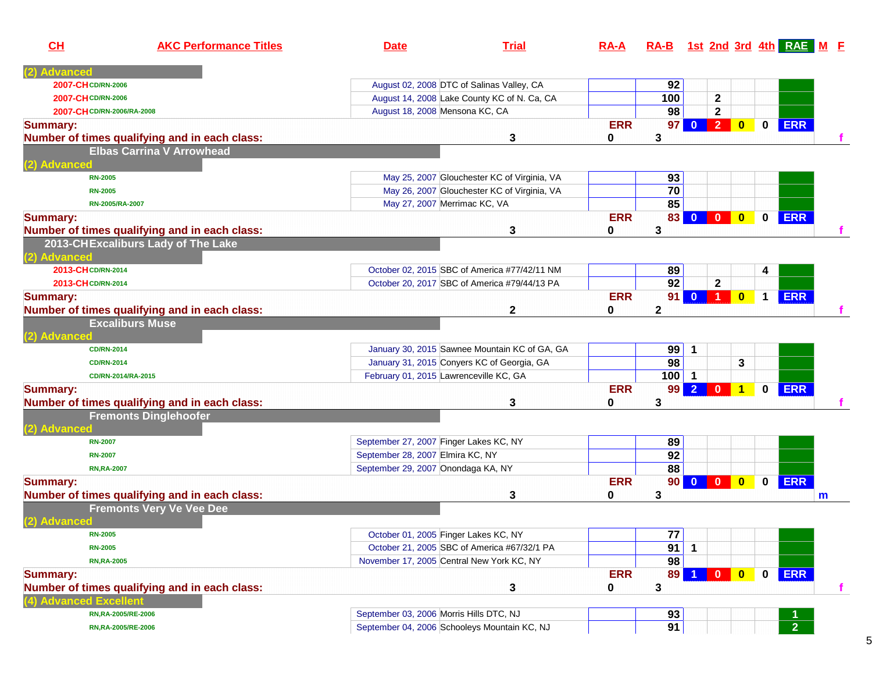| CL              | <b>AKC Performance Titles</b>                 | <b>Date</b>                               | <b>Trial</b>                                  | $RA-A$          | RA-B 1st 2nd 3rd 4th RAE M E |                |                                      |              |            |   |
|-----------------|-----------------------------------------------|-------------------------------------------|-----------------------------------------------|-----------------|------------------------------|----------------|--------------------------------------|--------------|------------|---|
| dvanced         |                                               |                                           |                                               |                 |                              |                |                                      |              |            |   |
|                 | 2007-CHCD/RN-2006                             |                                           | August 02, 2008 DTC of Salinas Valley, CA     |                 | 92                           |                |                                      |              |            |   |
|                 | 2007-CHCD/RN-2006                             |                                           | August 14, 2008 Lake County KC of N. Ca, CA   |                 | 100                          |                | $\mathbf{2}$                         |              |            |   |
|                 | 2007-CHCD/RN-2006/RA-2008                     | August 18, 2008 Mensona KC, CA            |                                               |                 | 98                           |                | $\mathbf{2}$                         |              |            |   |
| <b>Summary:</b> |                                               |                                           |                                               | <b>ERR</b>      | 97                           | $\mathbf{0}$   | $\overline{2}$<br>$\mathbf{0}$       | $\mathbf 0$  | <b>ERR</b> |   |
|                 | Number of times qualifying and in each class: |                                           | 3                                             | 0               | 3                            |                |                                      |              |            |   |
| <b>Advanced</b> | <b>Elbas Carrina V Arrowhead</b>              |                                           |                                               |                 |                              |                |                                      |              |            |   |
|                 | <b>RN-2005</b>                                |                                           | May 25, 2007 Glouchester KC of Virginia, VA   |                 | 93                           |                |                                      |              |            |   |
|                 | <b>RN-2005</b>                                |                                           | May 26, 2007 Glouchester KC of Virginia, VA   |                 | 70                           |                |                                      |              |            |   |
|                 | RN-2005/RA-2007                               | May 27, 2007 Merrimac KC, VA              |                                               |                 | 85                           |                |                                      |              |            |   |
| <b>Summary:</b> | Number of times qualifying and in each class: |                                           | 3                                             | <b>ERR</b><br>0 | 83<br>3                      | $\mathbf{0}$   | $\mathbf{0}$<br>$\mathbf{0}$         | $\mathbf 0$  | <b>ERR</b> |   |
| (2) Advanced    | 2013-CHExcaliburs Lady of The Lake            |                                           |                                               |                 |                              |                |                                      |              |            |   |
|                 | 2013-CHCD/RN-2014                             |                                           | October 02, 2015 SBC of America #77/42/11 NM  |                 | 89                           |                |                                      | 4            |            |   |
|                 | 2013-CHCD/RN-2014                             |                                           | October 20, 2017 SBC of America #79/44/13 PA  |                 | 92                           |                | $\mathbf 2$                          |              |            |   |
| <b>Summary:</b> | Number of times qualifying and in each class: |                                           | 2                                             | <b>ERR</b><br>0 | 91<br>$\mathbf 2$            | $\mathbf{0}$   | $\blacktriangleleft$<br>$\bf{0}$     | $\mathbf{1}$ | <b>ERR</b> |   |
| <b>Advanced</b> | <b>Excaliburs Muse</b>                        |                                           |                                               |                 |                              |                |                                      |              |            |   |
|                 | <b>CD/RN-2014</b>                             |                                           | January 30, 2015 Sawnee Mountain KC of GA, GA |                 | 99                           | $\mathbf 1$    |                                      |              |            |   |
|                 | <b>CD/RN-2014</b>                             |                                           | January 31, 2015 Conyers KC of Georgia, GA    |                 | 98                           |                |                                      | 3            |            |   |
|                 | CD/RN-2014/RA-2015                            | February 01, 2015 Lawrenceville KC, GA    |                                               |                 | $100$ 1                      |                |                                      |              |            |   |
| <b>Summary:</b> | Number of times qualifying and in each class: |                                           | 3                                             | <b>ERR</b><br>0 | 99<br>3                      | $\overline{2}$ | $\blacktriangleleft$<br>$\mathbf{0}$ | $\bf{0}$     | <b>ERR</b> |   |
| <b>Advanced</b> | <b>Fremonts Dinglehoofer</b>                  |                                           |                                               |                 |                              |                |                                      |              |            |   |
|                 | <b>RN-2007</b>                                | September 27, 2007 Finger Lakes KC, NY    |                                               |                 | 89                           |                |                                      |              |            |   |
|                 | <b>RN-2007</b>                                | September 28, 2007 Elmira KC, NY          |                                               |                 | 92                           |                |                                      |              |            |   |
|                 | <b>RN,RA-2007</b>                             | September 29, 2007 Onondaga KA, NY        |                                               |                 | 88                           |                |                                      |              |            |   |
| <b>Summary:</b> | Number of times qualifying and in each class: |                                           | 3                                             | <b>ERR</b><br>0 | 90 <sub>1</sub><br>3         | $\mathbf{0}$   | $\mathbf{0}$<br>$\mathbf{0}$         | $\bf{0}$     | <b>ERR</b> | m |
| (2) Advanced    | <b>Fremonts Very Ve Vee Dee</b>               |                                           |                                               |                 |                              |                |                                      |              |            |   |
|                 | <b>RN-2005</b>                                | October 01, 2005 Finger Lakes KC, NY      |                                               |                 | 77                           |                |                                      |              |            |   |
|                 | <b>RN-2005</b>                                |                                           | October 21, 2005 SBC of America #67/32/1 PA   |                 | 91                           | $\mathbf 1$    |                                      |              |            |   |
|                 | <b>RN,RA-2005</b>                             | November 17, 2005 Central New York KC, NY |                                               |                 | 98                           |                |                                      |              |            |   |
| <b>Summary:</b> | Number of times qualifying and in each class: |                                           | 3                                             | <b>ERR</b><br>0 | 89<br>3                      |                | $\mathbf{0}$<br>$\mathbf{0}$         | $\mathbf 0$  | <b>ERR</b> |   |
|                 | <b>Advanced Excellent</b>                     |                                           |                                               |                 |                              |                |                                      |              |            |   |
|                 | RN, RA-2005/RE-2006                           | September 03, 2006 Morris Hills DTC, NJ   |                                               |                 | 93                           |                |                                      |              |            |   |
|                 | RN, RA-2005/RE-2006                           |                                           | September 04, 2006 Schooleys Mountain KC, NJ  |                 | 91                           |                |                                      |              |            |   |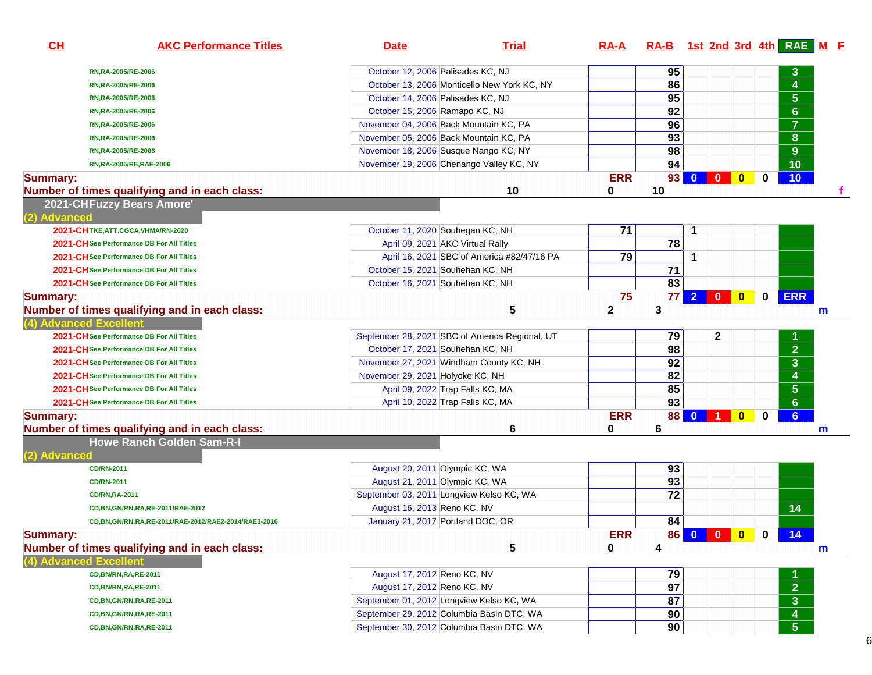| CH                     | <b>AKC Performance Titles</b>                       | <b>Date</b>                               | <b>Trial</b>                                   | $RA-A$          | RA-B 1st 2nd 3rd 4th RAE M E |                                         |          |             |                 |  |
|------------------------|-----------------------------------------------------|-------------------------------------------|------------------------------------------------|-----------------|------------------------------|-----------------------------------------|----------|-------------|-----------------|--|
|                        | RN, RA-2005/RE-2006                                 | October 12, 2006 Palisades KC, NJ         |                                                |                 | 95                           |                                         |          |             | 3               |  |
|                        | RN, RA-2005/RE-2006                                 |                                           | October 13, 2006 Monticello New York KC, NY    |                 | 86                           |                                         |          |             | 4               |  |
|                        | RN, RA-2005/RE-2006                                 | October 14, 2006 Palisades KC, NJ         |                                                |                 | 95                           |                                         |          |             | $5\phantom{.0}$ |  |
|                        | RN, RA-2005/RE-2006                                 | October 15, 2006 Ramapo KC, NJ            |                                                |                 | 92                           |                                         |          |             | $6\phantom{a}$  |  |
|                        | RN, RA-2005/RE-2006                                 | November 04, 2006 Back Mountain KC, PA    |                                                |                 | 96                           |                                         |          |             | $\overline{7}$  |  |
|                        | RN, RA-2005/RE-2006                                 | November 05, 2006 Back Mountain KC, PA    |                                                |                 | 93                           |                                         |          |             | 8               |  |
|                        | RN,RA-2005/RE-2006                                  | November 18, 2006 Susque Nango KC, NY     |                                                |                 | 98                           |                                         |          |             | 9               |  |
|                        | RN,RA-2005/RE,RAE-2006                              | November 19, 2006 Chenango Valley KC, NY  |                                                |                 | 94                           |                                         |          |             | 10              |  |
| <b>Summary:</b>        | Number of times qualifying and in each class:       |                                           | 10                                             | <b>ERR</b><br>0 | 93<br>10                     | $\mathbf{0}$<br>$\overline{\mathbf{0}}$ | $\bf{0}$ | 0           | 10              |  |
|                        | 2021-CHFuzzy Bears Amore'                           |                                           |                                                |                 |                              |                                         |          |             |                 |  |
| (2) Advanced           |                                                     |                                           |                                                |                 |                              |                                         |          |             |                 |  |
|                        | 2021-CHTKE, ATT, CGCA, VHMA/RN-2020                 | October 11, 2020 Souhegan KC, NH          |                                                | 71              |                              | 1                                       |          |             |                 |  |
|                        | 2021-CH See Performance DB For All Titles           | April 09, 2021 AKC Virtual Rally          |                                                |                 | 78                           |                                         |          |             |                 |  |
|                        | 2021-CH See Performance DB For All Titles           |                                           | April 16, 2021 SBC of America #82/47/16 PA     | 79              |                              | $\mathbf 1$                             |          |             |                 |  |
|                        | 2021-CH See Performance DB For All Titles           | October 15, 2021 Souhehan KC, NH          |                                                |                 | 71                           |                                         |          |             |                 |  |
|                        | 2021-CH See Performance DB For All Titles           | October 16, 2021 Souhehan KC, NH          |                                                |                 | 83                           |                                         |          |             |                 |  |
| <b>Summary:</b>        | Number of times qualifying and in each class:       |                                           | 5                                              | 75<br>2         | 77<br>3                      | $2 \ 0$                                 | $\bf{0}$ | $\mathbf 0$ | <b>ERR</b><br>m |  |
| (4) Advanced Excellent |                                                     |                                           |                                                |                 |                              |                                         |          |             |                 |  |
|                        | 2021-CH See Performance DB For All Titles           |                                           | September 28, 2021 SBC of America Regional, UT |                 | 79                           | 2                                       |          |             |                 |  |
|                        | 2021-CH See Performance DB For All Titles           | October 17, 2021 Souhehan KC, NH          |                                                |                 | 98                           |                                         |          |             | $\overline{2}$  |  |
|                        | 2021-CH See Performance DB For All Titles           | November 27, 2021 Windham County KC, NH   |                                                |                 | 92                           |                                         |          |             | 3               |  |
|                        | 2021-CH See Performance DB For All Titles           | November 29, 2021 Holyoke KC, NH          |                                                |                 | 82                           |                                         |          |             | 4               |  |
|                        | 2021-CH See Performance DB For All Titles           | April 09, 2022 Trap Falls KC, MA          |                                                |                 | 85                           |                                         |          |             | $5\phantom{.0}$ |  |
|                        | 2021-CH See Performance DB For All Titles           | April 10, 2022 Trap Falls KC, MA          |                                                |                 | 93                           |                                         |          |             | $\bf 6$         |  |
| <b>Summary:</b>        |                                                     |                                           |                                                | <b>ERR</b>      | 88                           | $\mathbf{0}$<br>$\blacktriangleleft$    | $\bf{0}$ | $\mathbf 0$ | 6 <sup>1</sup>  |  |
|                        | Number of times qualifying and in each class:       |                                           | 6                                              | 0               | 6                            |                                         |          |             | m               |  |
| (2) Advanced           | <b>Howe Ranch Golden Sam-R-I</b>                    |                                           |                                                |                 |                              |                                         |          |             |                 |  |
|                        | <b>CD/RN-2011</b>                                   | August 20, 2011 Olympic KC, WA            |                                                |                 | 93                           |                                         |          |             |                 |  |
|                        | <b>CD/RN-2011</b>                                   | August 21, 2011 Olympic KC, WA            |                                                |                 | 93                           |                                         |          |             |                 |  |
|                        | <b>CD/RN, RA-2011</b>                               | September 03, 2011 Longview Kelso KC, WA  |                                                |                 | 72                           |                                         |          |             |                 |  |
|                        | CD, BN, GN/RN, RA, RE-2011/RAE-2012                 | August 16, 2013 Reno KC, NV               |                                                |                 |                              |                                         |          |             | 14              |  |
|                        | CD,BN,GN/RN,RA,RE-2011/RAE-2012/RAE2-2014/RAE3-2016 | January 21, 2017 Portland DOC, OR         |                                                |                 | 84                           |                                         |          |             |                 |  |
| <b>Summary:</b>        | Number of times qualifying and in each class:       |                                           | 5                                              | <b>ERR</b><br>0 | 4                            | 86 0 0 0 0 0                            |          |             | $-14$<br>m      |  |
|                        | (4) Advanced Excellent                              |                                           |                                                |                 |                              |                                         |          |             |                 |  |
|                        | CD, BN/RN, RA, RE-2011                              | August 17, 2012 Reno KC, NV               |                                                |                 | 79                           |                                         |          |             |                 |  |
|                        | <b>CD, BN/RN, RA, RE-2011</b>                       | August 17, 2012 Reno KC, NV               |                                                |                 | $\overline{97}$              |                                         |          |             | $\overline{2}$  |  |
|                        | CD, BN, GN/RN, RA, RE-2011                          | September 01, 2012 Longview Kelso KC, WA  |                                                |                 | 87                           |                                         |          |             | $\mathbf{3}$    |  |
|                        | CD, BN, GN/RN, RA, RE-2011                          | September 29, 2012 Columbia Basin DTC, WA |                                                |                 | 90                           |                                         |          |             | 4               |  |
|                        | CD, BN, GN/RN, RA, RE-2011                          | September 30, 2012 Columbia Basin DTC, WA |                                                |                 | 90                           |                                         |          |             | $5\phantom{.0}$ |  |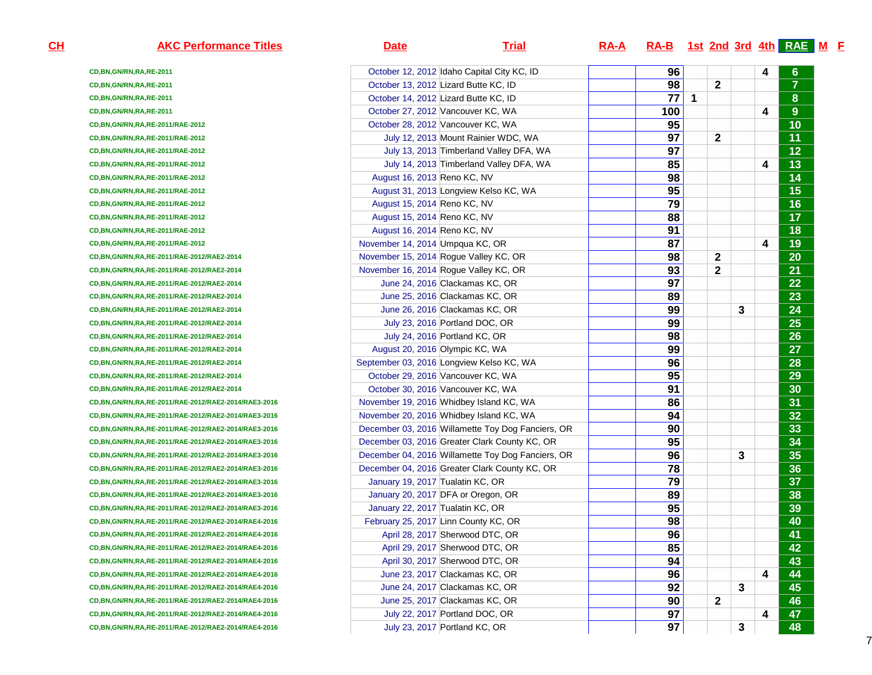**CD,BN,GN/RN,RA,RE-2011CD,BN,GN/RN,RA,RE-2011CD,BN,GN/RN,RA,RE-2011CD,BN,GN/RN,RA,RE-2011CD,BN,GN/RN,RA,RE-2011/RAE-2012CD,BN,GN/RN,RA,RE-2011/RAE-2012CD,BN,GN/RN,RA,RE-2011/RAE-2012CD,BN,GN/RN,RA,RE-2011/RAE-2012CD,BN,GN/RN,RA,RE-2011/RAE-2012CD,BN,GN/RN,RA,RE-2011/RAE-2012CD,BN,GN/RN,RA,RE-2011/RAE-2012CD,BN,GN/RN,RA,RE-2011/RAE-2012CD,BN,GN/RN,RA,RE-2011/RAE-2012CD,BN,GN/RN,RA,RE-2011/RAE-2012CD,BN,GN/RN,RA,RE-2011/RAE-2012/RAE2-2014CD,BN,GN/RN,RA,RE-2011/RAE-2012/RAE2-2014CD,BN,GN/RN,RA,RE-2011/RAE-2012/RAE2-2014CD,BN,GN/RN,RA,RE-2011/RAE-2012/RAE2-2014CD,BN,GN/RN,RA,RE-2011/RAE-2012/RAE2-2014CD,BN,GN/RN,RA,RE-2011/RAE-2012/RAE2-2014CD,BN,GN/RN,RA,RE-2011/RAE-2012/RAE2-2014CD,BN,GN/RN,RA,RE-2011/RAE-2012/RAE2-2014CD,BN,GN/RN,RA,RE-2011/RAE-2012/RAE2-2014CD,BN,GN/RN,RA,RE-2011/RAE-2012/RAE2-2014CD,BN,GN/RN,RA,RE-2011/RAE-2012/RAE2-2014CD,BN,GN/RN,RA,RE-2011/RAE-2012/RAE2-2014/RAE3-2016CD,BN,GN/RN,RA,RE-2011/RAE-2012/RAE2-2014/RAE3-2016CD,BN,GN/RN,RA,RE-2011/RAE-2012/RAE2-2014/RAE3-2016CD,BN,GN/RN,RA,RE-2011/RAE-2012/RAE2-2014/RAE3-2016CD,BN,GN/RN,RA,RE-2011/RAE-2012/RAE2-2014/RAE3-2016CD,BN,GN/RN,RA,RE-2011/RAE-2012/RAE2-2014/RAE3-2016CD,BN,GN/RN,RA,RE-2011/RAE-2012/RAE2-2014/RAE3-2016CD,BN,GN/RN,RA,RE-2011/RAE-2012/RAE2-2014/RAE3-2016CD,BN,GN/RN,RA,RE-2011/RAE-2012/RAE2-2014/RAE3-2016CD,BN,GN/RN,RA,RE-2011/RAE-2012/RAE2-2014/RAE4-2016CD,BN,GN/RN,RA,RE-2011/RAE-2012/RAE2-2014/RAE4-2016CD,BN,GN/RN,RA,RE-2011/RAE-2012/RAE2-2014/RAE4-2016CD,BN,GN/RN,RA,RE-2011/RAE-2012/RAE2-2014/RAE4-2016CD,BN,GN/RN,RA,RE-2011/RAE-2012/RAE2-2014/RAE4-2016CD,BN,GN/RN,RA,RE-2011/RAE-2012/RAE2-2014/RAE4-2016CD,BN,GN/RN,RA,RE-2011/RAE-2012/RAE2-2014/RAE4-2016CD,BN,GN/RN,RA,RE-2011/RAE-2012/RAE2-2014/RAE4-2016CD,BN,GN/RN,RA,RE-2011/RAE-2012/RAE2-2014/RAE4-2016**

 **AKC Performance Titles Date Trial RA-A RA-B 1st 2nd 3rd 4th RAE <sup>M</sup> <sup>F</sup>** October 12, 2012 Idaho Capital City KC, ID**b 1 96 1 4 6**  October 13, 2012 Lizard Butte KC, ID**b 98** 2 7 October 14, 2012 Lizard Butte KC, ID**D 1 1 1 1 1 1 1 1 1**  October 27, 2012 Vancouver KC, WA **100 4 9**  October 28, 2012 Vancouver KC, WA **95 10**  July 12, 2013 Mount Rainier WDC, WAA **97 2 11**  July 13, 2013 Timberland Valley DFA, WA<u>A **97** 12</u> July 14, 2013 Timberland Valley DFA, WAA **85 13**  August 16, 2013 Reno KC, NV **98 14**  August 31, 2013 Longview Kelso KC, WA<u>A a contract to  $\begin{array}{|c|c|c|c|c|}\hline \text{A} & \text{B5} & \text{A} & \text{B6} \ \hline \end{array}$ </u> August 15, 2014 Reno KC, NV **79 16**  August 15, 2014 Reno KC, NV **88 17**  August 16, 2014 Reno KC, NV **91 18**  November 14, 2014 Umpqua KC, OR **87 4 19**  November 15, 2014 Rogue Valley KC, OR **98 2 20**  November 16, 2014 Rogue Valley KC, ORR 21 2 21 June 24, 2016 Clackamas KC, ORR 22 June 25, 2016 Clackamas KC, ORR 23 June 26, 2016 Clackamas KC, ORR 24 July 23, 2016 Portland DOC, ORR 25 July 24, 2016 Portland KC, ORR 26 August 20, 2016 Olympic KC, WAA 27 September 03, 2016 Longview Kelso KC, WA<u>A a contract the set of the set of the set of the set of the set of the set of the set of the set of the set of the set of the set of the set of the set of the set of the set of the set of the set of the set of the set of</u> October 29, 2016 Vancouver KC, WA **95 29**  October 30, 2016 Vancouver KC, WA<u>A 30</u> November 19, 2016 Whidbey Island KC, WAA **86 31**  November 20, 2016 Whidbey Island KC, WA<u>A **94** 32</u> December 03, 2016 Willamette Toy Dog Fanciers, ORR **90 33**  December 03, 2016 Greater Clark County KC, ORR<sub>2</sub> 34 December 04, 2016 Willamette Toy Dog Fanciers, ORR 35 December 04, 2016 Greater Clark County KC, OR **78 36**  January 19, 2017 Tualatin KC, OR **79 37**  January 20, 2017 DFA or Oregon, ORR<sub>2</sub> 589 38 January 22, 2017 Tualatin KC, OR **95 39**  February 25, 2017 Linn County KC, OR **98 40**  April 28, 2017 Sherwood DTC, OR **96 41**  April 29, 2017 Sherwood DTC, OR**85 1 42**  April 30, 2017 Sherwood DTC, ORR **94 1 43**  June 23, 2017 Clackamas KC, ORR **96 44**  June 24, 2017 Clackamas KC, ORR **92** 3 45 June 25, 2017 Clackamas KC, ORR **90 2 46**  July 22, 2017 Portland DOC, OR **97 4 47**  July 23, 2017 Portland KC, OR**R 1 97 1 3 48** 

7

**CH**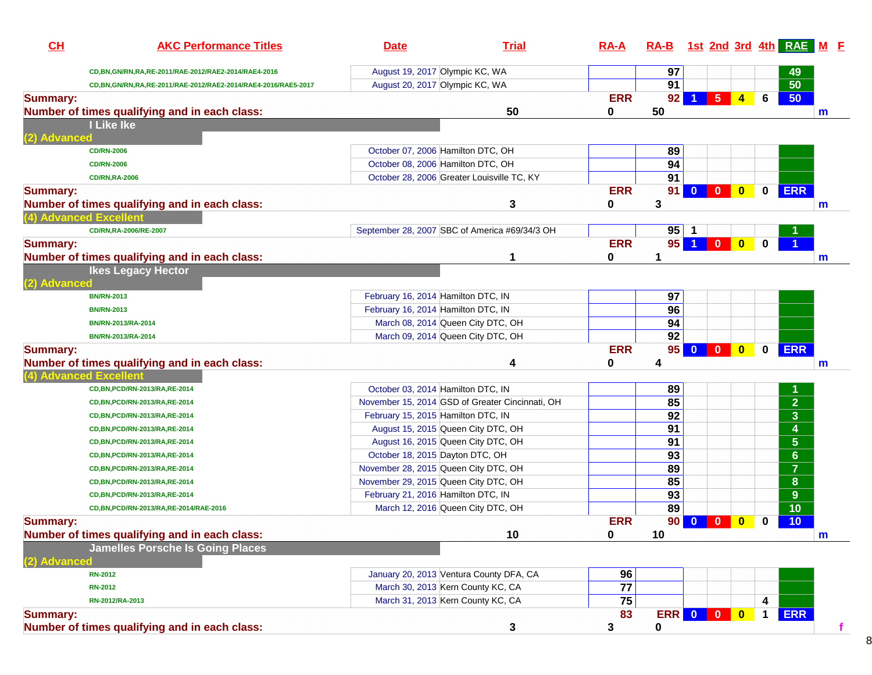| CL              | <b>AKC Performance Titles</b>                                           | <b>Date</b>                          | <b>Trial</b>                                    | $RA-A$          |                 | RA-B 1st 2nd 3rd 4th RAE M F      |                      |             |                         |              |
|-----------------|-------------------------------------------------------------------------|--------------------------------------|-------------------------------------------------|-----------------|-----------------|-----------------------------------|----------------------|-------------|-------------------------|--------------|
|                 | CD, BN, GN/RN, RA, RE-2011/RAE-2012/RAE2-2014/RAE4-2016                 | August 19, 2017 Olympic KC, WA       |                                                 |                 | 97              |                                   |                      |             | 49                      |              |
|                 | CD,BN,GN/RN,RA,RE-2011/RAE-2012/RAE2-2014/RAE4-2016/RAE5-2017           | August 20, 2017 Olympic KC, WA       |                                                 |                 | 91              |                                   |                      |             | $\overline{50}$         |              |
| <b>Summary:</b> | Number of times qualifying and in each class:                           |                                      | 50                                              | <b>ERR</b><br>0 | 92<br>50        | $5\phantom{1}$                    | $\blacktriangleleft$ | 6           | 50                      | m            |
| (2) Advanced    | I Like Ike                                                              |                                      |                                                 |                 |                 |                                   |                      |             |                         |              |
|                 | <b>CD/RN-2006</b>                                                       | October 07, 2006 Hamilton DTC, OH    |                                                 |                 | 89              |                                   |                      |             |                         |              |
|                 | <b>CD/RN-2006</b>                                                       | October 08, 2006 Hamilton DTC, OH    |                                                 |                 | 94              |                                   |                      |             |                         |              |
|                 | <b>CD/RN,RA-2006</b>                                                    |                                      | October 28, 2006 Greater Louisville TC, KY      |                 | 91              |                                   |                      |             |                         |              |
| <b>Summary:</b> | Number of times qualifying and in each class:                           |                                      | 3                                               | <b>ERR</b><br>0 | 91<br>3         | $\blacksquare$<br>$\mathbf{0}$    | $\bf{0}$             | $\mathbf 0$ | <b>ERR</b>              | m            |
|                 | (4) Advanced Excellent                                                  |                                      |                                                 |                 |                 |                                   |                      |             |                         |              |
|                 | CD/RN,RA-2006/RE-2007                                                   |                                      | September 28, 2007 SBC of America #69/34/3 OH   |                 | 95              | - 1                               |                      |             |                         |              |
| <b>Summary:</b> | Number of times qualifying and in each class:                           |                                      | 1                                               | <b>ERR</b><br>0 | 95 <br>1        | $\mathbf{0}$                      | $\bullet$            | $\bf{0}$    |                         | $\mathsf{m}$ |
| (2) Advanced    | <b>Ikes Legacy Hector</b>                                               |                                      |                                                 |                 |                 |                                   |                      |             |                         |              |
|                 | <b>BN/RN-2013</b>                                                       | February 16, 2014 Hamilton DTC, IN   |                                                 |                 | 97              |                                   |                      |             |                         |              |
|                 | <b>BN/RN-2013</b>                                                       | February 16, 2014 Hamilton DTC, IN   |                                                 |                 | 96              |                                   |                      |             |                         |              |
|                 | BN/RN-2013/RA-2014                                                      |                                      | March 08, 2014 Queen City DTC, OH               |                 | 94              |                                   |                      |             |                         |              |
|                 | BN/RN-2013/RA-2014                                                      |                                      | March 09, 2014 Queen City DTC, OH               |                 | $\overline{92}$ |                                   |                      |             |                         |              |
| <b>Summary:</b> |                                                                         |                                      |                                                 | <b>ERR</b>      | 95              | $0 \quad 0$                       | $\mathbf{0}$         | $\mathbf 0$ | <b>ERR</b>              |              |
|                 | Number of times qualifying and in each class:<br>(4) Advanced Excellent |                                      | 4                                               | 0               | 4               |                                   |                      |             |                         | m            |
|                 | CD, BN, PCD/RN-2013/RA, RE-2014                                         | October 03, 2014 Hamilton DTC, IN    |                                                 |                 | 89              |                                   |                      |             |                         |              |
|                 | CD, BN, PCD/RN-2013/RA, RE-2014                                         |                                      | November 15, 2014 GSD of Greater Cincinnati, OH |                 | 85              |                                   |                      |             | $\overline{2}$          |              |
|                 | CD, BN, PCD/RN-2013/RA, RE-2014                                         | February 15, 2015 Hamilton DTC, IN   |                                                 |                 | 92              |                                   |                      |             | $\overline{\mathbf{3}}$ |              |
|                 | CD, BN, PCD/RN-2013/RA, RE-2014                                         |                                      | August 15, 2015 Queen City DTC, OH              |                 | $\overline{91}$ |                                   |                      |             | $\overline{\bf{4}}$     |              |
|                 | CD, BN, PCD/RN-2013/RA, RE-2014                                         |                                      | August 16, 2015 Queen City DTC, OH              |                 | 91              |                                   |                      |             | $\overline{\mathbf{5}}$ |              |
|                 | CD, BN, PCD/RN-2013/RA, RE-2014                                         | October 18, 2015 Dayton DTC, OH      |                                                 |                 | $\overline{93}$ |                                   |                      |             | 6 <sup>1</sup>          |              |
|                 | CD, BN, PCD/RN-2013/RA, RE-2014                                         | November 28, 2015 Queen City DTC, OH |                                                 |                 | 89              |                                   |                      |             | $\overline{7}$          |              |
|                 | CD, BN, PCD/RN-2013/RA, RE-2014                                         | November 29, 2015 Queen City DTC, OH |                                                 |                 | 85              |                                   |                      |             | 8                       |              |
|                 | CD, BN, PCD/RN-2013/RA, RE-2014                                         | February 21, 2016 Hamilton DTC, IN   |                                                 |                 | 93              |                                   |                      |             | 9                       |              |
|                 | CD, BN, PCD/RN-2013/RA, RE-2014/RAE-2016                                |                                      | March 12, 2016 Queen City DTC, OH               |                 | 89              |                                   |                      |             | $\overline{10}$         |              |
| <b>Summary:</b> | Number of times qualifying and in each class:                           |                                      | 10                                              | <b>ERR</b><br>0 | 10              | $90$ 0<br>$\overline{\mathbf{0}}$ | $\bf{0}$             | 0           | 10                      | m            |
| (2) Advanced    | <b>Jamelles Porsche Is Going Places</b>                                 |                                      |                                                 |                 |                 |                                   |                      |             |                         |              |
|                 | <b>RN-2012</b>                                                          |                                      | January 20, 2013 Ventura County DFA, CA         | 96              |                 |                                   |                      |             |                         |              |
|                 | <b>RN-2012</b>                                                          |                                      | March 30, 2013 Kern County KC, CA               | $\overline{77}$ |                 |                                   |                      |             |                         |              |
|                 | RN-2012/RA-2013                                                         |                                      | March 31, 2013 Kern County KC, CA               | 75              |                 |                                   |                      | 4           |                         |              |
| <b>Summary:</b> |                                                                         |                                      |                                                 | 83              |                 | <b>ERR 0 0</b>                    | $\bf{0}$             | $\mathbf 1$ | <b>ERR</b>              |              |
|                 | Number of times qualifying and in each class:                           |                                      | $\mathbf 3$                                     | 3               | $\mathbf 0$     |                                   |                      |             |                         | $\mathbf{f}$ |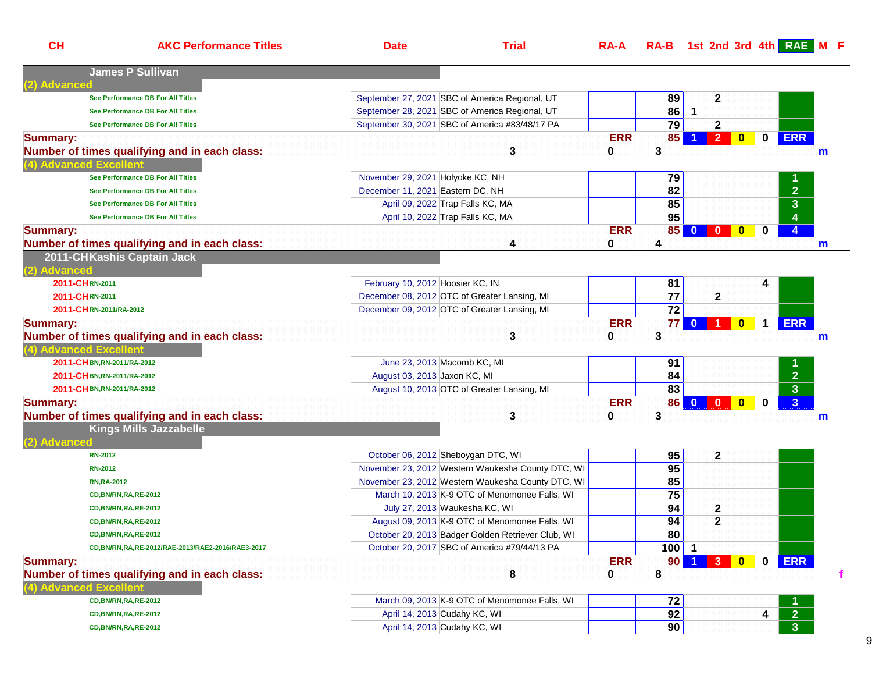| CH              | <b>AKC Performance Titles</b>                    | <b>Date</b>                      | <b>Trial</b>                                      | <b>RA-A</b> | RA-B 1st 2nd 3rd 4th RAE M E |                         |                |              |             |                |              |
|-----------------|--------------------------------------------------|----------------------------------|---------------------------------------------------|-------------|------------------------------|-------------------------|----------------|--------------|-------------|----------------|--------------|
|                 | <b>James P Sullivan</b>                          |                                  |                                                   |             |                              |                         |                |              |             |                |              |
| <b>Advanced</b> |                                                  |                                  |                                                   |             |                              |                         |                |              |             |                |              |
|                 | See Performance DB For All Titles                |                                  | September 27, 2021 SBC of America Regional, UT    |             | 89                           |                         | 2              |              |             |                |              |
|                 | See Performance DB For All Titles                |                                  | September 28, 2021 SBC of America Regional, UT    |             | 86                           | $\mathbf{1}$            |                |              |             |                |              |
|                 | See Performance DB For All Titles                |                                  | September 30, 2021 SBC of America #83/48/17 PA    |             | 79                           |                         | $\mathbf{2}$   |              |             |                |              |
| <b>Summary:</b> |                                                  |                                  |                                                   | <b>ERR</b>  | 85                           |                         | $\overline{2}$ | $\mathbf{0}$ |             | 0 ERR          |              |
|                 | Number of times qualifying and in each class:    |                                  | 3                                                 | 0           | 3                            |                         |                |              |             |                | $\mathsf{m}$ |
|                 | 1) Advanced Excellent                            |                                  |                                                   |             |                              |                         |                |              |             |                |              |
|                 | See Performance DB For All Titles                | November 29, 2021 Holyoke KC, NH |                                                   |             | 79                           |                         |                |              |             |                |              |
|                 | See Performance DB For All Titles                | December 11, 2021 Eastern DC, NH |                                                   |             | 82                           |                         |                |              |             | $\overline{2}$ |              |
|                 | See Performance DB For All Titles                |                                  | April 09, 2022 Trap Falls KC, MA                  |             | 85                           |                         |                |              |             | 3 <sup>2</sup> |              |
|                 | See Performance DB For All Titles                |                                  | April 10, 2022 Trap Falls KC, MA                  |             | 95                           |                         |                |              |             | 4              |              |
| <b>Summary:</b> |                                                  |                                  |                                                   | <b>ERR</b>  | 85                           | $\overline{\mathbf{0}}$ | $\mathbf{0}$   | $\bf{0}$     | $\bf{0}$    | $\overline{4}$ |              |
|                 | Number of times qualifying and in each class:    |                                  | 4                                                 | 0           | 4                            |                         |                |              |             |                | m            |
| (2) Advanced    | 2011-CHKashis Captain Jack                       |                                  |                                                   |             |                              |                         |                |              |             |                |              |
|                 | 2011-CHRN-2011                                   | February 10, 2012 Hoosier KC, IN |                                                   |             | 81                           |                         |                |              | 4           |                |              |
|                 | 2011-CHRN-2011                                   |                                  | December 08, 2012 OTC of Greater Lansing, MI      |             | $\overline{77}$              |                         | $\mathbf 2$    |              |             |                |              |
|                 | 2011-CHRN-2011/RA-2012                           |                                  | December 09, 2012 OTC of Greater Lansing, MI      |             | $\overline{72}$              |                         |                |              |             |                |              |
| <b>Summary:</b> |                                                  |                                  |                                                   | <b>ERR</b>  | 77                           | $\mathbf{0}$            |                | $\bf{0}$     | $\mathbf 1$ | <b>ERR</b>     |              |
|                 | Number of times qualifying and in each class:    |                                  | 3                                                 | 0           | 3                            |                         |                |              |             |                | $\mathsf{m}$ |
|                 | (4) Advanced Excellent                           |                                  |                                                   |             |                              |                         |                |              |             |                |              |
|                 | 2011-CHBN,RN-2011/RA-2012                        |                                  | June 23, 2013 Macomb KC, MI                       |             | 91                           |                         |                |              |             |                |              |
|                 | 2011-CHBN,RN-2011/RA-2012                        | August 03, 2013 Jaxon KC, MI     |                                                   |             | 84                           |                         |                |              |             | 2 <sup>1</sup> |              |
|                 | 2011-CHBN,RN-2011/RA-2012                        |                                  | August 10, 2013 OTC of Greater Lansing, MI        |             | 83                           |                         |                |              |             | 3 <sup>2</sup> |              |
| <b>Summary:</b> |                                                  |                                  |                                                   | <b>ERR</b>  | 86                           | $\mathbf{0}$            | $\mathbf 0$    | $\mathbf{0}$ | $\bf{0}$    | $\overline{3}$ |              |
|                 | Number of times qualifying and in each class:    |                                  | 3                                                 | 0           | 3                            |                         |                |              |             |                | m            |
|                 | <b>Kings Mills Jazzabelle</b>                    |                                  |                                                   |             |                              |                         |                |              |             |                |              |
| (2) Advanced    |                                                  |                                  |                                                   |             |                              |                         |                |              |             |                |              |
|                 | <b>RN-2012</b>                                   |                                  | October 06, 2012 Sheboygan DTC, WI                |             | 95                           |                         | 2              |              |             |                |              |
|                 | <b>RN-2012</b>                                   |                                  | November 23, 2012 Western Waukesha County DTC, WI |             | 95                           |                         |                |              |             |                |              |
|                 | <b>RN, RA-2012</b>                               |                                  | November 23, 2012 Western Waukesha County DTC, WI |             | 85                           |                         |                |              |             |                |              |
|                 | CD,BN/RN,RA,RE-2012                              |                                  | March 10, 2013 K-9 OTC of Menomonee Falls, WI     |             | 75                           |                         |                |              |             |                |              |
|                 | CD,BN/RN,RA,RE-2012                              |                                  | July 27, 2013 Waukesha KC, WI                     |             | 94                           |                         | 2              |              |             |                |              |
|                 | CD, BN/RN, RA, RE-2012                           |                                  | August 09, 2013 K-9 OTC of Menomonee Falls, WI    |             | 94                           |                         | $\mathbf{2}$   |              |             |                |              |
|                 | CD, BN/RN, RA, RE-2012                           |                                  | October 20, 2013 Badger Golden Retriever Club, WI |             | 80                           |                         |                |              |             |                |              |
|                 | CD,BN/RN,RA,RE-2012/RAE-2013/RAE2-2016/RAE3-2017 |                                  | October 20, 2017 SBC of America #79/44/13 PA      |             | 100                          | - 1                     |                |              |             |                |              |
| <b>Summary:</b> |                                                  |                                  |                                                   | <b>ERR</b>  | 90 <sub>1</sub>              |                         | 3 <sup>2</sup> | $\mathbf{0}$ |             | 0 ERR          |              |
|                 | Number of times qualifying and in each class:    |                                  | 8                                                 | 0           | 8                            |                         |                |              |             |                |              |
|                 | 4) Advanced Excellent                            |                                  |                                                   |             |                              |                         |                |              |             |                |              |
|                 | CD, BN/RN, RA, RE-2012                           |                                  | March 09, 2013 K-9 OTC of Menomonee Falls, WI     |             | 72                           |                         |                |              |             |                |              |
|                 | CD, BN/RN, RA, RE-2012                           |                                  | April 14, 2013 Cudahy KC, WI                      |             | 92                           |                         |                |              | 4           | $\overline{2}$ |              |
|                 | <b>CD,BN/RN,RA,RE-2012</b>                       |                                  | April 14, 2013 Cudahy KC, WI                      |             | 90                           |                         |                |              |             | 3 <sup>2</sup> |              |
|                 |                                                  |                                  |                                                   |             |                              |                         |                |              |             |                |              |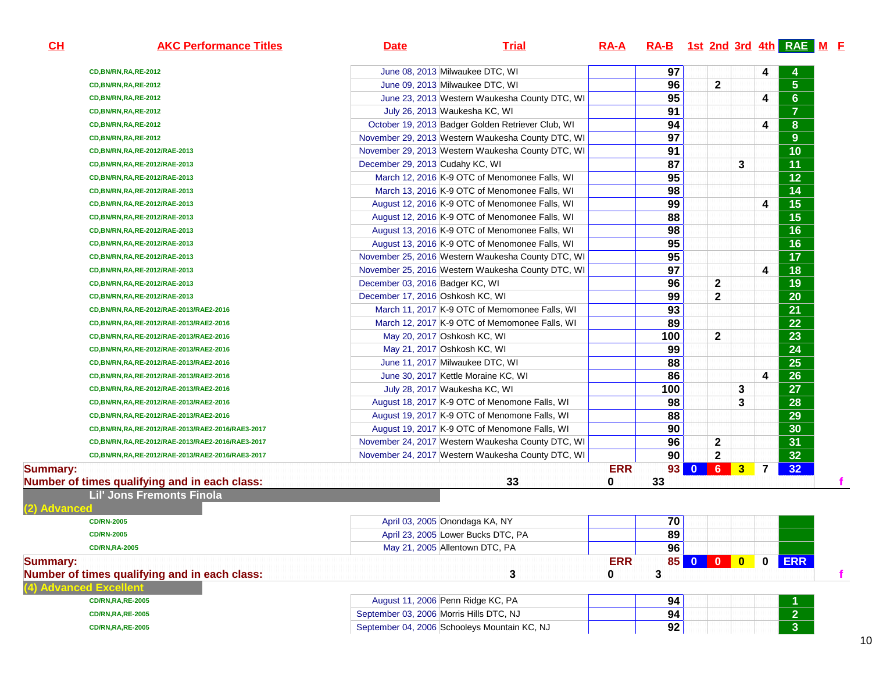| <u>СН</u>                 | <b>AKC Performance Titles</b>                    | <b>Date</b>                      | <b>Trial</b>                                      | <u>RA-A</u>     |     |      |                         |                |                | $RA-B$ 1st 2nd 3rd 4th RAE M E |
|---------------------------|--------------------------------------------------|----------------------------------|---------------------------------------------------|-----------------|-----|------|-------------------------|----------------|----------------|--------------------------------|
|                           | CD, BN/RN, RA, RE-2012                           |                                  | June 08, 2013 Milwaukee DTC, WI                   |                 | 97  |      |                         |                | 4              |                                |
|                           | CD, BN/RN, RA, RE-2012                           |                                  | June 09, 2013 Milwaukee DTC, WI                   |                 | 96  |      | $\mathbf{2}$            |                |                | 5                              |
|                           | CD, BN/RN, RA, RE-2012                           |                                  | June 23, 2013 Western Waukesha County DTC, WI     |                 | 95  |      |                         |                | 4              | $6\phantom{a}$                 |
|                           | CD, BN/RN, RA, RE-2012                           |                                  | July 26, 2013 Waukesha KC, WI                     |                 | 91  |      |                         |                |                | $\overline{7}$                 |
|                           | CD, BN/RN, RA, RE-2012                           |                                  | October 19, 2013 Badger Golden Retriever Club, WI |                 | 94  |      |                         |                | 4              | ${\bf 8}$                      |
|                           | CD, BN/RN, RA, RE-2012                           |                                  | November 29, 2013 Western Waukesha County DTC, WI |                 | 97  |      |                         |                |                | 9                              |
|                           | CD, BN/RN, RA, RE-2012/RAE-2013                  |                                  | November 29, 2013 Western Waukesha County DTC, WI |                 | 91  |      |                         |                |                | 10                             |
|                           | CD, BN/RN, RA, RE-2012/RAE-2013                  | December 29, 2013 Cudahy KC, WI  |                                                   |                 | 87  |      |                         | 3              |                | 11                             |
|                           | CD, BN/RN, RA, RE-2012/RAE-2013                  |                                  | March 12, 2016 K-9 OTC of Menomonee Falls, WI     |                 | 95  |      |                         |                |                | 12                             |
|                           | CD, BN/RN, RA, RE-2012/RAE-2013                  |                                  | March 13, 2016 K-9 OTC of Menomonee Falls, WI     |                 | 98  |      |                         |                |                | 14                             |
|                           | CD, BN/RN, RA, RE-2012/RAE-2013                  |                                  | August 12, 2016 K-9 OTC of Menomonee Falls, WI    |                 | 99  |      |                         |                | 4              | 15                             |
|                           | CD, BN/RN, RA, RE-2012/RAE-2013                  |                                  | August 12, 2016 K-9 OTC of Menomonee Falls, WI    |                 | 88  |      |                         |                |                | 15                             |
|                           | CD, BN/RN, RA, RE-2012/RAE-2013                  |                                  | August 13, 2016 K-9 OTC of Menomonee Falls, WI    |                 | 98  |      |                         |                |                | 16                             |
|                           | CD, BN/RN, RA, RE-2012/RAE-2013                  |                                  | August 13, 2016 K-9 OTC of Menomonee Falls, WI    |                 | 95  |      |                         |                |                | 16                             |
|                           | CD, BN/RN, RA, RE-2012/RAE-2013                  |                                  | November 25, 2016 Western Waukesha County DTC, WI |                 | 95  |      |                         |                |                | 17                             |
|                           | CD, BN/RN, RA, RE-2012/RAE-2013                  |                                  | November 25, 2016 Western Waukesha County DTC, WI |                 | 97  |      |                         |                | 4              | 18                             |
|                           | CD, BN/RN, RA, RE-2012/RAE-2013                  | December 03, 2016 Badger KC, WI  |                                                   |                 | 96  |      | $\mathbf{2}$            |                |                | 19                             |
|                           | CD, BN/RN, RA, RE-2012/RAE-2013                  | December 17, 2016 Oshkosh KC, WI |                                                   |                 | 99  |      | $\mathbf{2}$            |                |                | 20                             |
|                           | CD, BN/RN, RA, RE-2012/RAE-2013/RAE2-2016        |                                  | March 11, 2017 K-9 OTC of Memomonee Falls, WI     |                 | 93  |      |                         |                |                | 21                             |
|                           | CD, BN/RN, RA, RE-2012/RAE-2013/RAE2-2016        |                                  | March 12, 2017 K-9 OTC of Memomonee Falls, WI     |                 | 89  |      |                         |                |                | 22                             |
|                           | CD, BN/RN, RA, RE-2012/RAE-2013/RAE2-2016        |                                  | May 20, 2017 Oshkosh KC, WI                       |                 | 100 |      | $\mathbf{2}$            |                |                | 23                             |
|                           | CD, BN/RN, RA, RE-2012/RAE-2013/RAE2-2016        |                                  | May 21, 2017 Oshkosh KC, WI                       |                 | 99  |      |                         |                |                | 24                             |
|                           | CD, BN/RN, RA, RE-2012/RAE-2013/RAE2-2016        |                                  | June 11, 2017 Milwaukee DTC, WI                   |                 | 88  |      |                         |                |                | 25                             |
|                           | CD, BN/RN, RA, RE-2012/RAE-2013/RAE2-2016        |                                  | June 30, 2017 Kettle Moraine KC, WI               |                 | 86  |      |                         |                | 4              | 26                             |
|                           | CD, BN/RN, RA, RE-2012/RAE-2013/RAE2-2016        |                                  | July 28, 2017 Waukesha KC, WI                     |                 | 100 |      |                         | 3              |                | 27                             |
|                           | CD, BN/RN, RA, RE-2012/RAE-2013/RAE2-2016        |                                  | August 18, 2017 K-9 OTC of Menomone Falls, WI     |                 | 98  |      |                         | 3              |                | 28                             |
|                           | CD, BN/RN, RA, RE-2012/RAE-2013/RAE2-2016        |                                  | August 19, 2017 K-9 OTC of Menomone Falls, WI     |                 | 88  |      |                         |                |                | 29                             |
|                           | CD,BN/RN,RA,RE-2012/RAE-2013/RAE2-2016/RAE3-2017 |                                  | August 19, 2017 K-9 OTC of Menomone Falls, WI     |                 | 90  |      |                         |                |                | 30                             |
|                           | CD,BN/RN,RA,RE-2012/RAE-2013/RAE2-2016/RAE3-2017 |                                  | November 24, 2017 Western Waukesha County DTC, WI |                 | 96  |      | $\mathbf{2}$            |                |                | 31                             |
|                           | CD,BN/RN,RA,RE-2012/RAE-2013/RAE2-2016/RAE3-2017 |                                  | November 24, 2017 Western Waukesha County DTC, WI |                 | 90  |      | $\mathbf{2}$            |                |                | 32 <sub>2</sub>                |
| <b>Summary:</b>           |                                                  |                                  |                                                   | <b>ERR</b>      |     | 93 0 | 6 <sup>1</sup>          | 3 <sup>2</sup> | $\overline{7}$ | 32 <sub>2</sub>                |
|                           | Number of times qualifying and in each class:    |                                  | 33                                                | 0               | 33  |      |                         |                |                |                                |
|                           | <b>Lil' Jons Fremonts Finola</b>                 |                                  |                                                   |                 |     |      |                         |                |                |                                |
| (2) Advanced              |                                                  |                                  |                                                   |                 |     |      |                         |                |                |                                |
|                           | <b>CD/RN-2005</b>                                |                                  | April 03, 2005 Onondaga KA, NY                    |                 | 70  |      |                         |                |                |                                |
|                           | <b>CD/RN-2005</b>                                |                                  | April 23, 2005 Lower Bucks DTC, PA                |                 | 89  |      |                         |                |                |                                |
|                           | <b>CD/RN,RA-2005</b>                             |                                  | May 21, 2005 Allentown DTC, PA                    |                 | 96  |      |                         |                |                |                                |
| <b>Summary:</b>           | Number of times qualifying and in each class:    |                                  | 3                                                 | <b>ERR</b><br>0 | 3   | 85 0 | $\overline{\mathbf{0}}$ | $\bullet$      | 0              | <b>ERR</b>                     |
| <b>Advanced Excellent</b> |                                                  |                                  |                                                   |                 |     |      |                         |                |                |                                |
|                           | <b>CD/RN,RA,RE-2005</b>                          |                                  | August 11, 2006 Penn Ridge KC, PA                 |                 | 94  |      |                         |                |                |                                |
|                           | <b>CD/RN,RA,RE-2005</b>                          |                                  | September 03, 2006 Morris Hills DTC, NJ           |                 | 94  |      |                         |                |                | $\overline{2}$                 |
|                           | <b>CD/RN,RA,RE-2005</b>                          |                                  | September 04, 2006 Schooleys Mountain KC, NJ      |                 | 92  |      |                         |                |                | $\overline{3}$                 |
|                           |                                                  |                                  |                                                   |                 |     |      |                         |                |                |                                |

### **CH**

#### 10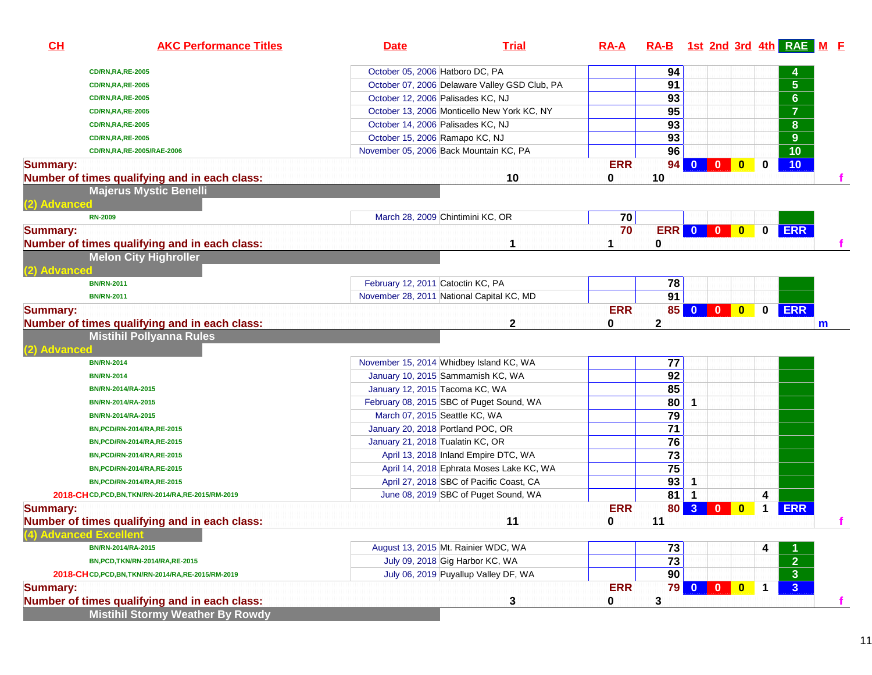| CH                        | <b>AKC Performance Titles</b>                                                            | <b>Date</b>                       | <b>Trial</b>                                  | <b>RA-A</b>     | RA-B 1st 2nd 3rd 4th RAE M E |              |                          |              |                         |                 |   |
|---------------------------|------------------------------------------------------------------------------------------|-----------------------------------|-----------------------------------------------|-----------------|------------------------------|--------------|--------------------------|--------------|-------------------------|-----------------|---|
|                           | <b>CD/RN,RA,RE-2005</b>                                                                  | October 05, 2006 Hatboro DC, PA   |                                               |                 | 94                           |              |                          |              |                         |                 |   |
|                           | <b>CD/RN,RA,RE-2005</b>                                                                  |                                   | October 07, 2006 Delaware Valley GSD Club, PA |                 | 91                           |              |                          |              |                         | $5\phantom{.}$  |   |
|                           | <b>CD/RN,RA,RE-2005</b>                                                                  |                                   | October 12, 2006 Palisades KC, NJ             |                 | 93                           |              |                          |              |                         | $6\phantom{1}$  |   |
|                           | <b>CD/RN,RA,RE-2005</b>                                                                  |                                   | October 13, 2006 Monticello New York KC, NY   |                 | 95                           |              |                          |              |                         | $\overline{7}$  |   |
|                           | <b>CD/RN,RA,RE-2005</b>                                                                  |                                   | October 14, 2006 Palisades KC, NJ             |                 | 93                           |              |                          |              |                         | 8               |   |
|                           | <b>CD/RN,RA,RE-2005</b>                                                                  | October 15, 2006 Ramapo KC, NJ    |                                               |                 | 93                           |              |                          |              |                         | 9               |   |
|                           | CD/RN, RA, RE-2005/RAE-2006                                                              |                                   | November 05, 2006 Back Mountain KC, PA        |                 | 96                           |              |                          |              |                         | $\overline{10}$ |   |
| <b>Summary:</b>           |                                                                                          |                                   |                                               | <b>ERR</b>      | 94                           | $\mathbf{0}$ | $\overline{\mathbf{0}}$  | $\bullet$    | $\bf{0}$                | 10 <sub>1</sub> |   |
|                           | Number of times qualifying and in each class:                                            |                                   | 10                                            | 0               | 10                           |              |                          |              |                         |                 |   |
|                           | <b>Majerus Mystic Benelli</b>                                                            |                                   |                                               |                 |                              |              |                          |              |                         |                 |   |
| (2) Advanced              |                                                                                          |                                   |                                               |                 |                              |              |                          |              |                         |                 |   |
| <b>RN-2009</b>            |                                                                                          |                                   | March 28, 2009 Chintimini KC, OR              | 70              |                              |              |                          |              |                         |                 |   |
| <b>Summary:</b>           |                                                                                          |                                   |                                               | 70              | ERR 0 0 0                    |              |                          |              | $\mathbf 0$             | <b>ERR</b>      |   |
|                           | Number of times qualifying and in each class:                                            |                                   | 1                                             | 1               | 0                            |              |                          |              |                         |                 |   |
|                           | <b>Melon City Highroller</b>                                                             |                                   |                                               |                 |                              |              |                          |              |                         |                 |   |
| (2) Advanced              |                                                                                          |                                   |                                               |                 |                              |              |                          |              |                         |                 |   |
| <b>BN/RN-2011</b>         |                                                                                          | February 12, 2011 Catoctin KC, PA |                                               |                 | 78                           |              |                          |              |                         |                 |   |
| <b>BN/RN-2011</b>         |                                                                                          |                                   | November 28, 2011 National Capital KC, MD     |                 | 91                           |              |                          |              |                         |                 |   |
| <b>Summary:</b>           |                                                                                          |                                   |                                               | <b>ERR</b>      |                              |              | 85 0 0 0                 |              | $\mathbf 0$             | <b>ERR</b>      |   |
|                           | Number of times qualifying and in each class:                                            |                                   | $\mathbf 2$                                   | 0               | $\mathbf{2}$                 |              |                          |              |                         |                 | m |
| (2) Advanced              | <b>Mistihil Pollyanna Rules</b>                                                          |                                   |                                               |                 |                              |              |                          |              |                         |                 |   |
| <b>BN/RN-2014</b>         |                                                                                          |                                   | November 15, 2014 Whidbey Island KC, WA       |                 | 77                           |              |                          |              |                         |                 |   |
| <b>BN/RN-2014</b>         |                                                                                          |                                   | January 10, 2015 Sammamish KC, WA             |                 | 92                           |              |                          |              |                         |                 |   |
|                           | BN/RN-2014/RA-2015                                                                       |                                   | January 12, 2015 Tacoma KC, WA                |                 | 85                           |              |                          |              |                         |                 |   |
|                           | BN/RN-2014/RA-2015                                                                       |                                   | February 08, 2015 SBC of Puget Sound, WA      |                 | 80                           | $\mathbf 1$  |                          |              |                         |                 |   |
|                           | BN/RN-2014/RA-2015                                                                       |                                   | March 07, 2015 Seattle KC, WA                 |                 | 79                           |              |                          |              |                         |                 |   |
|                           | BN, PCD/RN-2014/RA, RE-2015                                                              |                                   | January 20, 2018 Portland POC, OR             |                 | 71                           |              |                          |              |                         |                 |   |
|                           | BN, PCD/RN-2014/RA, RE-2015                                                              | January 21, 2018 Tualatin KC, OR  |                                               |                 | 76                           |              |                          |              |                         |                 |   |
|                           | BN, PCD/RN-2014/RA, RE-2015                                                              |                                   | April 13, 2018 Inland Empire DTC, WA          |                 | 73                           |              |                          |              |                         |                 |   |
|                           | BN, PCD/RN-2014/RA, RE-2015                                                              |                                   | April 14, 2018 Ephrata Moses Lake KC, WA      |                 | 75                           |              |                          |              |                         |                 |   |
|                           | BN, PCD/RN-2014/RA, RE-2015                                                              |                                   | April 27, 2018 SBC of Pacific Coast, CA       |                 | 93                           | $\mathbf 1$  |                          |              |                         |                 |   |
|                           | 2018-CHCD, PCD, BN, TKN/RN-2014/RA, RE-2015/RM-2019                                      |                                   | June 08, 2019 SBC of Puget Sound, WA          |                 | 81                           |              |                          |              | 4                       |                 |   |
| <b>Summary:</b>           | Number of times qualifying and in each class:                                            |                                   | 11                                            | <b>ERR</b><br>0 | 11                           | 80 3         | $\mathbf{0}$             | $\mathbf{0}$ | 1                       | <b>ERR</b>      |   |
| <b>Advanced Excellent</b> |                                                                                          |                                   |                                               |                 |                              |              |                          |              |                         |                 |   |
|                           | BN/RN-2014/RA-2015                                                                       |                                   | August 13, 2015 Mt. Rainier WDC, WA           |                 | 73                           |              |                          |              | 4                       |                 |   |
|                           | BN, PCD, TKN/RN-2014/RA, RE-2015                                                         |                                   | July 09, 2018 Gig Harbor KC, WA               |                 | $\overline{73}$              |              |                          |              |                         | $\overline{2}$  |   |
|                           | 2018-CHCD, PCD, BN, TKN/RN-2014/RA, RE-2015/RM-2019                                      |                                   | July 06, 2019 Puyallup Valley DF, WA          |                 | 90                           |              |                          |              |                         | $\overline{3}$  |   |
| <b>Summary:</b>           |                                                                                          |                                   |                                               | <b>ERR</b>      |                              | <b>79 0</b>  | $\overline{\phantom{0}}$ | $\bullet$    | $\overline{\mathbf{1}}$ | 3 <sup>1</sup>  |   |
|                           | Number of times qualifying and in each class:<br><b>Mistihil Stormy Weather By Rowdy</b> |                                   | 3                                             | 0               | 3                            |              |                          |              |                         |                 |   |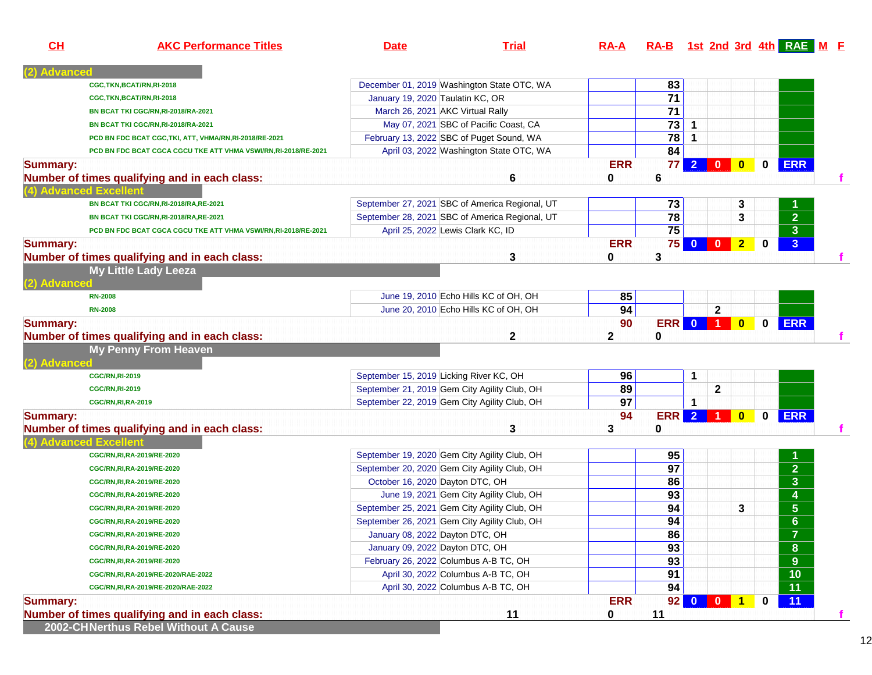| v  |  |
|----|--|
| ۰, |  |

## **AKC Performance Titles Date Trial RA-A RA-B 1st 2nd 3rd 4th RAE <sup>M</sup> <sup>F</sup>**

| CGC, TKN, BCAT/RN, RI-2018                                                                                                                                                                                           | December 01, 2019 Washington State OTC, WA     |              | 83              |                         |                         |                         |              |                         |
|----------------------------------------------------------------------------------------------------------------------------------------------------------------------------------------------------------------------|------------------------------------------------|--------------|-----------------|-------------------------|-------------------------|-------------------------|--------------|-------------------------|
| CGC,TKN,BCAT/RN,RI-2018                                                                                                                                                                                              | January 19, 2020 Taulatin KC, OR               |              | $\overline{71}$ |                         |                         |                         |              |                         |
| BN BCAT TKI CGC/RN, RI-2018/RA-2021                                                                                                                                                                                  | March 26, 2021 AKC Virtual Rally               |              | $\overline{71}$ |                         |                         |                         |              |                         |
| BN BCAT TKI CGC/RN, RI-2018/RA-2021                                                                                                                                                                                  | May 07, 2021 SBC of Pacific Coast, CA          |              | $\overline{73}$ | $\mathbf{1}$            |                         |                         |              |                         |
| PCD BN FDC BCAT CGC, TKI, ATT, VHMA/RN, RI-2018/RE-2021                                                                                                                                                              | February 13, 2022 SBC of Puget Sound, WA       |              | 78              | $\mathbf 1$             |                         |                         |              |                         |
| PCD BN FDC BCAT CGCA CGCU TKE ATT VHMA VSWI/RN,RI-2018/RE-2021                                                                                                                                                       | April 03, 2022 Washington State OTC, WA        |              | 84              |                         |                         |                         |              |                         |
| <b>Summary:</b>                                                                                                                                                                                                      |                                                | <b>ERR</b>   | 77 I            | $\overline{2}$          | $\mathbf{0}$            | $\mathbf{0}$            | $\mathbf{0}$ | <b>ERR</b>              |
| Number of times qualifying and in each class:                                                                                                                                                                        | 6                                              | $\bf{0}$     | 6               |                         |                         |                         |              |                         |
| (4) Advanced Excellent                                                                                                                                                                                               |                                                |              |                 |                         |                         |                         |              |                         |
| BN BCAT TKI CGC/RN, RI-2018/RA, RE-2021                                                                                                                                                                              | September 27, 2021 SBC of America Regional, UT |              | 73              |                         |                         | 3                       |              |                         |
| BN BCAT TKI CGC/RN, RI-2018/RA, RE-2021                                                                                                                                                                              | September 28, 2021 SBC of America Regional, UT |              | $\overline{78}$ |                         |                         | 3                       |              | 2 <sup>1</sup>          |
| PCD BN FDC BCAT CGCA CGCU TKE ATT VHMA VSWI/RN,RI-2018/RE-2021                                                                                                                                                       | April 25, 2022 Lewis Clark KC, ID              |              | 75              |                         |                         |                         |              | $\overline{\mathbf{3}}$ |
| <b>Summary:</b>                                                                                                                                                                                                      |                                                | <b>ERR</b>   | 75              | $\overline{\mathbf{0}}$ | $\overline{\mathbf{0}}$ | 2 <sub>2</sub>          | 0            | 3 <sup>1</sup>          |
| Number of times qualifying and in each class:                                                                                                                                                                        | 3                                              | 0            | 3               |                         |                         |                         |              |                         |
| <b>My Little Lady Leeza</b>                                                                                                                                                                                          |                                                |              |                 |                         |                         |                         |              |                         |
| (2) Advanced                                                                                                                                                                                                         |                                                |              |                 |                         |                         |                         |              |                         |
| <b>RN-2008</b>                                                                                                                                                                                                       | June 19, 2010 Echo Hills KC of OH, OH          | 85           |                 |                         |                         |                         |              |                         |
| <b>RN-2008</b>                                                                                                                                                                                                       | June 20, 2010 Echo Hills KC of OH, OH          | 94           |                 |                         | $\mathbf{2}$            |                         |              |                         |
| <b>Summary:</b>                                                                                                                                                                                                      |                                                | 90           | ERR 0 1 0       |                         |                         |                         | $\mathbf 0$  | <b>ERR</b>              |
|                                                                                                                                                                                                                      |                                                |              |                 |                         |                         |                         |              |                         |
|                                                                                                                                                                                                                      |                                                |              |                 |                         |                         |                         |              |                         |
|                                                                                                                                                                                                                      | $\mathbf{2}$                                   | $\mathbf{2}$ | $\bf{0}$        |                         |                         |                         |              |                         |
| <b>My Penny From Heaven</b>                                                                                                                                                                                          |                                                |              |                 |                         |                         |                         |              |                         |
|                                                                                                                                                                                                                      |                                                |              |                 |                         |                         |                         |              |                         |
| <b>CGC/RN,RI-2019</b>                                                                                                                                                                                                | September 15, 2019 Licking River KC, OH        | 96           |                 | 1                       |                         |                         |              |                         |
| <b>CGC/RN,RI-2019</b>                                                                                                                                                                                                | September 21, 2019 Gem City Agility Club, OH   | 89           |                 |                         | $\mathbf{2}$            |                         |              |                         |
| <b>CGC/RN, RI, RA-2019</b>                                                                                                                                                                                           | September 22, 2019 Gem City Agility Club, OH   | 97           |                 | $\mathbf 1$             |                         |                         |              |                         |
|                                                                                                                                                                                                                      |                                                | 94           | <b>ERR</b>      |                         | $2 \mid 1$              | $\overline{\mathbf{0}}$ | $\mathbf 0$  | <b>ERR</b>              |
|                                                                                                                                                                                                                      | 3                                              | 3            | $\mathbf 0$     |                         |                         |                         |              |                         |
|                                                                                                                                                                                                                      |                                                |              |                 |                         |                         |                         |              |                         |
| CGC/RN, RI, RA-2019/RE-2020                                                                                                                                                                                          | September 19, 2020 Gem City Agility Club, OH   |              | 95              |                         |                         |                         |              |                         |
| CGC/RN, RI, RA-2019/RE-2020                                                                                                                                                                                          | September 20, 2020 Gem City Agility Club, OH   |              | $\overline{97}$ |                         |                         |                         |              | $\overline{2}$          |
| CGC/RN, RI, RA-2019/RE-2020                                                                                                                                                                                          | October 16, 2020 Dayton DTC, OH                |              | 86              |                         |                         |                         |              | 3 <sup>1</sup>          |
| CGC/RN, RI, RA-2019/RE-2020                                                                                                                                                                                          | June 19, 2021 Gem City Agility Club, OH        |              | 93              |                         |                         |                         |              | $\overline{\mathbf{4}}$ |
| CGC/RN, RI, RA-2019/RE-2020                                                                                                                                                                                          | September 25, 2021 Gem City Agility Club, OH   |              | 94              |                         |                         | 3                       |              | 5 <sup>5</sup>          |
| CGC/RN, RI, RA-2019/RE-2020                                                                                                                                                                                          | September 26, 2021 Gem City Agility Club, OH   |              | 94              |                         |                         |                         |              | 6 <sup>1</sup>          |
| CGC/RN, RI, RA-2019/RE-2020                                                                                                                                                                                          | January 08, 2022 Dayton DTC, OH                |              | 86              |                         |                         |                         |              | $\overline{7}$          |
| CGC/RN, RI, RA-2019/RE-2020                                                                                                                                                                                          | January 09, 2022 Dayton DTC, OH                |              | $\overline{93}$ |                         |                         |                         |              | 8                       |
| CGC/RN, RI, RA-2019/RE-2020                                                                                                                                                                                          | February 26, 2022 Columbus A-B TC, OH          |              | 93              |                         |                         |                         |              | $9\phantom{.}$          |
| CGC/RN,RI,RA-2019/RE-2020/RAE-2022                                                                                                                                                                                   | April 30, 2022 Columbus A-B TC, OH             |              | $\overline{91}$ |                         |                         |                         |              | $\overline{10}$         |
| Number of times qualifying and in each class:<br>(2) Advanced<br><b>Summary:</b><br>Number of times qualifying and in each class:<br>(4) Advanced Excellent<br>CGC/RN,RI,RA-2019/RE-2020/RAE-2022<br><b>Summary:</b> | April 30, 2022 Columbus A-B TC, OH             | <b>ERR</b>   | 94<br>92        | $\mathbf{0}$            | $\bf{0}$                | 1                       | 0            | $\overline{11}$<br>11   |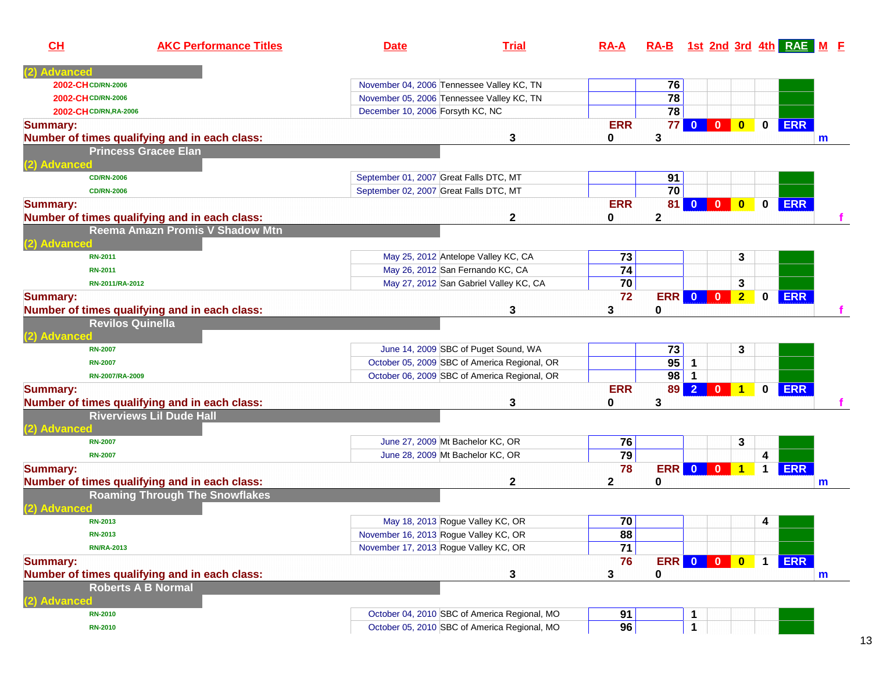| CH              | <b>AKC Performance Titles</b>                 | <b>Date</b>                               | <b>Trial</b>                                 | $RA-A$       |                 |                         | RA-B 1st 2nd 3rd 4th RAF M E   |             |            |              |
|-----------------|-----------------------------------------------|-------------------------------------------|----------------------------------------------|--------------|-----------------|-------------------------|--------------------------------|-------------|------------|--------------|
| <b>Advanced</b> |                                               |                                           |                                              |              |                 |                         |                                |             |            |              |
|                 | 2002-CHCD/RN-2006                             | November 04, 2006 Tennessee Valley KC, TN |                                              |              | 76              |                         |                                |             |            |              |
|                 | 2002-CHCD/RN-2006                             | November 05, 2006 Tennessee Valley KC, TN |                                              |              | $\overline{78}$ |                         |                                |             |            |              |
|                 | 2002-CHCD/RN, RA-2006                         | December 10, 2006 Forsyth KC, NC          |                                              |              | $\overline{78}$ |                         |                                |             |            |              |
| <b>Summary:</b> |                                               |                                           |                                              | <b>ERR</b>   | 77              | $\overline{\mathbf{0}}$ | $\mathbf{0}$<br>$\mathbf{0}$   | 0           | <b>ERR</b> |              |
|                 | Number of times qualifying and in each class: |                                           | 3                                            | 0            | 3               |                         |                                |             |            | $\mathsf{m}$ |
| (2) Advanced    | <b>Princess Gracee Elan</b>                   |                                           |                                              |              |                 |                         |                                |             |            |              |
|                 | <b>CD/RN-2006</b>                             | September 01, 2007 Great Falls DTC, MT    |                                              |              | 91              |                         |                                |             |            |              |
|                 | <b>CD/RN-2006</b>                             | September 02, 2007 Great Falls DTC, MT    |                                              |              | $\overline{70}$ |                         |                                |             |            |              |
| <b>Summary:</b> |                                               |                                           |                                              | <b>ERR</b>   | 81              |                         | $\bullet$                      | 0           | <b>ERR</b> |              |
|                 | Number of times qualifying and in each class: |                                           | $\mathbf 2$                                  | 0            | $\mathbf{2}$    |                         |                                |             |            |              |
| Advanced        | <b>Reema Amazn Promis V Shadow Mtn</b>        |                                           |                                              |              |                 |                         |                                |             |            |              |
|                 | <b>RN-2011</b>                                |                                           | May 25, 2012 Antelope Valley KC, CA          | 73           |                 |                         | 3                              |             |            |              |
|                 | <b>RN-2011</b>                                | May 26, 2012 San Fernando KC, CA          |                                              | 74           |                 |                         |                                |             |            |              |
|                 | RN-2011/RA-2012                               |                                           | May 27, 2012 San Gabriel Valley KC, CA       | 70           |                 |                         | 3                              |             |            |              |
| <b>Summary:</b> |                                               |                                           |                                              | 72           | <b>ERR</b>      | $\overline{\mathbf{0}}$ | $\overline{2}$<br>$\mathbf{0}$ | 0           | <b>ERR</b> |              |
|                 | Number of times qualifying and in each class: |                                           | 3                                            | 3            | 0               |                         |                                |             |            |              |
| <b>Advanced</b> | <b>Revilos Quinella</b>                       |                                           |                                              |              |                 |                         |                                |             |            |              |
|                 | <b>RN-2007</b>                                |                                           | June 14, 2009 SBC of Puget Sound, WA         |              | 73              |                         | 3                              |             |            |              |
|                 | <b>RN-2007</b>                                |                                           | October 05, 2009 SBC of America Regional, OR |              | 95              | $\mathbf{1}$            |                                |             |            |              |
|                 | RN-2007/RA-2009                               |                                           | October 06, 2009 SBC of America Regional, OR |              | 98              | $\overline{1}$          |                                |             |            |              |
| <b>Summary:</b> |                                               |                                           |                                              | <b>ERR</b>   | 89              |                         | $2 0 1$                        | 0           | <b>ERR</b> |              |
|                 | Number of times qualifying and in each class: |                                           | 3                                            | 0            | 3               |                         |                                |             |            |              |
| (2) Advanced    | <b>Riverviews Lil Dude Hall</b>               |                                           |                                              |              |                 |                         |                                |             |            |              |
|                 | <b>RN-2007</b>                                | June 27, 2009 Mt Bachelor KC, OR          |                                              | 76           |                 |                         | 3                              |             |            |              |
|                 | <b>RN-2007</b>                                | June 28, 2009 Mt Bachelor KC, OR          |                                              | 79           |                 |                         |                                | 4           |            |              |
| <b>Summary:</b> |                                               |                                           |                                              | 78           | <b>ERR</b>      |                         | 1                              | $\mathbf 1$ | <b>ERR</b> |              |
|                 | Number of times qualifying and in each class: |                                           | $\mathbf 2$                                  | $\mathbf{2}$ | 0               |                         |                                |             |            | $\mathsf{m}$ |
| <b>Advanced</b> | <b>Roaming Through The Snowflakes</b>         |                                           |                                              |              |                 |                         |                                |             |            |              |
|                 | <b>RN-2013</b>                                | May 18, 2013 Rogue Valley KC, OR          |                                              | 70           |                 |                         |                                | 4           |            |              |
|                 | <b>RN-2013</b>                                | November 16, 2013 Rogue Valley KC, OR     |                                              | 88           |                 |                         |                                |             |            |              |
|                 | <b>RN/RA-2013</b>                             | November 17, 2013 Rogue Valley KC, OR     |                                              | 71           |                 |                         |                                |             |            |              |
| <b>Summary:</b> |                                               |                                           |                                              | 76           |                 |                         | ERR 0 0 0                      | $\mathbf 1$ | <b>ERR</b> |              |
|                 | Number of times qualifying and in each class: |                                           | 3                                            | 3            | 0               |                         |                                |             |            | m            |
| <b>Advanced</b> | <b>Roberts A B Normal</b>                     |                                           |                                              |              |                 |                         |                                |             |            |              |
|                 | <b>RN-2010</b>                                |                                           | October 04, 2010 SBC of America Regional, MO | 91           |                 | 1                       |                                |             |            |              |
|                 | <b>RN-2010</b>                                |                                           | October 05, 2010 SBC of America Regional, MO | 96           |                 | $\mathbf{1}$            |                                |             |            |              |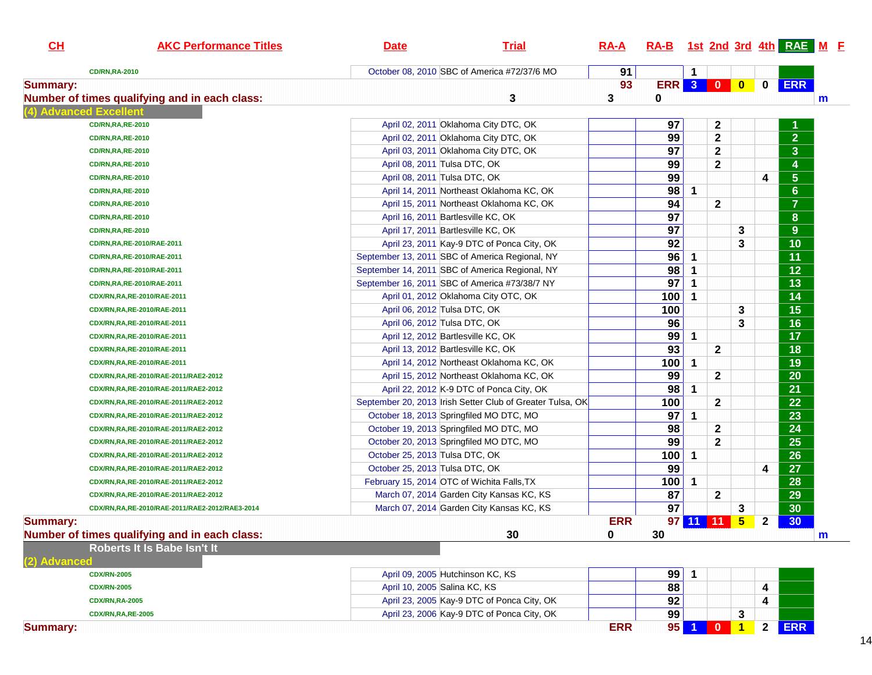| CL              | <b>AKC Performance Titles</b>                                          | <b>Date</b>                    | <b>Trial</b>                                              | <b>RA-A</b>     |                 |                |              |                |              | RA-B 1st 2nd 3rd 4th RAE M E |
|-----------------|------------------------------------------------------------------------|--------------------------------|-----------------------------------------------------------|-----------------|-----------------|----------------|--------------|----------------|--------------|------------------------------|
|                 | <b>CD/RN,RA-2010</b>                                                   |                                | October 08, 2010 SBC of America #72/37/6 MO               | 91              |                 | 1              |              |                |              |                              |
| <b>Summary:</b> | Number of times qualifying and in each class:<br>4) Advanced Excellent |                                | 3                                                         | 93<br>3         | ERR 3 0 0<br>0  |                |              |                | $\mathbf 0$  | <b>ERR</b><br>$\mathbf{m}$   |
|                 | <b>CD/RN,RA,RE-2010</b>                                                |                                | April 02, 2011 Oklahoma City DTC, OK                      |                 | 97              |                | 2            |                |              |                              |
|                 | <b>CD/RN,RA,RE-2010</b>                                                |                                | April 02, 2011 Oklahoma City DTC, OK                      |                 | 99              |                | $\mathbf 2$  |                |              | $\overline{2}$               |
|                 | <b>CD/RN,RA,RE-2010</b>                                                |                                | April 03, 2011 Oklahoma City DTC, OK                      |                 | $\overline{97}$ |                | $\mathbf 2$  |                |              | $\mathbf{3}$                 |
|                 | <b>CD/RN,RA,RE-2010</b>                                                |                                | April 08, 2011 Tulsa DTC, OK                              |                 | 99              |                | $\mathbf 2$  |                |              | $\boldsymbol{4}$             |
|                 | <b>CD/RN,RA,RE-2010</b>                                                |                                | April 08, 2011 Tulsa DTC, OK                              |                 | 99              |                |              |                | 4            | $\overline{5}$               |
|                 | <b>CD/RN,RA,RE-2010</b>                                                |                                | April 14, 2011 Northeast Oklahoma KC, OK                  |                 | 98              | 1              |              |                |              | $6\phantom{a}$               |
|                 | <b>CD/RN,RA,RE-2010</b>                                                |                                | April 15, 2011 Northeast Oklahoma KC, OK                  |                 | 94              |                | $\mathbf{2}$ |                |              | $\overline{7}$               |
|                 | <b>CD/RN,RA,RE-2010</b>                                                |                                | April 16, 2011 Bartlesville KC, OK                        |                 | $\overline{97}$ |                |              |                |              | $\boldsymbol{8}$             |
|                 | <b>CD/RN, RA, RE-2010</b>                                              |                                | April 17, 2011 Bartlesville KC, OK                        |                 | $\overline{97}$ |                |              | 3              |              | 9                            |
|                 | CD/RN, RA, RE-2010/RAE-2011                                            |                                | April 23, 2011 Kay-9 DTC of Ponca City, OK                |                 | 92              |                |              | 3              |              | 10                           |
|                 | CD/RN, RA, RE-2010/RAE-2011                                            |                                | September 13, 2011 SBC of America Regional, NY            |                 | 96              | 1              |              |                |              | 11                           |
|                 | CD/RN, RA, RE-2010/RAE-2011                                            |                                | September 14, 2011 SBC of America Regional, NY            |                 | 98              | 1              |              |                |              | 12                           |
|                 | CD/RN, RA, RE-2010/RAE-2011                                            |                                | September 16, 2011 SBC of America #73/38/7 NY             |                 | $\overline{97}$ | -1             |              |                |              | 13                           |
|                 | CDX/RN,RA,RE-2010/RAE-2011                                             |                                | April 01, 2012 Oklahoma City OTC, OK                      |                 | 100             | 1              |              |                |              | 14                           |
|                 | CDX/RN,RA,RE-2010/RAE-2011                                             |                                | April 06, 2012 Tulsa DTC, OK                              |                 | 100             |                |              | 3              |              | 15                           |
|                 | CDX/RN,RA,RE-2010/RAE-2011                                             |                                | April 06, 2012 Tulsa DTC, OK                              |                 | 96              |                |              | 3              |              | 16                           |
|                 | CDX/RN,RA,RE-2010/RAE-2011                                             |                                | April 12, 2012 Bartlesville KC, OK                        |                 | 99              | 1              |              |                |              | 17                           |
|                 | CDX/RN,RA,RE-2010/RAE-2011                                             |                                | April 13, 2012 Bartlesville KC, OK                        |                 | 93              |                | $\mathbf{2}$ |                |              | 18                           |
|                 | CDX/RN,RA,RE-2010/RAE-2011                                             |                                | April 14, 2012 Northeast Oklahoma KC, OK                  |                 | 100             | $\overline{1}$ |              |                |              | 19                           |
|                 | CDX/RN,RA,RE-2010/RAE-2011/RAE2-2012                                   |                                | April 15, 2012 Northeast Oklahoma KC, OK                  |                 | 99              |                | $\mathbf{2}$ |                |              | 20                           |
|                 | CDX/RN,RA,RE-2010/RAE-2011/RAE2-2012                                   |                                | April 22, 2012 K-9 DTC of Ponca City, OK                  |                 | 98              | $\mathbf 1$    |              |                |              | 21                           |
|                 | CDX/RN,RA,RE-2010/RAE-2011/RAE2-2012                                   |                                | September 20, 2013 Irish Setter Club of Greater Tulsa, OK |                 | 100             |                | $\mathbf{2}$ |                |              | 22                           |
|                 | CDX/RN,RA,RE-2010/RAE-2011/RAE2-2012                                   |                                | October 18, 2013 Springfiled MO DTC, MO                   |                 | 97              | $\mathbf{1}$   |              |                |              | 23                           |
|                 | CDX/RN,RA,RE-2010/RAE-2011/RAE2-2012                                   |                                | October 19, 2013 Springfiled MO DTC, MO                   |                 | 98              |                | $\mathbf{2}$ |                |              | 24                           |
|                 | CDX/RN,RA,RE-2010/RAE-2011/RAE2-2012                                   |                                | October 20, 2013 Springfiled MO DTC, MO                   |                 | 99              |                | $\mathbf{2}$ |                |              | 25                           |
|                 | CDX/RN,RA,RE-2010/RAE-2011/RAE2-2012                                   | October 25, 2013 Tulsa DTC, OK |                                                           |                 | 100             | $\mathbf{1}$   |              |                |              | 26                           |
|                 | CDX/RN,RA,RE-2010/RAE-2011/RAE2-2012                                   | October 25, 2013 Tulsa DTC, OK |                                                           |                 | 99              |                |              |                | 4            | 27                           |
|                 | CDX/RN,RA,RE-2010/RAE-2011/RAE2-2012                                   |                                | February 15, 2014 OTC of Wichita Falls, TX                |                 | 100             | $\mathbf{1}$   |              |                |              | 28                           |
|                 | CDX/RN,RA,RE-2010/RAE-2011/RAE2-2012                                   |                                | March 07, 2014 Garden City Kansas KC, KS                  |                 | 87              |                | $\mathbf{2}$ |                |              | 29                           |
|                 | CDX/RN,RA,RE-2010/RAE-2011/RAE2-2012/RAE3-2014                         |                                | March 07, 2014 Garden City Kansas KC, KS                  |                 | $\overline{97}$ |                |              | 3              |              | 30                           |
| <b>Summary:</b> | Number of times qualifying and in each class:                          |                                | 30                                                        | <b>ERR</b><br>0 | 30              | 97 11 11       |              | 5 <sup>5</sup> | $\mathbf{2}$ | 30<br>$\mathbf{m}$           |
| (2) Advanced    | Roberts It Is Babe Isn't It                                            |                                |                                                           |                 |                 |                |              |                |              |                              |
|                 | <b>CDX/RN-2005</b>                                                     |                                | April 09, 2005 Hutchinson KC, KS                          |                 | 99              | -1             |              |                |              |                              |
|                 | <b>CDX/RN-2005</b>                                                     |                                | April 10, 2005 Salina KC, KS                              |                 | 88              |                |              |                | 4            |                              |
|                 | <b>CDX/RN,RA-2005</b>                                                  |                                | April 23, 2005 Kay-9 DTC of Ponca City, OK                |                 | 92              |                |              |                | 4            |                              |
|                 | <b>CDX/RN,RA,RE-2005</b>                                               |                                | April 23, 2006 Kay-9 DTC of Ponca City, OK                |                 | 99              |                |              | 3              |              |                              |
| <b>Summary:</b> |                                                                        |                                |                                                           | <b>ERR</b>      | 95              |                | $\mathbf{0}$ | $\vert$ 1      | $\mathbf{2}$ | <b>ERR</b>                   |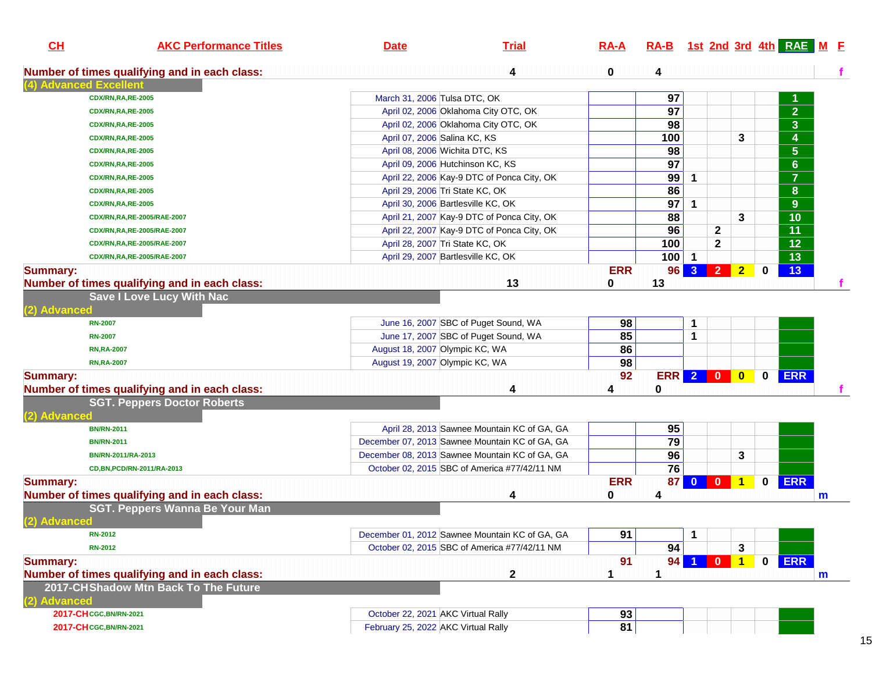| 4<br>Number of times qualifying and in each class:<br>0<br>4<br>4) Advanced Excellent<br>97<br>March 31, 2006 Tulsa DTC, OK<br><b>CDX/RN,RA,RE-2005</b><br>$\overline{97}$<br>$\overline{2}$<br>April 02, 2006 Oklahoma City OTC, OK<br><b>CDX/RN,RA,RE-2005</b><br>98<br>$\overline{\mathbf{3}}$<br>April 02, 2006 Oklahoma City OTC, OK<br><b>CDX/RN,RA,RE-2005</b><br>100<br>4<br>April 07, 2006 Salina KC, KS<br>3<br><b>CDX/RN,RA,RE-2005</b><br>98<br>$5\phantom{1}$<br>April 08, 2006 Wichita DTC, KS<br><b>CDX/RN,RA,RE-2005</b><br>$\overline{97}$<br>$6\phantom{1}$<br>April 09, 2006 Hutchinson KC, KS<br><b>CDX/RN,RA,RE-2005</b><br>$\overline{7}$<br>99<br>April 22, 2006 Kay-9 DTC of Ponca City, OK<br>$\blacktriangleleft$<br><b>CDX/RN,RA,RE-2005</b><br>86<br>$\boldsymbol{8}$<br>April 29, 2006 Tri State KC, OK<br><b>CDX/RN,RA,RE-2005</b><br>97<br>9<br>$\mathbf{1}$<br>April 30, 2006 Bartlesville KC, OK<br><b>CDX/RN,RA,RE-2005</b><br>88<br>10<br>3<br>April 21, 2007 Kay-9 DTC of Ponca City, OK<br>CDX/RN,RA,RE-2005/RAE-2007<br>96<br>$\overline{11}$<br>$\mathbf{2}$<br>April 22, 2007 Kay-9 DTC of Ponca City, OK<br>CDX/RN,RA,RE-2005/RAE-2007<br>$\overline{12}$<br>100<br>$\mathbf{2}$<br>April 28, 2007 Tri State KC, OK<br>CDX/RN,RA,RE-2005/RAE-2007<br>$\overline{13}$<br>$100$ 1<br>April 29, 2007 Bartlesville KC, OK<br>CDX/RN,RA,RE-2005/RAE-2007<br>$96 \ 3$<br>$2 \mid 2 \mid$<br><b>ERR</b><br>13<br>$\mathbf 0$<br><b>Summary:</b><br>13<br>13<br>Number of times qualifying and in each class:<br>0<br><b>Save I Love Lucy With Nac</b><br>2) Advanced<br>June 16, 2007 SBC of Puget Sound, WA<br>98<br>1<br><b>RN-2007</b><br>85<br>1<br>June 17, 2007 SBC of Puget Sound, WA<br><b>RN-2007</b><br>86<br>August 18, 2007 Olympic KC, WA<br><b>RN,RA-2007</b><br>98<br>August 19, 2007 Olympic KC, WA<br><b>RN,RA-2007</b><br>92<br>ERR 2 0 0<br><b>ERR</b><br>$\mathbf 0$<br><b>Summary:</b><br>Number of times qualifying and in each class:<br>4<br>4<br>0<br><b>SGT. Peppers Doctor Roberts</b><br>2) Advanced<br>95<br>April 28, 2013 Sawnee Mountain KC of GA, GA<br><b>BN/RN-2011</b><br>79<br>December 07, 2013 Sawnee Mountain KC of GA, GA<br><b>BN/RN-2011</b><br>96<br>3<br>December 08, 2013 Sawnee Mountain KC of GA, GA<br>BN/RN-2011/RA-2013<br>76<br>October 02, 2015 SBC of America #77/42/11 NM<br>CD, BN, PCD/RN-2011/RA-2013<br>87 0 0 0<br><b>ERR</b><br><b>ERR</b><br>$\mathbf{1}$<br>0<br><b>Summary:</b><br>Number of times qualifying and in each class:<br>0<br>4<br>4<br>m<br><b>SGT. Peppers Wanna Be Your Man</b><br>(2) Advanced<br>91<br>December 01, 2012 Sawnee Mountain KC of GA, GA<br>1<br><b>RN-2012</b><br>94<br>October 02, 2015 SBC of America #77/42/11 NM<br>3<br><b>RN-2012</b><br><b>ERR</b><br>91<br>94<br>$\vert$ 1<br>$\mathbf 0$<br><b>Summary:</b><br>$\mathbf{0}$<br>$\blacktriangleleft$<br>Number of times qualifying and in each class:<br>$\mathbf 2$<br>1<br>1<br>$\mathbf{m}$<br>2017-CHShadow Mtn Back To The Future<br>2) Advanced<br>93<br>2017-CH CGC, BN/RN-2021<br>October 22, 2021 AKC Virtual Rally<br>81<br>2017-CHCGC, BN/RN-2021<br>February 25, 2022 AKC Virtual Rally | CL | <b>AKC Performance Titles</b> | <b>Date</b> | <b>Trial</b> | $RA-A$ |  |  | RA-B 1st 2nd 3rd 4th RAE M F |
|---------------------------------------------------------------------------------------------------------------------------------------------------------------------------------------------------------------------------------------------------------------------------------------------------------------------------------------------------------------------------------------------------------------------------------------------------------------------------------------------------------------------------------------------------------------------------------------------------------------------------------------------------------------------------------------------------------------------------------------------------------------------------------------------------------------------------------------------------------------------------------------------------------------------------------------------------------------------------------------------------------------------------------------------------------------------------------------------------------------------------------------------------------------------------------------------------------------------------------------------------------------------------------------------------------------------------------------------------------------------------------------------------------------------------------------------------------------------------------------------------------------------------------------------------------------------------------------------------------------------------------------------------------------------------------------------------------------------------------------------------------------------------------------------------------------------------------------------------------------------------------------------------------------------------------------------------------------------------------------------------------------------------------------------------------------------------------------------------------------------------------------------------------------------------------------------------------------------------------------------------------------------------------------------------------------------------------------------------------------------------------------------------------------------------------------------------------------------------------------------------------------------------------------------------------------------------------------------------------------------------------------------------------------------------------------------------------------------------------------------------------------------------------------------------------------------------------------------------------------------------------------------------------------------------------------------------------------------------------------------------------------------------------------------------------------------------------------------------------------------------------------------------------------------------------------------|----|-------------------------------|-------------|--------------|--------|--|--|------------------------------|
|                                                                                                                                                                                                                                                                                                                                                                                                                                                                                                                                                                                                                                                                                                                                                                                                                                                                                                                                                                                                                                                                                                                                                                                                                                                                                                                                                                                                                                                                                                                                                                                                                                                                                                                                                                                                                                                                                                                                                                                                                                                                                                                                                                                                                                                                                                                                                                                                                                                                                                                                                                                                                                                                                                                                                                                                                                                                                                                                                                                                                                                                                                                                                                                             |    |                               |             |              |        |  |  |                              |
|                                                                                                                                                                                                                                                                                                                                                                                                                                                                                                                                                                                                                                                                                                                                                                                                                                                                                                                                                                                                                                                                                                                                                                                                                                                                                                                                                                                                                                                                                                                                                                                                                                                                                                                                                                                                                                                                                                                                                                                                                                                                                                                                                                                                                                                                                                                                                                                                                                                                                                                                                                                                                                                                                                                                                                                                                                                                                                                                                                                                                                                                                                                                                                                             |    |                               |             |              |        |  |  |                              |
|                                                                                                                                                                                                                                                                                                                                                                                                                                                                                                                                                                                                                                                                                                                                                                                                                                                                                                                                                                                                                                                                                                                                                                                                                                                                                                                                                                                                                                                                                                                                                                                                                                                                                                                                                                                                                                                                                                                                                                                                                                                                                                                                                                                                                                                                                                                                                                                                                                                                                                                                                                                                                                                                                                                                                                                                                                                                                                                                                                                                                                                                                                                                                                                             |    |                               |             |              |        |  |  |                              |
|                                                                                                                                                                                                                                                                                                                                                                                                                                                                                                                                                                                                                                                                                                                                                                                                                                                                                                                                                                                                                                                                                                                                                                                                                                                                                                                                                                                                                                                                                                                                                                                                                                                                                                                                                                                                                                                                                                                                                                                                                                                                                                                                                                                                                                                                                                                                                                                                                                                                                                                                                                                                                                                                                                                                                                                                                                                                                                                                                                                                                                                                                                                                                                                             |    |                               |             |              |        |  |  |                              |
|                                                                                                                                                                                                                                                                                                                                                                                                                                                                                                                                                                                                                                                                                                                                                                                                                                                                                                                                                                                                                                                                                                                                                                                                                                                                                                                                                                                                                                                                                                                                                                                                                                                                                                                                                                                                                                                                                                                                                                                                                                                                                                                                                                                                                                                                                                                                                                                                                                                                                                                                                                                                                                                                                                                                                                                                                                                                                                                                                                                                                                                                                                                                                                                             |    |                               |             |              |        |  |  |                              |
|                                                                                                                                                                                                                                                                                                                                                                                                                                                                                                                                                                                                                                                                                                                                                                                                                                                                                                                                                                                                                                                                                                                                                                                                                                                                                                                                                                                                                                                                                                                                                                                                                                                                                                                                                                                                                                                                                                                                                                                                                                                                                                                                                                                                                                                                                                                                                                                                                                                                                                                                                                                                                                                                                                                                                                                                                                                                                                                                                                                                                                                                                                                                                                                             |    |                               |             |              |        |  |  |                              |
|                                                                                                                                                                                                                                                                                                                                                                                                                                                                                                                                                                                                                                                                                                                                                                                                                                                                                                                                                                                                                                                                                                                                                                                                                                                                                                                                                                                                                                                                                                                                                                                                                                                                                                                                                                                                                                                                                                                                                                                                                                                                                                                                                                                                                                                                                                                                                                                                                                                                                                                                                                                                                                                                                                                                                                                                                                                                                                                                                                                                                                                                                                                                                                                             |    |                               |             |              |        |  |  |                              |
|                                                                                                                                                                                                                                                                                                                                                                                                                                                                                                                                                                                                                                                                                                                                                                                                                                                                                                                                                                                                                                                                                                                                                                                                                                                                                                                                                                                                                                                                                                                                                                                                                                                                                                                                                                                                                                                                                                                                                                                                                                                                                                                                                                                                                                                                                                                                                                                                                                                                                                                                                                                                                                                                                                                                                                                                                                                                                                                                                                                                                                                                                                                                                                                             |    |                               |             |              |        |  |  |                              |
|                                                                                                                                                                                                                                                                                                                                                                                                                                                                                                                                                                                                                                                                                                                                                                                                                                                                                                                                                                                                                                                                                                                                                                                                                                                                                                                                                                                                                                                                                                                                                                                                                                                                                                                                                                                                                                                                                                                                                                                                                                                                                                                                                                                                                                                                                                                                                                                                                                                                                                                                                                                                                                                                                                                                                                                                                                                                                                                                                                                                                                                                                                                                                                                             |    |                               |             |              |        |  |  |                              |
|                                                                                                                                                                                                                                                                                                                                                                                                                                                                                                                                                                                                                                                                                                                                                                                                                                                                                                                                                                                                                                                                                                                                                                                                                                                                                                                                                                                                                                                                                                                                                                                                                                                                                                                                                                                                                                                                                                                                                                                                                                                                                                                                                                                                                                                                                                                                                                                                                                                                                                                                                                                                                                                                                                                                                                                                                                                                                                                                                                                                                                                                                                                                                                                             |    |                               |             |              |        |  |  |                              |
|                                                                                                                                                                                                                                                                                                                                                                                                                                                                                                                                                                                                                                                                                                                                                                                                                                                                                                                                                                                                                                                                                                                                                                                                                                                                                                                                                                                                                                                                                                                                                                                                                                                                                                                                                                                                                                                                                                                                                                                                                                                                                                                                                                                                                                                                                                                                                                                                                                                                                                                                                                                                                                                                                                                                                                                                                                                                                                                                                                                                                                                                                                                                                                                             |    |                               |             |              |        |  |  |                              |
|                                                                                                                                                                                                                                                                                                                                                                                                                                                                                                                                                                                                                                                                                                                                                                                                                                                                                                                                                                                                                                                                                                                                                                                                                                                                                                                                                                                                                                                                                                                                                                                                                                                                                                                                                                                                                                                                                                                                                                                                                                                                                                                                                                                                                                                                                                                                                                                                                                                                                                                                                                                                                                                                                                                                                                                                                                                                                                                                                                                                                                                                                                                                                                                             |    |                               |             |              |        |  |  |                              |
|                                                                                                                                                                                                                                                                                                                                                                                                                                                                                                                                                                                                                                                                                                                                                                                                                                                                                                                                                                                                                                                                                                                                                                                                                                                                                                                                                                                                                                                                                                                                                                                                                                                                                                                                                                                                                                                                                                                                                                                                                                                                                                                                                                                                                                                                                                                                                                                                                                                                                                                                                                                                                                                                                                                                                                                                                                                                                                                                                                                                                                                                                                                                                                                             |    |                               |             |              |        |  |  |                              |
|                                                                                                                                                                                                                                                                                                                                                                                                                                                                                                                                                                                                                                                                                                                                                                                                                                                                                                                                                                                                                                                                                                                                                                                                                                                                                                                                                                                                                                                                                                                                                                                                                                                                                                                                                                                                                                                                                                                                                                                                                                                                                                                                                                                                                                                                                                                                                                                                                                                                                                                                                                                                                                                                                                                                                                                                                                                                                                                                                                                                                                                                                                                                                                                             |    |                               |             |              |        |  |  |                              |
|                                                                                                                                                                                                                                                                                                                                                                                                                                                                                                                                                                                                                                                                                                                                                                                                                                                                                                                                                                                                                                                                                                                                                                                                                                                                                                                                                                                                                                                                                                                                                                                                                                                                                                                                                                                                                                                                                                                                                                                                                                                                                                                                                                                                                                                                                                                                                                                                                                                                                                                                                                                                                                                                                                                                                                                                                                                                                                                                                                                                                                                                                                                                                                                             |    |                               |             |              |        |  |  |                              |
|                                                                                                                                                                                                                                                                                                                                                                                                                                                                                                                                                                                                                                                                                                                                                                                                                                                                                                                                                                                                                                                                                                                                                                                                                                                                                                                                                                                                                                                                                                                                                                                                                                                                                                                                                                                                                                                                                                                                                                                                                                                                                                                                                                                                                                                                                                                                                                                                                                                                                                                                                                                                                                                                                                                                                                                                                                                                                                                                                                                                                                                                                                                                                                                             |    |                               |             |              |        |  |  |                              |
|                                                                                                                                                                                                                                                                                                                                                                                                                                                                                                                                                                                                                                                                                                                                                                                                                                                                                                                                                                                                                                                                                                                                                                                                                                                                                                                                                                                                                                                                                                                                                                                                                                                                                                                                                                                                                                                                                                                                                                                                                                                                                                                                                                                                                                                                                                                                                                                                                                                                                                                                                                                                                                                                                                                                                                                                                                                                                                                                                                                                                                                                                                                                                                                             |    |                               |             |              |        |  |  |                              |
|                                                                                                                                                                                                                                                                                                                                                                                                                                                                                                                                                                                                                                                                                                                                                                                                                                                                                                                                                                                                                                                                                                                                                                                                                                                                                                                                                                                                                                                                                                                                                                                                                                                                                                                                                                                                                                                                                                                                                                                                                                                                                                                                                                                                                                                                                                                                                                                                                                                                                                                                                                                                                                                                                                                                                                                                                                                                                                                                                                                                                                                                                                                                                                                             |    |                               |             |              |        |  |  |                              |
|                                                                                                                                                                                                                                                                                                                                                                                                                                                                                                                                                                                                                                                                                                                                                                                                                                                                                                                                                                                                                                                                                                                                                                                                                                                                                                                                                                                                                                                                                                                                                                                                                                                                                                                                                                                                                                                                                                                                                                                                                                                                                                                                                                                                                                                                                                                                                                                                                                                                                                                                                                                                                                                                                                                                                                                                                                                                                                                                                                                                                                                                                                                                                                                             |    |                               |             |              |        |  |  |                              |
|                                                                                                                                                                                                                                                                                                                                                                                                                                                                                                                                                                                                                                                                                                                                                                                                                                                                                                                                                                                                                                                                                                                                                                                                                                                                                                                                                                                                                                                                                                                                                                                                                                                                                                                                                                                                                                                                                                                                                                                                                                                                                                                                                                                                                                                                                                                                                                                                                                                                                                                                                                                                                                                                                                                                                                                                                                                                                                                                                                                                                                                                                                                                                                                             |    |                               |             |              |        |  |  |                              |
|                                                                                                                                                                                                                                                                                                                                                                                                                                                                                                                                                                                                                                                                                                                                                                                                                                                                                                                                                                                                                                                                                                                                                                                                                                                                                                                                                                                                                                                                                                                                                                                                                                                                                                                                                                                                                                                                                                                                                                                                                                                                                                                                                                                                                                                                                                                                                                                                                                                                                                                                                                                                                                                                                                                                                                                                                                                                                                                                                                                                                                                                                                                                                                                             |    |                               |             |              |        |  |  |                              |
|                                                                                                                                                                                                                                                                                                                                                                                                                                                                                                                                                                                                                                                                                                                                                                                                                                                                                                                                                                                                                                                                                                                                                                                                                                                                                                                                                                                                                                                                                                                                                                                                                                                                                                                                                                                                                                                                                                                                                                                                                                                                                                                                                                                                                                                                                                                                                                                                                                                                                                                                                                                                                                                                                                                                                                                                                                                                                                                                                                                                                                                                                                                                                                                             |    |                               |             |              |        |  |  |                              |
|                                                                                                                                                                                                                                                                                                                                                                                                                                                                                                                                                                                                                                                                                                                                                                                                                                                                                                                                                                                                                                                                                                                                                                                                                                                                                                                                                                                                                                                                                                                                                                                                                                                                                                                                                                                                                                                                                                                                                                                                                                                                                                                                                                                                                                                                                                                                                                                                                                                                                                                                                                                                                                                                                                                                                                                                                                                                                                                                                                                                                                                                                                                                                                                             |    |                               |             |              |        |  |  |                              |
|                                                                                                                                                                                                                                                                                                                                                                                                                                                                                                                                                                                                                                                                                                                                                                                                                                                                                                                                                                                                                                                                                                                                                                                                                                                                                                                                                                                                                                                                                                                                                                                                                                                                                                                                                                                                                                                                                                                                                                                                                                                                                                                                                                                                                                                                                                                                                                                                                                                                                                                                                                                                                                                                                                                                                                                                                                                                                                                                                                                                                                                                                                                                                                                             |    |                               |             |              |        |  |  |                              |
|                                                                                                                                                                                                                                                                                                                                                                                                                                                                                                                                                                                                                                                                                                                                                                                                                                                                                                                                                                                                                                                                                                                                                                                                                                                                                                                                                                                                                                                                                                                                                                                                                                                                                                                                                                                                                                                                                                                                                                                                                                                                                                                                                                                                                                                                                                                                                                                                                                                                                                                                                                                                                                                                                                                                                                                                                                                                                                                                                                                                                                                                                                                                                                                             |    |                               |             |              |        |  |  |                              |
|                                                                                                                                                                                                                                                                                                                                                                                                                                                                                                                                                                                                                                                                                                                                                                                                                                                                                                                                                                                                                                                                                                                                                                                                                                                                                                                                                                                                                                                                                                                                                                                                                                                                                                                                                                                                                                                                                                                                                                                                                                                                                                                                                                                                                                                                                                                                                                                                                                                                                                                                                                                                                                                                                                                                                                                                                                                                                                                                                                                                                                                                                                                                                                                             |    |                               |             |              |        |  |  |                              |
|                                                                                                                                                                                                                                                                                                                                                                                                                                                                                                                                                                                                                                                                                                                                                                                                                                                                                                                                                                                                                                                                                                                                                                                                                                                                                                                                                                                                                                                                                                                                                                                                                                                                                                                                                                                                                                                                                                                                                                                                                                                                                                                                                                                                                                                                                                                                                                                                                                                                                                                                                                                                                                                                                                                                                                                                                                                                                                                                                                                                                                                                                                                                                                                             |    |                               |             |              |        |  |  |                              |
|                                                                                                                                                                                                                                                                                                                                                                                                                                                                                                                                                                                                                                                                                                                                                                                                                                                                                                                                                                                                                                                                                                                                                                                                                                                                                                                                                                                                                                                                                                                                                                                                                                                                                                                                                                                                                                                                                                                                                                                                                                                                                                                                                                                                                                                                                                                                                                                                                                                                                                                                                                                                                                                                                                                                                                                                                                                                                                                                                                                                                                                                                                                                                                                             |    |                               |             |              |        |  |  |                              |
|                                                                                                                                                                                                                                                                                                                                                                                                                                                                                                                                                                                                                                                                                                                                                                                                                                                                                                                                                                                                                                                                                                                                                                                                                                                                                                                                                                                                                                                                                                                                                                                                                                                                                                                                                                                                                                                                                                                                                                                                                                                                                                                                                                                                                                                                                                                                                                                                                                                                                                                                                                                                                                                                                                                                                                                                                                                                                                                                                                                                                                                                                                                                                                                             |    |                               |             |              |        |  |  |                              |
|                                                                                                                                                                                                                                                                                                                                                                                                                                                                                                                                                                                                                                                                                                                                                                                                                                                                                                                                                                                                                                                                                                                                                                                                                                                                                                                                                                                                                                                                                                                                                                                                                                                                                                                                                                                                                                                                                                                                                                                                                                                                                                                                                                                                                                                                                                                                                                                                                                                                                                                                                                                                                                                                                                                                                                                                                                                                                                                                                                                                                                                                                                                                                                                             |    |                               |             |              |        |  |  |                              |
|                                                                                                                                                                                                                                                                                                                                                                                                                                                                                                                                                                                                                                                                                                                                                                                                                                                                                                                                                                                                                                                                                                                                                                                                                                                                                                                                                                                                                                                                                                                                                                                                                                                                                                                                                                                                                                                                                                                                                                                                                                                                                                                                                                                                                                                                                                                                                                                                                                                                                                                                                                                                                                                                                                                                                                                                                                                                                                                                                                                                                                                                                                                                                                                             |    |                               |             |              |        |  |  |                              |
|                                                                                                                                                                                                                                                                                                                                                                                                                                                                                                                                                                                                                                                                                                                                                                                                                                                                                                                                                                                                                                                                                                                                                                                                                                                                                                                                                                                                                                                                                                                                                                                                                                                                                                                                                                                                                                                                                                                                                                                                                                                                                                                                                                                                                                                                                                                                                                                                                                                                                                                                                                                                                                                                                                                                                                                                                                                                                                                                                                                                                                                                                                                                                                                             |    |                               |             |              |        |  |  |                              |
|                                                                                                                                                                                                                                                                                                                                                                                                                                                                                                                                                                                                                                                                                                                                                                                                                                                                                                                                                                                                                                                                                                                                                                                                                                                                                                                                                                                                                                                                                                                                                                                                                                                                                                                                                                                                                                                                                                                                                                                                                                                                                                                                                                                                                                                                                                                                                                                                                                                                                                                                                                                                                                                                                                                                                                                                                                                                                                                                                                                                                                                                                                                                                                                             |    |                               |             |              |        |  |  |                              |
|                                                                                                                                                                                                                                                                                                                                                                                                                                                                                                                                                                                                                                                                                                                                                                                                                                                                                                                                                                                                                                                                                                                                                                                                                                                                                                                                                                                                                                                                                                                                                                                                                                                                                                                                                                                                                                                                                                                                                                                                                                                                                                                                                                                                                                                                                                                                                                                                                                                                                                                                                                                                                                                                                                                                                                                                                                                                                                                                                                                                                                                                                                                                                                                             |    |                               |             |              |        |  |  |                              |
|                                                                                                                                                                                                                                                                                                                                                                                                                                                                                                                                                                                                                                                                                                                                                                                                                                                                                                                                                                                                                                                                                                                                                                                                                                                                                                                                                                                                                                                                                                                                                                                                                                                                                                                                                                                                                                                                                                                                                                                                                                                                                                                                                                                                                                                                                                                                                                                                                                                                                                                                                                                                                                                                                                                                                                                                                                                                                                                                                                                                                                                                                                                                                                                             |    |                               |             |              |        |  |  |                              |
|                                                                                                                                                                                                                                                                                                                                                                                                                                                                                                                                                                                                                                                                                                                                                                                                                                                                                                                                                                                                                                                                                                                                                                                                                                                                                                                                                                                                                                                                                                                                                                                                                                                                                                                                                                                                                                                                                                                                                                                                                                                                                                                                                                                                                                                                                                                                                                                                                                                                                                                                                                                                                                                                                                                                                                                                                                                                                                                                                                                                                                                                                                                                                                                             |    |                               |             |              |        |  |  |                              |
|                                                                                                                                                                                                                                                                                                                                                                                                                                                                                                                                                                                                                                                                                                                                                                                                                                                                                                                                                                                                                                                                                                                                                                                                                                                                                                                                                                                                                                                                                                                                                                                                                                                                                                                                                                                                                                                                                                                                                                                                                                                                                                                                                                                                                                                                                                                                                                                                                                                                                                                                                                                                                                                                                                                                                                                                                                                                                                                                                                                                                                                                                                                                                                                             |    |                               |             |              |        |  |  |                              |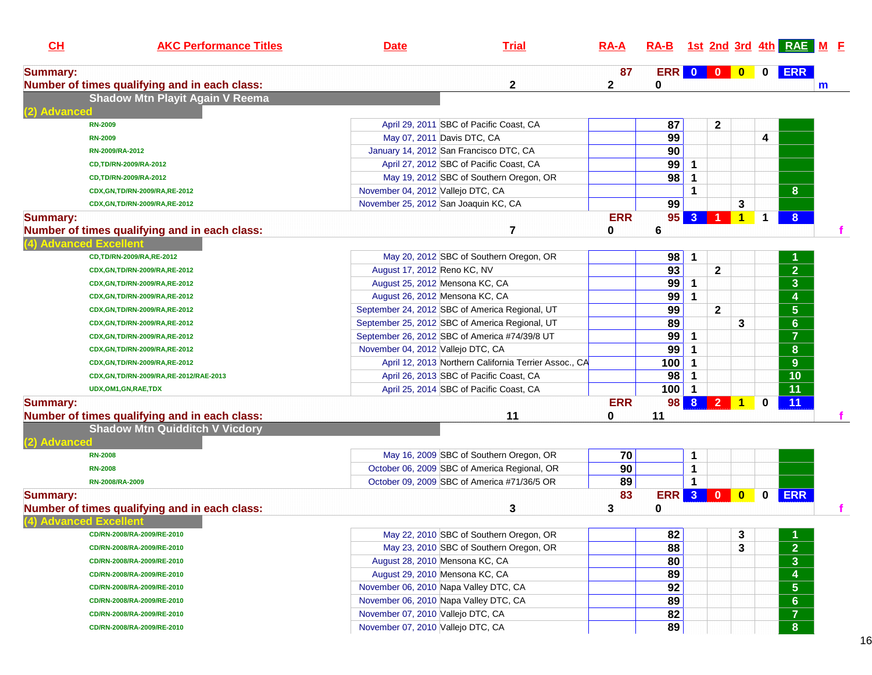| CL              | <b>AKC Performance Titles</b>                 | <b>Date</b>                           | <b>Trial</b>                                          | $RA-A$       | RA-B 1st 2nd 3rd 4th RAE M F |                      |              |   |             |                         |              |
|-----------------|-----------------------------------------------|---------------------------------------|-------------------------------------------------------|--------------|------------------------------|----------------------|--------------|---|-------------|-------------------------|--------------|
| <b>Summary:</b> |                                               |                                       |                                                       | 87           | ERR 0 0 0                    |                      |              |   | $\mathbf 0$ | <b>ERR</b>              |              |
|                 | Number of times qualifying and in each class: |                                       | $\mathbf 2$                                           | $\mathbf{2}$ | 0                            |                      |              |   |             |                         | $\mathsf{m}$ |
| (2) Advanced    | <b>Shadow Mtn Playit Again V Reema</b>        |                                       |                                                       |              |                              |                      |              |   |             |                         |              |
|                 | <b>RN-2009</b>                                |                                       | April 29, 2011 SBC of Pacific Coast, CA               |              | 87                           |                      | $\mathbf{2}$ |   |             |                         |              |
|                 | <b>RN-2009</b>                                | May 07, 2011 Davis DTC, CA            |                                                       |              | 99                           |                      |              |   | 4           |                         |              |
|                 | RN-2009/RA-2012                               |                                       | January 14, 2012 San Francisco DTC, CA                |              | 90                           |                      |              |   |             |                         |              |
|                 | CD,TD/RN-2009/RA-2012                         |                                       | April 27, 2012 SBC of Pacific Coast, CA               |              | 99                           | 1                    |              |   |             |                         |              |
|                 | CD,TD/RN-2009/RA-2012                         |                                       | May 19, 2012 SBC of Southern Oregon, OR               |              | 98                           | 1                    |              |   |             |                         |              |
|                 | CDX, GN, TD/RN-2009/RA, RE-2012               | November 04, 2012 Vallejo DTC, CA     |                                                       |              |                              | 1                    |              |   |             | 8                       |              |
|                 | CDX, GN, TD/RN-2009/RA, RE-2012               | November 25, 2012 San Joaquin KC, CA  |                                                       |              | 99                           |                      |              | 3 |             |                         |              |
| <b>Summary:</b> |                                               |                                       |                                                       | <b>ERR</b>   |                              | $95 \quad 3$         | $1\vert 1$   |   | $\mathbf 1$ | 8 <sup>1</sup>          |              |
|                 | Number of times qualifying and in each class: |                                       | 7                                                     | 0            | 6                            |                      |              |   |             |                         |              |
|                 | (4) Advanced Excellent                        |                                       |                                                       |              |                              |                      |              |   |             |                         |              |
|                 | CD,TD/RN-2009/RA,RE-2012                      |                                       | May 20, 2012 SBC of Southern Oregon, OR               |              | 98                           | $\mathbf 1$          |              |   |             |                         |              |
|                 | CDX,GN,TD/RN-2009/RA,RE-2012                  | August 17, 2012 Reno KC, NV           |                                                       |              | 93                           |                      | $\mathbf{2}$ |   |             | $\overline{2}$          |              |
|                 | CDX, GN, TD/RN-2009/RA, RE-2012               | August 25, 2012 Mensona KC, CA        |                                                       |              | 99                           | $\mathbf 1$          |              |   |             | $\overline{\mathbf{3}}$ |              |
|                 | CDX,GN,TD/RN-2009/RA,RE-2012                  | August 26, 2012 Mensona KC, CA        |                                                       |              | 99                           | $\mathbf{1}$         |              |   |             | $\boldsymbol{4}$        |              |
|                 | CDX,GN,TD/RN-2009/RA,RE-2012                  |                                       | September 24, 2012 SBC of America Regional, UT        |              | 99                           |                      | $\mathbf{2}$ |   |             | $5\phantom{.0}$         |              |
|                 | CDX,GN,TD/RN-2009/RA,RE-2012                  |                                       | September 25, 2012 SBC of America Regional, UT        |              | 89                           |                      |              | 3 |             | $6\phantom{a}$          |              |
|                 | CDX,GN,TD/RN-2009/RA,RE-2012                  |                                       | September 26, 2012 SBC of America #74/39/8 UT         |              | 99                           | $\mathbf 1$          |              |   |             | $\overline{7}$          |              |
|                 | CDX,GN,TD/RN-2009/RA,RE-2012                  | November 04, 2012 Vallejo DTC, CA     |                                                       |              | 99                           | 1                    |              |   |             | 8                       |              |
|                 | CDX,GN,TD/RN-2009/RA,RE-2012                  |                                       | April 12, 2013 Northern California Terrier Assoc., CA |              | 100                          | 1                    |              |   |             | 9                       |              |
|                 | CDX, GN, TD/RN-2009/RA, RE-2012/RAE-2013      |                                       | April 26, 2013 SBC of Pacific Coast, CA               |              | 98                           | 1                    |              |   |             | 10                      |              |
|                 | UDX, OM1, GN, RAE, TDX                        |                                       | April 25, 2014 SBC of Pacific Coast, CA               |              | 100                          | $\blacktriangleleft$ |              |   |             | $\overline{11}$         |              |
| <b>Summary:</b> |                                               |                                       |                                                       | <b>ERR</b>   | 98 <sub>1</sub>              | 8                    | <b>2</b> 1   |   | $\mathbf 0$ | 11                      |              |
|                 | Number of times qualifying and in each class: |                                       | 11                                                    | 0            | 11                           |                      |              |   |             |                         |              |
| (2) Advanced    | <b>Shadow Mtn Quidditch V Vicdory</b>         |                                       |                                                       |              |                              |                      |              |   |             |                         |              |
|                 | <b>RN-2008</b>                                |                                       | May 16, 2009 SBC of Southern Oregon, OR               | 70           |                              | 1                    |              |   |             |                         |              |
|                 | <b>RN-2008</b>                                |                                       | October 06, 2009 SBC of America Regional, OR          | 90           |                              | 1                    |              |   |             |                         |              |
|                 | RN-2008/RA-2009                               |                                       | October 09, 2009 SBC of America #71/36/5 OR           | 89           |                              | 1                    |              |   |             |                         |              |
| <b>Summary:</b> |                                               |                                       |                                                       | 83           | <b>ERR 3 0 0</b>             |                      |              |   | $\mathbf 0$ | <b>ERR</b>              |              |
|                 | Number of times qualifying and in each class: |                                       | 3                                                     | 3            | 0                            |                      |              |   |             |                         | f            |
|                 | (4) Advanced Excellent                        |                                       |                                                       |              |                              |                      |              |   |             |                         |              |
|                 | CD/RN-2008/RA-2009/RE-2010                    |                                       | May 22, 2010 SBC of Southern Oregon, OR               |              | 82                           |                      |              | 3 |             |                         |              |
|                 | CD/RN-2008/RA-2009/RE-2010                    |                                       | May 23, 2010 SBC of Southern Oregon, OR               |              | 88                           |                      |              | 3 |             | $\overline{2}$          |              |
|                 | CD/RN-2008/RA-2009/RE-2010                    | August 28, 2010 Mensona KC, CA        |                                                       |              | 80                           |                      |              |   |             | $\overline{\mathbf{3}}$ |              |
|                 | CD/RN-2008/RA-2009/RE-2010                    | August 29, 2010 Mensona KC, CA        |                                                       |              | 89                           |                      |              |   |             | $\boldsymbol{4}$        |              |
|                 | CD/RN-2008/RA-2009/RE-2010                    | November 06, 2010 Napa Valley DTC, CA |                                                       |              | 92                           |                      |              |   |             | $5\phantom{.0}$         |              |
|                 | CD/RN-2008/RA-2009/RE-2010                    | November 06, 2010 Napa Valley DTC, CA |                                                       |              | 89                           |                      |              |   |             | $6\phantom{a}$          |              |
|                 | CD/RN-2008/RA-2009/RE-2010                    | November 07, 2010 Vallejo DTC, CA     |                                                       |              | 82                           |                      |              |   |             | $\overline{7}$          |              |
|                 | CD/RN-2008/RA-2009/RE-2010                    | November 07, 2010 Vallejo DTC, CA     |                                                       |              | 89                           |                      |              |   |             | 8                       |              |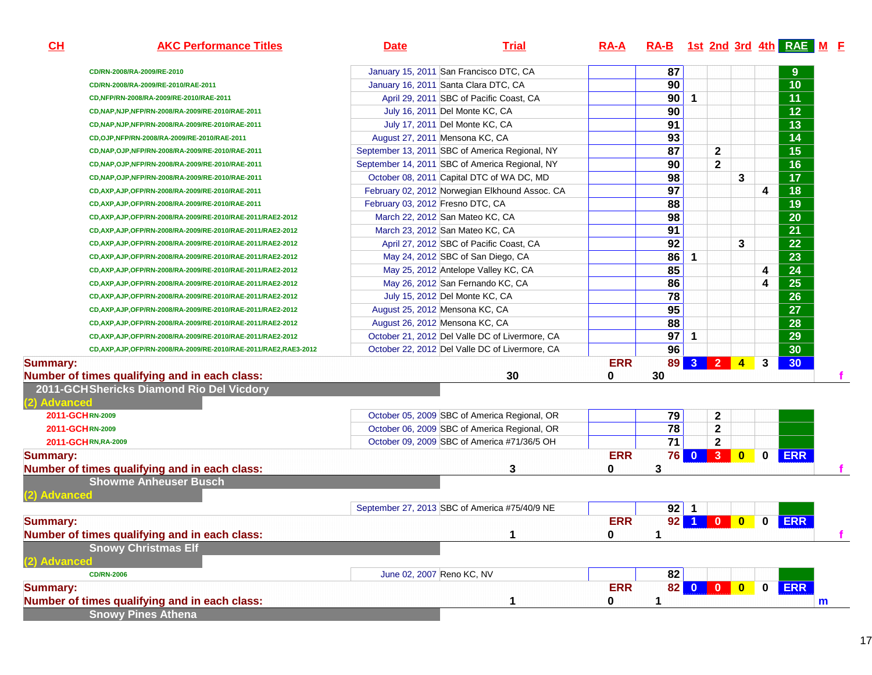**AKC Performance Titles Date Trial RA-A RA-B 1st 2nd 3rd 4th RAE <sup>M</sup> <sup>F</sup>** January 15, 2011 San Francisco DTC, CA

| CD/RN-2008/RA-2009/RE-2010                                         |                                  | January 15, 2011 San Francisco DTC, CA         |            | 87              |                      |                |                         |                         | 9               |
|--------------------------------------------------------------------|----------------------------------|------------------------------------------------|------------|-----------------|----------------------|----------------|-------------------------|-------------------------|-----------------|
| CD/RN-2008/RA-2009/RE-2010/RAE-2011                                |                                  | January 16, 2011 Santa Clara DTC, CA           |            | 90              |                      |                |                         |                         | 10              |
| CD,NFP/RN-2008/RA-2009/RE-2010/RAE-2011                            |                                  | April 29, 2011 SBC of Pacific Coast, CA        |            | 90              | $\blacktriangleleft$ |                |                         |                         | $\overline{11}$ |
| CD, NAP, NJP, NFP/RN-2008/RA-2009/RE-2010/RAE-2011                 |                                  | July 16, 2011 Del Monte KC, CA                 |            | 90              |                      |                |                         |                         | 12              |
| CD, NAP, NJP, NFP/RN-2008/RA-2009/RE-2010/RAE-2011                 |                                  | July 17, 2011 Del Monte KC, CA                 |            | $\overline{91}$ |                      |                |                         |                         | $\overline{13}$ |
| CD,OJP,NFP/RN-2008/RA-2009/RE-2010/RAE-2011                        |                                  | August 27, 2011 Mensona KC, CA                 |            | 93              |                      |                |                         |                         | 14              |
| CD, NAP, OJP, NFP/RN-2008/RA-2009/RE-2010/RAE-2011                 |                                  | September 13, 2011 SBC of America Regional, NY |            | 87              |                      | $\mathbf{2}$   |                         |                         | $\overline{15}$ |
| CD, NAP, OJP, NFP/RN-2008/RA-2009/RE-2010/RAE-2011                 |                                  | September 14, 2011 SBC of America Regional, NY |            | 90              |                      | $\overline{2}$ |                         |                         | $\overline{16}$ |
| CD, NAP, OJP, NFP/RN-2008/RA-2009/RE-2010/RAE-2011                 |                                  | October 08, 2011 Capital DTC of WA DC, MD      |            | $\overline{98}$ |                      |                | 3                       |                         | $\overline{17}$ |
| CD, AXP, AJP, OFP/RN-2008/RA-2009/RE-2010/RAE-2011                 |                                  | February 02, 2012 Norwegian Elkhound Assoc. CA |            | $\overline{97}$ |                      |                |                         | $\overline{\mathbf{4}}$ | $\overline{18}$ |
| CD, AXP, AJP, OFP/RN-2008/RA-2009/RE-2010/RAE-2011                 | February 03, 2012 Fresno DTC, CA |                                                |            | 88              |                      |                |                         |                         | 19              |
| CD, AXP, AJP, OFP/RN-2008/RA-2009/RE-2010/RAE-2011/RAE2-2012       |                                  | March 22, 2012 San Mateo KC, CA                |            | 98              |                      |                |                         |                         | 20              |
| CD, AXP, AJP, OFP/RN-2008/RA-2009/RE-2010/RAE-2011/RAE2-2012       |                                  | March 23, 2012 San Mateo KC, CA                |            | $\overline{91}$ |                      |                |                         |                         | $\overline{21}$ |
| CD, AXP, AJP, OFP/RN-2008/RA-2009/RE-2010/RAE-2011/RAE2-2012       |                                  | April 27, 2012 SBC of Pacific Coast, CA        |            | 92              |                      |                | 3                       |                         | $\overline{22}$ |
| CD, AXP, AJP, OFP/RN-2008/RA-2009/RE-2010/RAE-2011/RAE2-2012       |                                  | May 24, 2012 SBC of San Diego, CA              |            | 86              | $\mathbf 1$          |                |                         |                         | 23              |
| CD, AXP, AJP, OFP/RN-2008/RA-2009/RE-2010/RAE-2011/RAE2-2012       |                                  | May 25, 2012 Antelope Valley KC, CA            |            | 85              |                      |                |                         | 4                       | $\overline{24}$ |
| CD, AXP, AJP, OFP/RN-2008/RA-2009/RE-2010/RAE-2011/RAE2-2012       |                                  | May 26, 2012 San Fernando KC, CA               |            | 86              |                      |                |                         | 4                       | $\overline{25}$ |
| CD, AXP, AJP, OFP/RN-2008/RA-2009/RE-2010/RAE-2011/RAE2-2012       |                                  | July 15, 2012 Del Monte KC, CA                 |            | 78              |                      |                |                         |                         | 26              |
| CD, AXP, AJP, OFP/RN-2008/RA-2009/RE-2010/RAE-2011/RAE2-2012       |                                  | August 25, 2012 Mensona KC, CA                 |            | 95              |                      |                |                         |                         | 27              |
| CD, AXP, AJP, OFP/RN-2008/RA-2009/RE-2010/RAE-2011/RAE2-2012       |                                  | August 26, 2012 Mensona KC, CA                 |            | 88              |                      |                |                         |                         | <b>28</b>       |
| CD, AXP, AJP, OFP/RN-2008/RA-2009/RE-2010/RAE-2011/RAE2-2012       |                                  | October 21, 2012 Del Valle DC of Livermore, CA |            | $\overline{97}$ | $\mathbf{1}$         |                |                         |                         | 29              |
| CD, AXP, AJP, OFP/RN-2008/RA-2009/RE-2010/RAE-2011/RAE2, RAE3-2012 |                                  | October 22, 2012 Del Valle DC of Livermore, CA |            | 96              |                      |                |                         |                         | 30 <sub>2</sub> |
| <b>Summary:</b>                                                    |                                  |                                                | <b>ERR</b> | 89              |                      | $3$ 2          | $\blacktriangleleft$    | 3                       | 30 <sub>o</sub> |
| Number of times qualifying and in each class:                      |                                  | 30                                             | 0          | 30              |                      |                |                         |                         |                 |
| 2011-GCHShericks Diamond Rio Del Vicdory<br>(2) Advanced           |                                  |                                                |            |                 |                      |                |                         |                         |                 |
| 2011-GCHRN-2009                                                    |                                  | October 05, 2009 SBC of America Regional, OR   |            | 79              |                      | $\mathbf{2}$   |                         |                         |                 |
| 2011-GCHRN-2009                                                    |                                  | October 06, 2009 SBC of America Regional, OR   |            | 78              |                      | $\mathbf 2$    |                         |                         |                 |
| 2011-GCHRN,RA-2009                                                 |                                  | October 09, 2009 SBC of America #71/36/5 OH    |            | $\overline{71}$ |                      | $\mathbf{2}$   |                         |                         |                 |
| <b>Summary:</b>                                                    |                                  |                                                | <b>ERR</b> |                 | <b>76 0</b>          |                | $\bullet$               | $\mathbf{0}$            | <b>ERR</b>      |
| Number of times qualifying and in each class:                      |                                  | 3                                              | 0          | 3               |                      |                |                         |                         |                 |
| <b>Showme Anheuser Busch</b><br>(2) Advanced                       |                                  |                                                |            |                 |                      |                |                         |                         |                 |
|                                                                    |                                  | September 27, 2013 SBC of America #75/40/9 NE  |            |                 | $92$ 1               |                |                         |                         |                 |
| <b>Summary:</b>                                                    |                                  |                                                | <b>ERR</b> |                 |                      | 92 1 0         | $\overline{\mathbf{0}}$ | $\overline{\mathbf{0}}$ | <b>ERR</b>      |
| Number of times qualifying and in each class:                      |                                  | 1                                              | 0          | 1               |                      |                |                         |                         |                 |
| <b>Snowy Christmas Elf</b><br>(2) Advanced                         |                                  |                                                |            |                 |                      |                |                         |                         |                 |
| <b>CD/RN-2006</b>                                                  |                                  | June 02, 2007 Reno KC, NV                      |            | 82              |                      |                |                         |                         |                 |
| <b>Summary:</b>                                                    |                                  |                                                | <b>ERR</b> |                 |                      | 82 0 0         | $\bullet$               | $\mathbf 0$             | <b>ERR</b>      |
| Number of times qualifying and in each class:                      |                                  | 1                                              | 0          | 1               |                      |                |                         |                         |                 |
| <b>Snowy Pines Athena</b>                                          |                                  |                                                |            |                 |                      |                |                         |                         |                 |

**CH**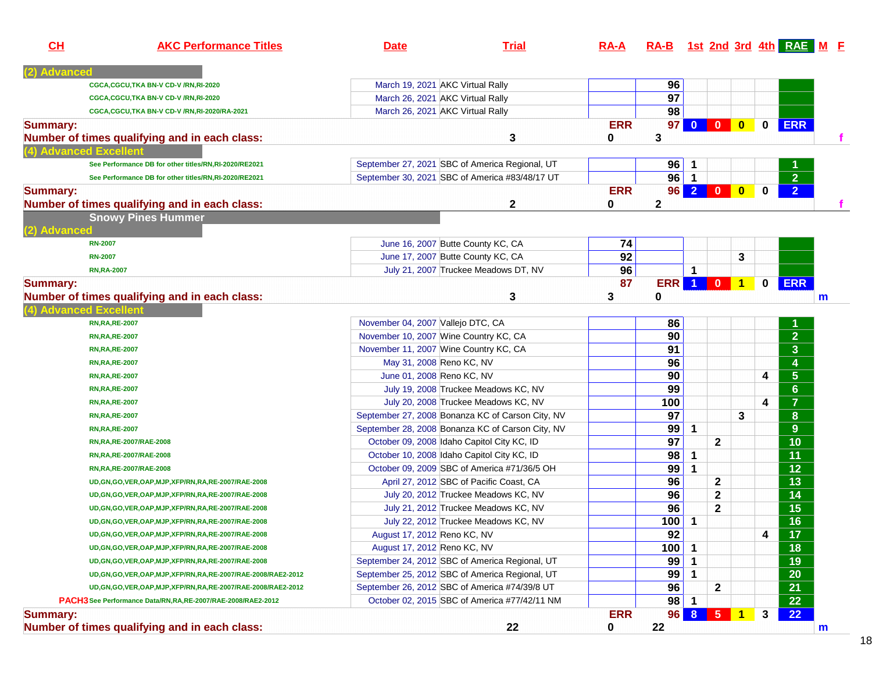| CH              | <b>AKC Performance Titles</b>                                     | <b>Date</b>                       | <b>Trial</b>                                     | $RA-A$     |                 |                |                 |                      |          | RA-B 1st 2nd 3rd 4th RAE M F |    |
|-----------------|-------------------------------------------------------------------|-----------------------------------|--------------------------------------------------|------------|-----------------|----------------|-----------------|----------------------|----------|------------------------------|----|
| <b>Advanced</b> |                                                                   |                                   |                                                  |            |                 |                |                 |                      |          |                              |    |
|                 | CGCA,CGCU,TKA BN-V CD-V /RN,RI-2020                               |                                   | March 19, 2021 AKC Virtual Rally                 |            | 96              |                |                 |                      |          |                              |    |
|                 | CGCA,CGCU,TKA BN-V CD-V /RN,RI-2020                               |                                   | March 26, 2021 AKC Virtual Rally                 |            | $\overline{97}$ |                |                 |                      |          |                              |    |
|                 | CGCA,CGCU,TKA BN-V CD-V /RN,RI-2020/RA-2021                       |                                   | March 26, 2021 AKC Virtual Rally                 |            | 98              |                |                 |                      |          |                              |    |
| <b>Summary:</b> |                                                                   |                                   |                                                  | <b>ERR</b> | 97 <sup>1</sup> | $\mathbf{0}$   | $\mathbf{0}$    | $\mathbf{0}$         | 0        | <b>ERR</b>                   |    |
|                 | Number of times qualifying and in each class:                     |                                   | 3                                                | 0          | 3               |                |                 |                      |          |                              | f. |
|                 | (4) Advanced Excellent                                            |                                   |                                                  |            |                 |                |                 |                      |          |                              |    |
|                 | See Performance DB for other titles/RN,RI-2020/RE2021             |                                   | September 27, 2021 SBC of America Regional, UT   |            | 96              | 1              |                 |                      |          |                              |    |
|                 | See Performance DB for other titles/RN,RI-2020/RE2021             |                                   | September 30, 2021 SBC of America #83/48/17 UT   |            | 96              | $\overline{1}$ |                 |                      |          | $\overline{2}$               |    |
| <b>Summary:</b> |                                                                   |                                   |                                                  | <b>ERR</b> | 96 <sub>1</sub> | $\overline{2}$ | $\blacksquare$  | $\mathbf{0}$         | $\bf{0}$ | 2 <sub>1</sub>               |    |
|                 | Number of times qualifying and in each class:                     |                                   | $\mathbf{2}$                                     | 0          | $\mathbf{2}$    |                |                 |                      |          |                              |    |
|                 | <b>Snowy Pines Hummer</b>                                         |                                   |                                                  |            |                 |                |                 |                      |          |                              |    |
| (2) Advanced    |                                                                   |                                   |                                                  |            |                 |                |                 |                      |          |                              |    |
|                 | <b>RN-2007</b>                                                    |                                   | June 16, 2007 Butte County KC, CA                | 74         |                 |                |                 |                      |          |                              |    |
|                 | <b>RN-2007</b>                                                    |                                   | June 17, 2007 Butte County KC, CA                | 92         |                 |                |                 | 3                    |          |                              |    |
|                 | <b>RN,RA-2007</b>                                                 |                                   | July 21, 2007 Truckee Meadows DT, NV             | 96         |                 | 1              |                 |                      |          |                              |    |
| <b>Summary:</b> |                                                                   |                                   |                                                  | 87         | <b>ERR</b>      | $\vert$ 1      | $\mathbf{0}$    | $\blacktriangleleft$ | 0        | <b>ERR</b>                   |    |
|                 | Number of times qualifying and in each class:                     |                                   | 3                                                | 3          | 0               |                |                 |                      |          |                              | m  |
|                 | (4) Advanced Excellent                                            |                                   |                                                  |            |                 |                |                 |                      |          |                              |    |
|                 | <b>RN,RA,RE-2007</b>                                              | November 04, 2007 Vallejo DTC, CA |                                                  |            | 86              |                |                 |                      |          |                              |    |
|                 | <b>RN,RA,RE-2007</b>                                              |                                   | November 10, 2007 Wine Country KC, CA            |            | 90              |                |                 |                      |          | $\overline{2}$               |    |
|                 | <b>RN,RA,RE-2007</b>                                              |                                   | November 11, 2007 Wine Country KC, CA            |            | $\overline{91}$ |                |                 |                      |          | $\overline{\overline{3}}$    |    |
|                 | <b>RN, RA, RE-2007</b>                                            | May 31, 2008 Reno KC, NV          |                                                  |            | 96              |                |                 |                      |          |                              |    |
|                 | <b>RN, RA, RE-2007</b>                                            | June 01, 2008 Reno KC, NV         |                                                  |            | 90              |                |                 |                      | 4        | $\frac{4}{5}$                |    |
|                 | <b>RN, RA, RE-2007</b>                                            |                                   | July 19, 2008 Truckee Meadows KC, NV             |            | 99              |                |                 |                      |          | $6\phantom{a}$               |    |
|                 | <b>RN, RA, RE-2007</b>                                            |                                   | July 20, 2008 Truckee Meadows KC, NV             |            | 100             |                |                 |                      | 4        | $\overline{\mathbf{7}}$      |    |
|                 | <b>RN, RA, RE-2007</b>                                            |                                   | September 27, 2008 Bonanza KC of Carson City, NV |            | 97              |                |                 | 3                    |          | $\boldsymbol{8}$             |    |
|                 | <b>RN, RA, RE-2007</b>                                            |                                   | September 28, 2008 Bonanza KC of Carson City, NV |            | 99              | 1              |                 |                      |          | 9                            |    |
|                 | RN, RA, RE-2007/RAE-2008                                          |                                   | October 09, 2008 Idaho Capitol City KC, ID       |            | 97              |                | $\mathbf{2}$    |                      |          | 10                           |    |
|                 | RN, RA, RE-2007/RAE-2008                                          |                                   | October 10, 2008 Idaho Capitol City KC, ID       |            | 98              | 1              |                 |                      |          | $\overline{11}$              |    |
|                 | RN, RA, RE-2007/RAE-2008                                          |                                   | October 09, 2009 SBC of America #71/36/5 OH      |            | 99              | 1              |                 |                      |          | $\overline{12}$              |    |
|                 | UD, GN, GO, VER, OAP, MJP, XFP/RN, RA, RE-2007/RAE-2008           |                                   | April 27, 2012 SBC of Pacific Coast, CA          |            | 96              |                | 2               |                      |          | 13                           |    |
|                 | UD, GN, GO, VER, OAP, MJP, XFP/RN, RA, RE-2007/RAE-2008           |                                   | July 20, 2012 Truckee Meadows KC, NV             |            | 96              |                | $\mathbf{2}$    |                      |          | 14                           |    |
|                 | UD, GN, GO, VER, OAP, MJP, XFP/RN, RA, RE-2007/RAE-2008           |                                   | July 21, 2012 Truckee Meadows KC, NV             |            | 96              |                | $\mathbf{2}$    |                      |          | $\overline{15}$              |    |
|                 | UD, GN, GO, VER, OAP, MJP, XFP/RN, RA, RE-2007/RAE-2008           |                                   | July 22, 2012 Truckee Meadows KC, NV             |            | 100             | 1              |                 |                      |          | $\overline{16}$              |    |
|                 | UD, GN, GO, VER, OAP, MJP, XFP/RN, RA, RE-2007/RAE-2008           | August 17, 2012 Reno KC, NV       |                                                  |            | 92              |                |                 |                      | 4        | 11                           |    |
|                 | UD, GN, GO, VER, OAP, MJP, XFP/RN, RA, RE-2007/RAE-2008           | August 17, 2012 Reno KC, NV       |                                                  |            | 100             | 1              |                 |                      |          | 18                           |    |
|                 | UD, GN, GO, VER, OAP, MJP, XFP/RN, RA, RE-2007/RAE-2008           |                                   | September 24, 2012 SBC of America Regional, UT   |            | 99              | 1              |                 |                      |          | 19                           |    |
|                 | UD, GN, GO, VER, OAP, MJP, XFP/RN, RA, RE-2007/RAE-2008/RAE2-2012 |                                   | September 25, 2012 SBC of America Regional, UT   |            | 99              | 1              |                 |                      |          | 20                           |    |
|                 | UD, GN, GO, VER, OAP, MJP, XFP/RN, RA, RE-2007/RAE-2008/RAE2-2012 |                                   | September 26, 2012 SBC of America #74/39/8 UT    |            | 96              |                | $\mathbf{2}$    |                      |          | 21                           |    |
|                 | PACH3 See Performance Data/RN, RA, RE-2007/RAE-2008/RAE2-2012     |                                   | October 02, 2015 SBC of America #77/42/11 NM     |            | 98              | $\mathbf 1$    |                 |                      |          | 22                           |    |
| <b>Summary:</b> |                                                                   |                                   |                                                  | <b>ERR</b> | 96              | 8              | $\vert 5 \vert$ | $\vert$ 1            | 3        | 22                           |    |
|                 | Number of times qualifying and in each class:                     |                                   | 22                                               | 0          | 22              |                |                 |                      |          |                              | m  |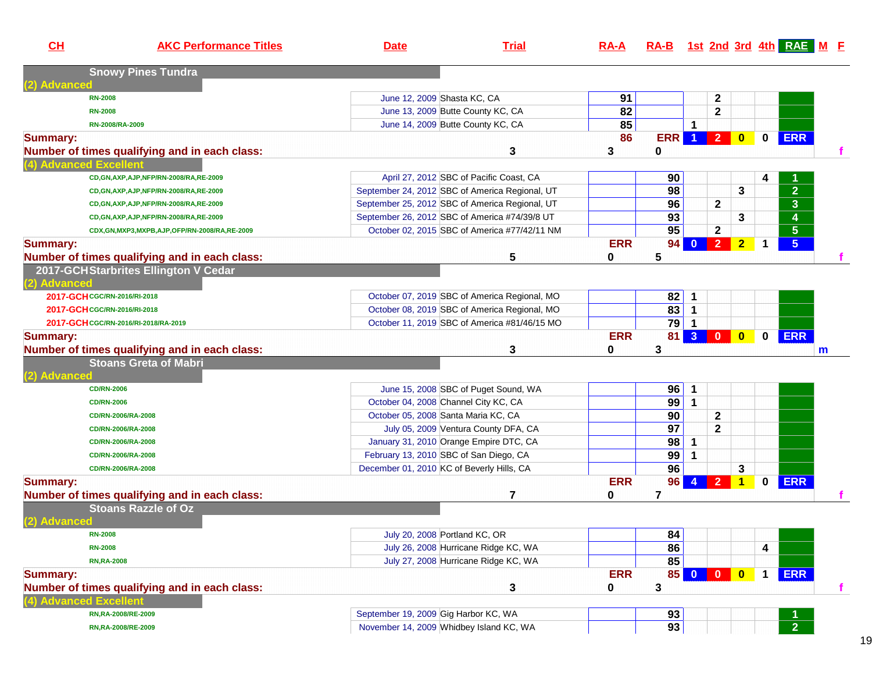| CL              | <b>AKC Performance Titles</b>                                          | <b>Date</b>                          | <b>Trial</b>                                   | $RA-A$          | RA-B 1st 2nd 3rd 4th RAE M E |                         |              |                |             |                                    |   |
|-----------------|------------------------------------------------------------------------|--------------------------------------|------------------------------------------------|-----------------|------------------------------|-------------------------|--------------|----------------|-------------|------------------------------------|---|
| <b>Advanced</b> | <b>Snowy Pines Tundra</b>                                              |                                      |                                                |                 |                              |                         |              |                |             |                                    |   |
|                 | <b>RN-2008</b>                                                         |                                      | June 12, 2009 Shasta KC, CA                    | 91              |                              |                         | 2            |                |             |                                    |   |
|                 | <b>RN-2008</b>                                                         |                                      | June 13, 2009 Butte County KC, CA              | $\overline{82}$ |                              |                         | $\mathbf 2$  |                |             |                                    |   |
|                 | RN-2008/RA-2009                                                        |                                      | June 14, 2009 Butte County KC, CA              | 85              |                              | 1                       |              |                |             |                                    |   |
| <b>Summary:</b> |                                                                        |                                      |                                                | 86              | <b>ERR</b>                   |                         | 1 2          | $\bullet$      | $\mathbf 0$ | <b>ERR</b>                         |   |
|                 | Number of times qualifying and in each class:<br>4) Advanced Excellent |                                      | 3                                              | 3               | 0                            |                         |              |                |             |                                    |   |
|                 | CD, GN, AXP, AJP, NFP/RN-2008/RA, RE-2009                              |                                      | April 27, 2012 SBC of Pacific Coast, CA        |                 | 90                           |                         |              |                | 4           |                                    |   |
|                 | CD, GN, AXP, AJP, NFP/RN-2008/RA, RE-2009                              |                                      | September 24, 2012 SBC of America Regional, UT |                 | 98                           |                         |              | 3              |             | $\overline{2}$                     |   |
|                 | CD, GN, AXP, AJP, NFP/RN-2008/RA, RE-2009                              |                                      | September 25, 2012 SBC of America Regional, UT |                 | 96                           |                         | $\mathbf 2$  |                |             | $\overline{\mathbf{3}}$            |   |
|                 | CD, GN, AXP, AJP, NFP/RN-2008/RA, RE-2009                              |                                      | September 26, 2012 SBC of America #74/39/8 UT  |                 | $\overline{93}$              |                         |              | 3              |             | 4                                  |   |
|                 | CDX,GN,MXP3,MXPB,AJP,OFP/RN-2008/RA,RE-2009                            |                                      | October 02, 2015 SBC of America #77/42/11 NM   |                 | $\overline{95}$              |                         | $\mathbf{2}$ |                |             | $\overline{\overline{\mathbf{5}}}$ |   |
| <b>Summary:</b> | Number of times qualifying and in each class:                          |                                      | 5                                              | <b>ERR</b><br>0 | 94<br>5                      |                         | $0$ 2        | $\overline{2}$ | $\mathbf 1$ | $\overline{5}$                     |   |
|                 | 2017-GCHStarbrites Ellington V Cedar                                   |                                      |                                                |                 |                              |                         |              |                |             |                                    |   |
| <b>Advanced</b> |                                                                        |                                      |                                                |                 |                              |                         |              |                |             |                                    |   |
|                 | 2017-GCHCGC/RN-2016/RI-2018                                            |                                      | October 07, 2019 SBC of America Regional, MO   |                 | 82                           | 1                       |              |                |             |                                    |   |
|                 | 2017-GCH CGC/RN-2016/RI-2018                                           |                                      | October 08, 2019 SBC of America Regional, MO   |                 | 83                           | $\mathbf 1$             |              |                |             |                                    |   |
|                 | 2017-GCHCGC/RN-2016/RI-2018/RA-2019                                    |                                      | October 11, 2019 SBC of America #81/46/15 MO   |                 | 79                           | $\mathbf 1$             |              |                |             |                                    |   |
| <b>Summary:</b> |                                                                        |                                      |                                                | <b>ERR</b>      | 81                           |                         | 300          |                | $\mathbf 0$ | <b>ERR</b>                         |   |
|                 | Number of times qualifying and in each class:                          |                                      | 3                                              | 0               | 3                            |                         |              |                |             |                                    | m |
|                 | <b>Stoans Greta of Mabri</b>                                           |                                      |                                                |                 |                              |                         |              |                |             |                                    |   |
| 2) Advanced     |                                                                        |                                      |                                                |                 |                              |                         |              |                |             |                                    |   |
|                 | <b>CD/RN-2006</b>                                                      |                                      | June 15, 2008 SBC of Puget Sound, WA           |                 | 96                           | 1                       |              |                |             |                                    |   |
|                 | <b>CD/RN-2006</b>                                                      |                                      | October 04, 2008 Channel City KC, CA           |                 | 99                           | $\mathbf 1$             |              |                |             |                                    |   |
|                 | CD/RN-2006/RA-2008                                                     |                                      | October 05, 2008 Santa Maria KC, CA            |                 | 90                           |                         | $\mathbf 2$  |                |             |                                    |   |
|                 | CD/RN-2006/RA-2008                                                     |                                      | July 05, 2009 Ventura County DFA, CA           |                 | $\overline{97}$              |                         | $\mathbf{2}$ |                |             |                                    |   |
|                 | CD/RN-2006/RA-2008                                                     |                                      | January 31, 2010 Orange Empire DTC, CA         |                 | 98                           | 1                       |              |                |             |                                    |   |
|                 |                                                                        |                                      | February 13, 2010 SBC of San Diego, CA         |                 | 99                           | 1                       |              |                |             |                                    |   |
|                 | CD/RN-2006/RA-2008<br>CD/RN-2006/RA-2008                               |                                      | December 01, 2010 KC of Beverly Hills, CA      |                 | 96                           |                         |              | 3              |             |                                    |   |
|                 |                                                                        |                                      |                                                | <b>ERR</b>      | 96                           |                         | 4 2 1        |                | $\mathbf 0$ | <b>ERR</b>                         |   |
| <b>Summary:</b> | Number of times qualifying and in each class:                          |                                      | 7                                              | 0               | 7                            |                         |              |                |             |                                    |   |
|                 | <b>Stoans Razzle of Oz</b>                                             |                                      |                                                |                 |                              |                         |              |                |             |                                    |   |
| (2) Advanced    |                                                                        |                                      |                                                |                 |                              |                         |              |                |             |                                    |   |
|                 | <b>RN-2008</b>                                                         |                                      | July 20, 2008 Portland KC, OR                  |                 | 84                           |                         |              |                |             |                                    |   |
|                 | <b>RN-2008</b>                                                         |                                      | July 26, 2008 Hurricane Ridge KC, WA           |                 | 86                           |                         |              |                | 4           |                                    |   |
|                 | <b>RN,RA-2008</b>                                                      |                                      | July 27, 2008 Hurricane Ridge KC, WA           |                 | 85                           |                         |              |                |             |                                    |   |
| <b>Summary:</b> |                                                                        |                                      |                                                | <b>ERR</b>      | 85                           | $\overline{\mathbf{0}}$ | $\bullet$    | $\bullet$      | $\mathbf 1$ | <b>ERR</b>                         |   |
|                 | Number of times qualifying and in each class:                          |                                      | 3                                              | 0               | 3                            |                         |              |                |             |                                    | f |
|                 | <b>Advanced Excellent</b>                                              |                                      |                                                |                 |                              |                         |              |                |             |                                    |   |
|                 | RN, RA-2008/RE-2009                                                    | September 19, 2009 Gig Harbor KC, WA |                                                |                 | 93                           |                         |              |                |             |                                    |   |
|                 | RN, RA-2008/RE-2009                                                    |                                      | November 14, 2009 Whidbey Island KC, WA        |                 | 93                           |                         |              |                |             |                                    |   |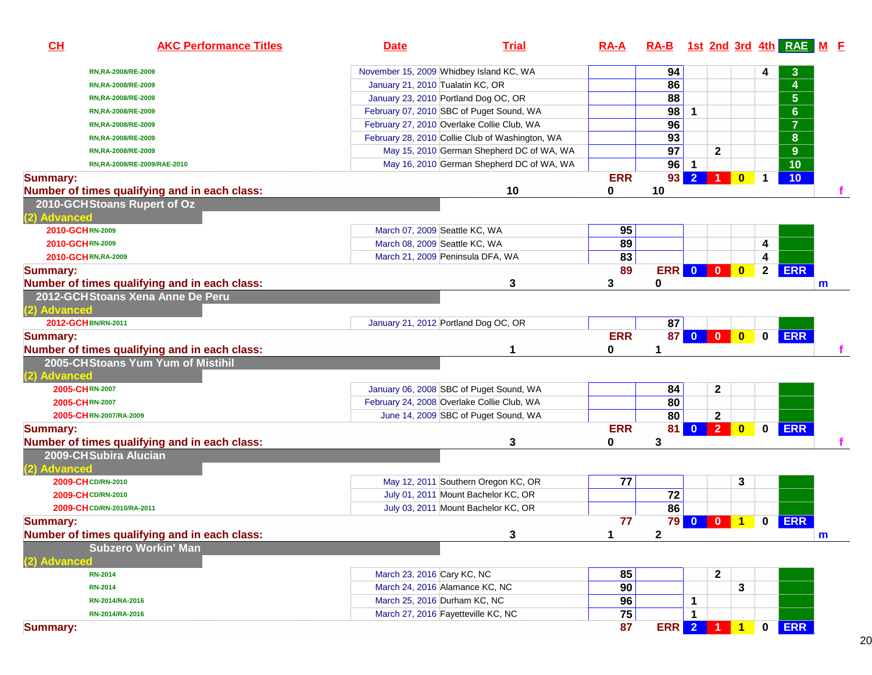| CH<br><b>AKC Performance Titles</b>                              | <b>Date</b>                      | <b>Trial</b>                                    | <b>RA-A</b>     |                  |                         |                |              |              | RA-B 1st 2nd 3rd 4th RAE M F |              |
|------------------------------------------------------------------|----------------------------------|-------------------------------------------------|-----------------|------------------|-------------------------|----------------|--------------|--------------|------------------------------|--------------|
| RN,RA-2008/RE-2009                                               |                                  | November 15, 2009 Whidbey Island KC, WA         |                 | 94               |                         |                |              |              | $\mathbf{3}$                 |              |
| RN, RA-2008/RE-2009                                              | January 21, 2010 Tualatin KC, OR |                                                 |                 | 86               |                         |                |              |              | $\overline{\mathbf{4}}$      |              |
| RN, RA-2008/RE-2009                                              |                                  | January 23, 2010 Portland Dog OC, OR            |                 | 88               |                         |                |              |              | 5 <sup>1</sup>               |              |
| RN, RA-2008/RE-2009                                              |                                  | February 07, 2010 SBC of Puget Sound, WA        |                 | 98               | 1                       |                |              |              | $6\phantom{a}$               |              |
| RN, RA-2008/RE-2009                                              |                                  | February 27, 2010 Overlake Collie Club, WA      |                 | 96               |                         |                |              |              | $\overline{7}$               |              |
| RN, RA-2008/RE-2009                                              |                                  | February 28, 2010 Collie Club of Washington, WA |                 | 93               |                         |                |              |              | 8                            |              |
| RN,RA-2008/RE-2009                                               |                                  | May 15, 2010 German Shepherd DC of WA, WA       |                 | 97               |                         | $\mathbf{2}$   |              |              | 9                            |              |
| RN,RA-2008/RE-2009/RAE-2010                                      |                                  | May 16, 2010 German Shepherd DC of WA, WA       |                 | 96               | -1                      |                |              |              | 10 <sub>1</sub>              |              |
| <b>Summary:</b><br>Number of times qualifying and in each class: |                                  | 10                                              | <b>ERR</b><br>0 | 93 <br>10        | $\overline{2}$          | 1              | $\bf{0}$     | 1            | 10 <sub>1</sub>              |              |
| 2010-GCHStoans Rupert of Oz                                      |                                  |                                                 |                 |                  |                         |                |              |              |                              |              |
| (2) Advanced                                                     |                                  |                                                 |                 |                  |                         |                |              |              |                              |              |
| 2010-GCHRN-2009                                                  |                                  | March 07, 2009 Seattle KC, WA                   | 95              |                  |                         |                |              |              |                              |              |
| 2010-GCHRN-2009                                                  |                                  | March 08, 2009 Seattle KC, WA                   | 89              |                  |                         |                |              | 4            |                              |              |
| 2010-GCHRN,RA-2009                                               |                                  | March 21, 2009 Peninsula DFA, WA                | 83              |                  |                         |                |              | 4            |                              |              |
| <b>Summary:</b>                                                  |                                  |                                                 | 89              | ERR 0            |                         | $\bullet$      | $\mathbf{0}$ | $\mathbf{2}$ | <b>ERR</b>                   |              |
| Number of times qualifying and in each class:                    |                                  | 3                                               | 3               | 0                |                         |                |              |              |                              | m            |
| 2012-GCH Stoans Xena Anne De Peru                                |                                  |                                                 |                 |                  |                         |                |              |              |                              |              |
| (2) Advanced                                                     |                                  |                                                 |                 |                  |                         |                |              |              |                              |              |
| 2012-GCHBN/RN-2011                                               |                                  | January 21, 2012 Portland Dog OC, OR            |                 | 87               |                         |                |              |              |                              |              |
| <b>Summary:</b>                                                  |                                  |                                                 | <b>ERR</b>      |                  |                         | 87 0 0 0       |              | $\mathbf 0$  | <b>ERR</b>                   |              |
| Number of times qualifying and in each class:                    |                                  | 1                                               | 0               | 1                |                         |                |              |              |                              |              |
| 2005-CHStoans Yum Yum of Mistihil                                |                                  |                                                 |                 |                  |                         |                |              |              |                              |              |
| (2) Advanced                                                     |                                  |                                                 |                 |                  |                         |                |              |              |                              |              |
| 2005-CHRN-2007                                                   |                                  | January 06, 2008 SBC of Puget Sound, WA         |                 | 84               |                         | $\mathbf{2}$   |              |              |                              |              |
| 2005-CHRN-2007                                                   |                                  | February 24, 2008 Overlake Collie Club, WA      |                 | 80               |                         |                |              |              |                              |              |
| 2005-CHRN-2007/RA-2009                                           |                                  | June 14, 2009 SBC of Puget Sound, WA            |                 | 80               |                         | $\mathbf{2}$   |              |              |                              |              |
| <b>Summary:</b>                                                  |                                  |                                                 | <b>ERR</b>      | 81               | $\overline{\mathbf{0}}$ | 42             | $\bullet$    | $\mathbf 0$  | <b>ERR</b>                   |              |
| Number of times qualifying and in each class:                    |                                  | 3                                               | 0               | 3                |                         |                |              |              |                              |              |
| 2009-CHSubira Alucian                                            |                                  |                                                 |                 |                  |                         |                |              |              |                              |              |
| (2) Advanced                                                     |                                  |                                                 |                 |                  |                         |                |              |              |                              |              |
| 2009-CHCD/RN-2010                                                |                                  | May 12, 2011 Southern Oregon KC, OR             | 77              |                  |                         |                | 3            |              |                              |              |
| 2009-CHCD/RN-2010                                                |                                  | July 01, 2011 Mount Bachelor KC, OR             |                 | 72               |                         |                |              |              |                              |              |
| 2009-CHCD/RN-2010/RA-2011                                        |                                  | July 03, 2011 Mount Bachelor KC, OR             |                 | 86               |                         |                |              |              |                              |              |
| <b>Summary:</b>                                                  |                                  |                                                 | 77              |                  | <b>790</b>              | $\overline{0}$ | $\mathbf 1$  | $\mathbf 0$  | <b>ERR</b>                   |              |
| Number of times qualifying and in each class:                    |                                  | 3                                               | 1               | $\mathbf 2$      |                         |                |              |              |                              | $\mathsf{m}$ |
| <b>Subzero Workin' Man</b>                                       |                                  |                                                 |                 |                  |                         |                |              |              |                              |              |
| (2) Advanced                                                     |                                  |                                                 |                 |                  |                         |                |              |              |                              |              |
| <b>RN-2014</b>                                                   | March 23, 2016 Cary KC, NC       |                                                 | 85              |                  |                         | $\mathbf{2}$   |              |              |                              |              |
| <b>RN-2014</b>                                                   |                                  | March 24, 2016 Alamance KC, NC                  | 90              |                  |                         |                | 3            |              |                              |              |
| RN-2014/RA-2016                                                  |                                  | March 25, 2016 Durham KC, NC                    | 96              |                  | 1                       |                |              |              |                              |              |
| RN-2014/RA-2016                                                  |                                  | March 27, 2016 Fayetteville KC, NC              | 75              |                  | 1                       |                |              |              |                              |              |
| <b>Summary:</b>                                                  |                                  |                                                 | 87              | <b>ERR</b> 2 1 1 |                         |                |              | $\mathbf 0$  | <b>ERR</b>                   |              |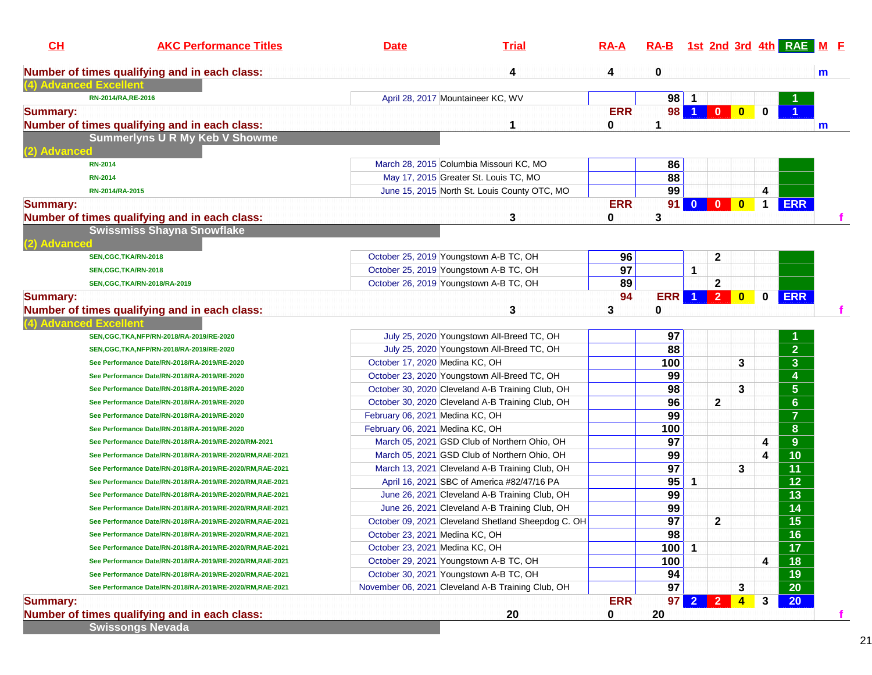| CH                     | <b>AKC Performance Titles</b>                                                                                        | <b>Date</b>                            | <b>Trial</b>                                       | $RA-A$          | RA-B 1st 2nd 3rd 4th RAE M E |                |                |                      |              |                 |
|------------------------|----------------------------------------------------------------------------------------------------------------------|----------------------------------------|----------------------------------------------------|-----------------|------------------------------|----------------|----------------|----------------------|--------------|-----------------|
|                        | Number of times qualifying and in each class:                                                                        |                                        | 4                                                  | 4               | 0                            |                |                |                      |              | $\mathsf{m}$    |
| (4) Advanced Excellent |                                                                                                                      |                                        |                                                    |                 |                              |                |                |                      |              |                 |
|                        | RN-2014/RA, RE-2016                                                                                                  | April 28, 2017 Mountaineer KC, WV      |                                                    |                 | 98                           |                |                |                      |              |                 |
| <b>Summary:</b>        |                                                                                                                      |                                        |                                                    | <b>ERR</b>      | 98                           | -1             | $\mathbf{0}$   | $\mathbf{0}$         | $\bf{0}$     |                 |
|                        | Number of times qualifying and in each class:                                                                        |                                        |                                                    | 0               | 1                            |                |                |                      |              | m               |
|                        | <b>Summerlyns U R My Keb V Showme</b>                                                                                |                                        |                                                    |                 |                              |                |                |                      |              |                 |
| (2) Advanced           |                                                                                                                      |                                        |                                                    |                 |                              |                |                |                      |              |                 |
|                        | <b>RN-2014</b>                                                                                                       |                                        | March 28, 2015 Columbia Missouri KC, MO            |                 | 86                           |                |                |                      |              |                 |
|                        | <b>RN-2014</b>                                                                                                       |                                        | May 17, 2015 Greater St. Louis TC, MO              |                 | 88                           |                |                |                      |              |                 |
|                        | RN-2014/RA-2015                                                                                                      |                                        | June 15, 2015 North St. Louis County OTC, MO       |                 | 99                           |                |                |                      | 4            |                 |
| <b>Summary:</b>        | Number of times qualifying and in each class:                                                                        |                                        | 3                                                  | <b>ERR</b><br>0 | 91<br>3                      | $\mathbf{0}$   | $\mathbf{0}$   | $\mathbf{0}$         | $\mathbf 1$  | <b>ERR</b>      |
|                        | <b>Swissmiss Shayna Snowflake</b>                                                                                    |                                        |                                                    |                 |                              |                |                |                      |              |                 |
| (2) Advanced           |                                                                                                                      |                                        |                                                    |                 |                              |                |                |                      |              |                 |
|                        | SEN,CGC,TKA/RN-2018                                                                                                  | October 25, 2019 Youngstown A-B TC, OH |                                                    | 96              |                              |                | $\mathbf 2$    |                      |              |                 |
|                        | SEN, CGC, TKA/RN-2018                                                                                                | October 25, 2019 Youngstown A-B TC, OH |                                                    | 97              |                              | 1              |                |                      |              |                 |
|                        | SEN, CGC, TKA/RN-2018/RA-2019                                                                                        | October 26, 2019 Youngstown A-B TC, OH |                                                    | 89              |                              |                | $\mathbf{2}$   |                      |              |                 |
| <b>Summary:</b>        |                                                                                                                      |                                        |                                                    | 94              | <b>ERR</b>                   |                | $\overline{2}$ | $\bf{0}$             | $\mathbf{0}$ | <b>ERR</b>      |
|                        | Number of times qualifying and in each class:                                                                        |                                        | 3                                                  | 3               | 0                            |                |                |                      |              |                 |
| (4) Advanced Excellent |                                                                                                                      |                                        |                                                    |                 |                              |                |                |                      |              |                 |
|                        | SEN, CGC, TKA, NFP/RN-2018/RA-2019/RE-2020                                                                           |                                        | July 25, 2020 Youngstown All-Breed TC, OH          |                 | 97                           |                |                |                      |              |                 |
|                        | SEN, CGC, TKA, NFP/RN-2018/RA-2019/RE-2020                                                                           |                                        | July 25, 2020 Youngstown All-Breed TC, OH          |                 | 88                           |                |                |                      |              | $\overline{2}$  |
|                        | See Performance Date/RN-2018/RA-2019/RE-2020                                                                         | October 17, 2020 Medina KC, OH         |                                                    |                 | 100                          |                |                | 3                    |              | 3 <sup>5</sup>  |
|                        | See Performance Date/RN-2018/RA-2019/RE-2020                                                                         |                                        | October 23, 2020 Youngstown All-Breed TC, OH       |                 | 99                           |                |                |                      |              | 4               |
|                        | See Performance Date/RN-2018/RA-2019/RE-2020                                                                         |                                        | October 30, 2020 Cleveland A-B Training Club, OH   |                 | 98                           |                |                | 3                    |              | $5\phantom{1}$  |
|                        | See Performance Date/RN-2018/RA-2019/RE-2020                                                                         |                                        | October 30, 2020 Cleveland A-B Training Club, OH   |                 | 96                           |                | $\mathbf{2}$   |                      |              | $6\phantom{1}$  |
|                        | See Performance Date/RN-2018/RA-2019/RE-2020                                                                         | February 06, 2021 Medina KC, OH        |                                                    |                 | 99                           |                |                |                      |              | $\overline{7}$  |
|                        |                                                                                                                      | February 06, 2021 Medina KC, OH        |                                                    |                 | 100                          |                |                |                      |              | 8               |
|                        | See Performance Date/RN-2018/RA-2019/RE-2020                                                                         |                                        | March 05, 2021 GSD Club of Northern Ohio, OH       |                 | 97                           |                |                |                      | 4            | 9 <sup>°</sup>  |
|                        | See Performance Date/RN-2018/RA-2019/RE-2020/RM-2021                                                                 |                                        | March 05, 2021 GSD Club of Northern Ohio, OH       |                 | 99                           |                |                |                      | 4            | 10              |
|                        | See Performance Date/RN-2018/RA-2019/RE-2020/RM,RAE-2021<br>See Performance Date/RN-2018/RA-2019/RE-2020/RM,RAE-2021 |                                        | March 13, 2021 Cleveland A-B Training Club, OH     |                 | 97                           |                |                | 3                    |              | 11              |
|                        | See Performance Date/RN-2018/RA-2019/RE-2020/RM,RAE-2021                                                             |                                        | April 16, 2021 SBC of America #82/47/16 PA         |                 | 95                           | 1              |                |                      |              | 12              |
|                        |                                                                                                                      |                                        | June 26, 2021 Cleveland A-B Training Club, OH      |                 | 99                           |                |                |                      |              | 13              |
|                        | See Performance Date/RN-2018/RA-2019/RE-2020/RM,RAE-2021                                                             |                                        |                                                    |                 |                              |                |                |                      |              |                 |
|                        | See Performance Date/RN-2018/RA-2019/RE-2020/RM,RAE-2021                                                             |                                        | June 26, 2021 Cleveland A-B Training Club, OH      |                 | 99                           |                |                |                      |              | 14              |
|                        | See Performance Date/RN-2018/RA-2019/RE-2020/RM,RAE-2021                                                             |                                        | October 09, 2021 Cleveland Shetland Sheepdog C. OH |                 | 97                           |                | $\mathbf{2}$   |                      |              | 15              |
|                        | See Performance Date/RN-2018/RA-2019/RE-2020/RM,RAE-2021                                                             | October 23, 2021 Medina KC, OH         |                                                    |                 | 98                           |                |                |                      |              | 16              |
|                        | See Performance Date/RN-2018/RA-2019/RE-2020/RM,RAE-2021                                                             | October 23, 2021 Medina KC, OH         |                                                    |                 | 100                          | $\mathbf 1$    |                |                      |              | 17              |
|                        | See Performance Date/RN-2018/RA-2019/RE-2020/RM,RAE-2021                                                             | October 29, 2021 Youngstown A-B TC, OH |                                                    |                 | 100                          |                |                |                      | 4            | 18              |
|                        | See Performance Date/RN-2018/RA-2019/RE-2020/RM,RAE-2021                                                             | October 30, 2021 Youngstown A-B TC, OH |                                                    |                 | 94                           |                |                |                      |              | 19              |
|                        | See Performance Date/RN-2018/RA-2019/RE-2020/RM,RAE-2021                                                             |                                        | November 06, 2021 Cleveland A-B Training Club, OH  |                 | 97                           |                |                | 3                    |              | 20              |
| <b>Summary:</b>        |                                                                                                                      |                                        |                                                    | <b>ERR</b>      | 97                           | $\overline{2}$ | $\mathbf{2}$   | $\blacktriangleleft$ | 3            | 20 <sub>2</sub> |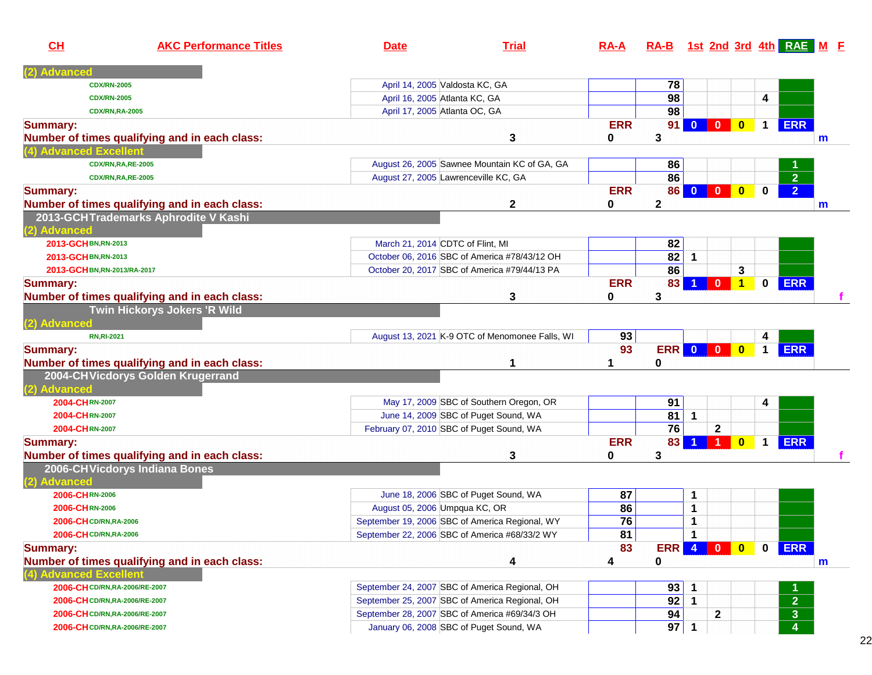| <b>Advanced</b><br>April 14, 2005 Valdosta KC, GA<br>78<br><b>CDX/RN-2005</b><br>98<br>April 16, 2005 Atlanta KC, GA<br>4<br><b>CDX/RN-2005</b><br>98<br>April 17, 2005 Atlanta OC, GA<br><b>CDX/RN,RA-2005</b><br><b>ERR</b><br><b>ERR</b><br>91<br>$\overline{\mathbf{0}}$<br>$\overline{0}$<br>$\bf{0}$<br>$\mathbf 1$<br><b>Summary:</b><br>Number of times qualifying and in each class:<br>3<br>3<br>0<br>m<br>(4) Advanced Excellent<br>August 26, 2005 Sawnee Mountain KC of GA, GA<br>86<br><b>CDX/RN,RA,RE-2005</b><br>$\overline{2}$<br>86<br>August 27, 2005 Lawrenceville KC, GA<br><b>CDX/RN,RA,RE-2005</b><br><b>ERR</b><br>86<br>$\overline{2}$<br>$\overline{\mathbf{0}}$<br>$\blacksquare$<br>$\bf{0}$<br>0<br><b>Summary:</b><br>Number of times qualifying and in each class:<br>2<br>2<br>0<br>$\mathsf{m}$<br>2013-GCHTrademarks Aphrodite V Kashi<br>(2) Advanced<br>2013-GCHBN, RN-2013<br>82<br>March 21, 2014 CDTC of Flint, MI<br>82<br>October 06, 2016 SBC of America #78/43/12 OH<br>2013-GCHBN,RN-2013<br>1<br>86<br>3<br>October 20, 2017 SBC of America #79/44/13 PA<br>2013-GCHBN, RN-2013/RA-2017<br>0 ERR<br><b>ERR</b><br>83<br>$\mathbf{0}$<br><b>Summary:</b><br>$\blacktriangleleft$<br>-1<br>Number of times qualifying and in each class:<br>3<br>3<br>0<br><b>Twin Hickorys Jokers 'R Wild</b><br>(2) Advanced<br>August 13, 2021 K-9 OTC of Menomonee Falls, WI<br>93<br>4<br><b>RN,RI-2021</b><br>ERR 0 0<br><b>ERR</b><br>93<br>$\mathbf{0}$<br>$\mathbf 1$<br><b>Summary:</b><br>Number of times qualifying and in each class:<br>1<br>0<br>1<br>2004-CHVicdorys Golden Krugerrand<br>(2) Advanced<br>2004-CHRN-2007<br>May 17, 2009 SBC of Southern Oregon, OR<br>91<br>4<br>81<br>June 14, 2009 SBC of Puget Sound, WA<br>1<br>2004-CHRN-2007<br>76<br>$\mathbf{2}$<br>February 07, 2010 SBC of Puget Sound, WA<br>2004-CHRN-2007<br>83<br>$\blacksquare$<br><b>ERR</b><br><b>ERR</b><br>$\blacktriangleleft$<br><b>Summary:</b><br>$\bf{0}$<br>$\mathbf 1$<br>Number of times qualifying and in each class:<br>3<br>3<br>0<br>2006-CHVicdorys Indiana Bones<br>(2) Advanced<br>2006-CHRN-2006<br>June 18, 2006 SBC of Puget Sound, WA<br>87<br>1<br>86<br>1<br>August 05, 2006 Umpqua KC, OR<br>2006-CHRN-2006<br>76<br>September 19, 2006 SBC of America Regional, WY<br>$\mathbf 1$<br>2006-CHCD/RN, RA-2006<br>81<br>September 22, 2006 SBC of America #68/33/2 WY<br>2006-CH CD/RN, RA-2006<br>1<br>83<br>ERR <sub>4</sub><br><b>ERR</b><br><b>Summary:</b><br>0<br>$\mathbf{0}$<br>Number of times qualifying and in each class:<br>4<br>0<br>4<br>$\mathbf m$<br>(4) Advanced Excellent<br>93<br>2006-CHCD/RN, RA-2006/RE-2007<br>September 24, 2007 SBC of America Regional, OH<br>92<br>2 <sup>1</sup><br>September 25, 2007 SBC of America Regional, OH<br>$\mathbf 1$<br>2006-CHCD/RN, RA-2006/RE-2007<br>September 28, 2007 SBC of America #69/34/3 OH<br>94<br>$\mathbf{3}$<br>$\mathbf{2}$<br>2006-CHCD/RN,RA-2006/RE-2007<br>97<br>January 06, 2008 SBC of Puget Sound, WA<br>$\overline{\mathbf{4}}$<br>2006-CHCD/RN,RA-2006/RE-2007 | CH | <b>AKC Performance Titles</b> | <b>Date</b> | <b>Trial</b> | $RA-A$ |  | RA-B 1st 2nd 3rd 4th RAE M E |  |  |
|-------------------------------------------------------------------------------------------------------------------------------------------------------------------------------------------------------------------------------------------------------------------------------------------------------------------------------------------------------------------------------------------------------------------------------------------------------------------------------------------------------------------------------------------------------------------------------------------------------------------------------------------------------------------------------------------------------------------------------------------------------------------------------------------------------------------------------------------------------------------------------------------------------------------------------------------------------------------------------------------------------------------------------------------------------------------------------------------------------------------------------------------------------------------------------------------------------------------------------------------------------------------------------------------------------------------------------------------------------------------------------------------------------------------------------------------------------------------------------------------------------------------------------------------------------------------------------------------------------------------------------------------------------------------------------------------------------------------------------------------------------------------------------------------------------------------------------------------------------------------------------------------------------------------------------------------------------------------------------------------------------------------------------------------------------------------------------------------------------------------------------------------------------------------------------------------------------------------------------------------------------------------------------------------------------------------------------------------------------------------------------------------------------------------------------------------------------------------------------------------------------------------------------------------------------------------------------------------------------------------------------------------------------------------------------------------------------------------------------------------------------------------------------------------------------------------------------------------------------------------------------------------------------------------------------------------------------------------------------------------------------------------------------------------------------------------------------------------------------|----|-------------------------------|-------------|--------------|--------|--|------------------------------|--|--|
|                                                                                                                                                                                                                                                                                                                                                                                                                                                                                                                                                                                                                                                                                                                                                                                                                                                                                                                                                                                                                                                                                                                                                                                                                                                                                                                                                                                                                                                                                                                                                                                                                                                                                                                                                                                                                                                                                                                                                                                                                                                                                                                                                                                                                                                                                                                                                                                                                                                                                                                                                                                                                                                                                                                                                                                                                                                                                                                                                                                                                                                                                                       |    |                               |             |              |        |  |                              |  |  |
|                                                                                                                                                                                                                                                                                                                                                                                                                                                                                                                                                                                                                                                                                                                                                                                                                                                                                                                                                                                                                                                                                                                                                                                                                                                                                                                                                                                                                                                                                                                                                                                                                                                                                                                                                                                                                                                                                                                                                                                                                                                                                                                                                                                                                                                                                                                                                                                                                                                                                                                                                                                                                                                                                                                                                                                                                                                                                                                                                                                                                                                                                                       |    |                               |             |              |        |  |                              |  |  |
|                                                                                                                                                                                                                                                                                                                                                                                                                                                                                                                                                                                                                                                                                                                                                                                                                                                                                                                                                                                                                                                                                                                                                                                                                                                                                                                                                                                                                                                                                                                                                                                                                                                                                                                                                                                                                                                                                                                                                                                                                                                                                                                                                                                                                                                                                                                                                                                                                                                                                                                                                                                                                                                                                                                                                                                                                                                                                                                                                                                                                                                                                                       |    |                               |             |              |        |  |                              |  |  |
|                                                                                                                                                                                                                                                                                                                                                                                                                                                                                                                                                                                                                                                                                                                                                                                                                                                                                                                                                                                                                                                                                                                                                                                                                                                                                                                                                                                                                                                                                                                                                                                                                                                                                                                                                                                                                                                                                                                                                                                                                                                                                                                                                                                                                                                                                                                                                                                                                                                                                                                                                                                                                                                                                                                                                                                                                                                                                                                                                                                                                                                                                                       |    |                               |             |              |        |  |                              |  |  |
|                                                                                                                                                                                                                                                                                                                                                                                                                                                                                                                                                                                                                                                                                                                                                                                                                                                                                                                                                                                                                                                                                                                                                                                                                                                                                                                                                                                                                                                                                                                                                                                                                                                                                                                                                                                                                                                                                                                                                                                                                                                                                                                                                                                                                                                                                                                                                                                                                                                                                                                                                                                                                                                                                                                                                                                                                                                                                                                                                                                                                                                                                                       |    |                               |             |              |        |  |                              |  |  |
|                                                                                                                                                                                                                                                                                                                                                                                                                                                                                                                                                                                                                                                                                                                                                                                                                                                                                                                                                                                                                                                                                                                                                                                                                                                                                                                                                                                                                                                                                                                                                                                                                                                                                                                                                                                                                                                                                                                                                                                                                                                                                                                                                                                                                                                                                                                                                                                                                                                                                                                                                                                                                                                                                                                                                                                                                                                                                                                                                                                                                                                                                                       |    |                               |             |              |        |  |                              |  |  |
|                                                                                                                                                                                                                                                                                                                                                                                                                                                                                                                                                                                                                                                                                                                                                                                                                                                                                                                                                                                                                                                                                                                                                                                                                                                                                                                                                                                                                                                                                                                                                                                                                                                                                                                                                                                                                                                                                                                                                                                                                                                                                                                                                                                                                                                                                                                                                                                                                                                                                                                                                                                                                                                                                                                                                                                                                                                                                                                                                                                                                                                                                                       |    |                               |             |              |        |  |                              |  |  |
|                                                                                                                                                                                                                                                                                                                                                                                                                                                                                                                                                                                                                                                                                                                                                                                                                                                                                                                                                                                                                                                                                                                                                                                                                                                                                                                                                                                                                                                                                                                                                                                                                                                                                                                                                                                                                                                                                                                                                                                                                                                                                                                                                                                                                                                                                                                                                                                                                                                                                                                                                                                                                                                                                                                                                                                                                                                                                                                                                                                                                                                                                                       |    |                               |             |              |        |  |                              |  |  |
|                                                                                                                                                                                                                                                                                                                                                                                                                                                                                                                                                                                                                                                                                                                                                                                                                                                                                                                                                                                                                                                                                                                                                                                                                                                                                                                                                                                                                                                                                                                                                                                                                                                                                                                                                                                                                                                                                                                                                                                                                                                                                                                                                                                                                                                                                                                                                                                                                                                                                                                                                                                                                                                                                                                                                                                                                                                                                                                                                                                                                                                                                                       |    |                               |             |              |        |  |                              |  |  |
|                                                                                                                                                                                                                                                                                                                                                                                                                                                                                                                                                                                                                                                                                                                                                                                                                                                                                                                                                                                                                                                                                                                                                                                                                                                                                                                                                                                                                                                                                                                                                                                                                                                                                                                                                                                                                                                                                                                                                                                                                                                                                                                                                                                                                                                                                                                                                                                                                                                                                                                                                                                                                                                                                                                                                                                                                                                                                                                                                                                                                                                                                                       |    |                               |             |              |        |  |                              |  |  |
|                                                                                                                                                                                                                                                                                                                                                                                                                                                                                                                                                                                                                                                                                                                                                                                                                                                                                                                                                                                                                                                                                                                                                                                                                                                                                                                                                                                                                                                                                                                                                                                                                                                                                                                                                                                                                                                                                                                                                                                                                                                                                                                                                                                                                                                                                                                                                                                                                                                                                                                                                                                                                                                                                                                                                                                                                                                                                                                                                                                                                                                                                                       |    |                               |             |              |        |  |                              |  |  |
|                                                                                                                                                                                                                                                                                                                                                                                                                                                                                                                                                                                                                                                                                                                                                                                                                                                                                                                                                                                                                                                                                                                                                                                                                                                                                                                                                                                                                                                                                                                                                                                                                                                                                                                                                                                                                                                                                                                                                                                                                                                                                                                                                                                                                                                                                                                                                                                                                                                                                                                                                                                                                                                                                                                                                                                                                                                                                                                                                                                                                                                                                                       |    |                               |             |              |        |  |                              |  |  |
|                                                                                                                                                                                                                                                                                                                                                                                                                                                                                                                                                                                                                                                                                                                                                                                                                                                                                                                                                                                                                                                                                                                                                                                                                                                                                                                                                                                                                                                                                                                                                                                                                                                                                                                                                                                                                                                                                                                                                                                                                                                                                                                                                                                                                                                                                                                                                                                                                                                                                                                                                                                                                                                                                                                                                                                                                                                                                                                                                                                                                                                                                                       |    |                               |             |              |        |  |                              |  |  |
|                                                                                                                                                                                                                                                                                                                                                                                                                                                                                                                                                                                                                                                                                                                                                                                                                                                                                                                                                                                                                                                                                                                                                                                                                                                                                                                                                                                                                                                                                                                                                                                                                                                                                                                                                                                                                                                                                                                                                                                                                                                                                                                                                                                                                                                                                                                                                                                                                                                                                                                                                                                                                                                                                                                                                                                                                                                                                                                                                                                                                                                                                                       |    |                               |             |              |        |  |                              |  |  |
|                                                                                                                                                                                                                                                                                                                                                                                                                                                                                                                                                                                                                                                                                                                                                                                                                                                                                                                                                                                                                                                                                                                                                                                                                                                                                                                                                                                                                                                                                                                                                                                                                                                                                                                                                                                                                                                                                                                                                                                                                                                                                                                                                                                                                                                                                                                                                                                                                                                                                                                                                                                                                                                                                                                                                                                                                                                                                                                                                                                                                                                                                                       |    |                               |             |              |        |  |                              |  |  |
|                                                                                                                                                                                                                                                                                                                                                                                                                                                                                                                                                                                                                                                                                                                                                                                                                                                                                                                                                                                                                                                                                                                                                                                                                                                                                                                                                                                                                                                                                                                                                                                                                                                                                                                                                                                                                                                                                                                                                                                                                                                                                                                                                                                                                                                                                                                                                                                                                                                                                                                                                                                                                                                                                                                                                                                                                                                                                                                                                                                                                                                                                                       |    |                               |             |              |        |  |                              |  |  |
|                                                                                                                                                                                                                                                                                                                                                                                                                                                                                                                                                                                                                                                                                                                                                                                                                                                                                                                                                                                                                                                                                                                                                                                                                                                                                                                                                                                                                                                                                                                                                                                                                                                                                                                                                                                                                                                                                                                                                                                                                                                                                                                                                                                                                                                                                                                                                                                                                                                                                                                                                                                                                                                                                                                                                                                                                                                                                                                                                                                                                                                                                                       |    |                               |             |              |        |  |                              |  |  |
|                                                                                                                                                                                                                                                                                                                                                                                                                                                                                                                                                                                                                                                                                                                                                                                                                                                                                                                                                                                                                                                                                                                                                                                                                                                                                                                                                                                                                                                                                                                                                                                                                                                                                                                                                                                                                                                                                                                                                                                                                                                                                                                                                                                                                                                                                                                                                                                                                                                                                                                                                                                                                                                                                                                                                                                                                                                                                                                                                                                                                                                                                                       |    |                               |             |              |        |  |                              |  |  |
|                                                                                                                                                                                                                                                                                                                                                                                                                                                                                                                                                                                                                                                                                                                                                                                                                                                                                                                                                                                                                                                                                                                                                                                                                                                                                                                                                                                                                                                                                                                                                                                                                                                                                                                                                                                                                                                                                                                                                                                                                                                                                                                                                                                                                                                                                                                                                                                                                                                                                                                                                                                                                                                                                                                                                                                                                                                                                                                                                                                                                                                                                                       |    |                               |             |              |        |  |                              |  |  |
|                                                                                                                                                                                                                                                                                                                                                                                                                                                                                                                                                                                                                                                                                                                                                                                                                                                                                                                                                                                                                                                                                                                                                                                                                                                                                                                                                                                                                                                                                                                                                                                                                                                                                                                                                                                                                                                                                                                                                                                                                                                                                                                                                                                                                                                                                                                                                                                                                                                                                                                                                                                                                                                                                                                                                                                                                                                                                                                                                                                                                                                                                                       |    |                               |             |              |        |  |                              |  |  |
|                                                                                                                                                                                                                                                                                                                                                                                                                                                                                                                                                                                                                                                                                                                                                                                                                                                                                                                                                                                                                                                                                                                                                                                                                                                                                                                                                                                                                                                                                                                                                                                                                                                                                                                                                                                                                                                                                                                                                                                                                                                                                                                                                                                                                                                                                                                                                                                                                                                                                                                                                                                                                                                                                                                                                                                                                                                                                                                                                                                                                                                                                                       |    |                               |             |              |        |  |                              |  |  |
|                                                                                                                                                                                                                                                                                                                                                                                                                                                                                                                                                                                                                                                                                                                                                                                                                                                                                                                                                                                                                                                                                                                                                                                                                                                                                                                                                                                                                                                                                                                                                                                                                                                                                                                                                                                                                                                                                                                                                                                                                                                                                                                                                                                                                                                                                                                                                                                                                                                                                                                                                                                                                                                                                                                                                                                                                                                                                                                                                                                                                                                                                                       |    |                               |             |              |        |  |                              |  |  |
|                                                                                                                                                                                                                                                                                                                                                                                                                                                                                                                                                                                                                                                                                                                                                                                                                                                                                                                                                                                                                                                                                                                                                                                                                                                                                                                                                                                                                                                                                                                                                                                                                                                                                                                                                                                                                                                                                                                                                                                                                                                                                                                                                                                                                                                                                                                                                                                                                                                                                                                                                                                                                                                                                                                                                                                                                                                                                                                                                                                                                                                                                                       |    |                               |             |              |        |  |                              |  |  |
|                                                                                                                                                                                                                                                                                                                                                                                                                                                                                                                                                                                                                                                                                                                                                                                                                                                                                                                                                                                                                                                                                                                                                                                                                                                                                                                                                                                                                                                                                                                                                                                                                                                                                                                                                                                                                                                                                                                                                                                                                                                                                                                                                                                                                                                                                                                                                                                                                                                                                                                                                                                                                                                                                                                                                                                                                                                                                                                                                                                                                                                                                                       |    |                               |             |              |        |  |                              |  |  |
|                                                                                                                                                                                                                                                                                                                                                                                                                                                                                                                                                                                                                                                                                                                                                                                                                                                                                                                                                                                                                                                                                                                                                                                                                                                                                                                                                                                                                                                                                                                                                                                                                                                                                                                                                                                                                                                                                                                                                                                                                                                                                                                                                                                                                                                                                                                                                                                                                                                                                                                                                                                                                                                                                                                                                                                                                                                                                                                                                                                                                                                                                                       |    |                               |             |              |        |  |                              |  |  |
|                                                                                                                                                                                                                                                                                                                                                                                                                                                                                                                                                                                                                                                                                                                                                                                                                                                                                                                                                                                                                                                                                                                                                                                                                                                                                                                                                                                                                                                                                                                                                                                                                                                                                                                                                                                                                                                                                                                                                                                                                                                                                                                                                                                                                                                                                                                                                                                                                                                                                                                                                                                                                                                                                                                                                                                                                                                                                                                                                                                                                                                                                                       |    |                               |             |              |        |  |                              |  |  |
|                                                                                                                                                                                                                                                                                                                                                                                                                                                                                                                                                                                                                                                                                                                                                                                                                                                                                                                                                                                                                                                                                                                                                                                                                                                                                                                                                                                                                                                                                                                                                                                                                                                                                                                                                                                                                                                                                                                                                                                                                                                                                                                                                                                                                                                                                                                                                                                                                                                                                                                                                                                                                                                                                                                                                                                                                                                                                                                                                                                                                                                                                                       |    |                               |             |              |        |  |                              |  |  |
|                                                                                                                                                                                                                                                                                                                                                                                                                                                                                                                                                                                                                                                                                                                                                                                                                                                                                                                                                                                                                                                                                                                                                                                                                                                                                                                                                                                                                                                                                                                                                                                                                                                                                                                                                                                                                                                                                                                                                                                                                                                                                                                                                                                                                                                                                                                                                                                                                                                                                                                                                                                                                                                                                                                                                                                                                                                                                                                                                                                                                                                                                                       |    |                               |             |              |        |  |                              |  |  |
|                                                                                                                                                                                                                                                                                                                                                                                                                                                                                                                                                                                                                                                                                                                                                                                                                                                                                                                                                                                                                                                                                                                                                                                                                                                                                                                                                                                                                                                                                                                                                                                                                                                                                                                                                                                                                                                                                                                                                                                                                                                                                                                                                                                                                                                                                                                                                                                                                                                                                                                                                                                                                                                                                                                                                                                                                                                                                                                                                                                                                                                                                                       |    |                               |             |              |        |  |                              |  |  |
|                                                                                                                                                                                                                                                                                                                                                                                                                                                                                                                                                                                                                                                                                                                                                                                                                                                                                                                                                                                                                                                                                                                                                                                                                                                                                                                                                                                                                                                                                                                                                                                                                                                                                                                                                                                                                                                                                                                                                                                                                                                                                                                                                                                                                                                                                                                                                                                                                                                                                                                                                                                                                                                                                                                                                                                                                                                                                                                                                                                                                                                                                                       |    |                               |             |              |        |  |                              |  |  |
|                                                                                                                                                                                                                                                                                                                                                                                                                                                                                                                                                                                                                                                                                                                                                                                                                                                                                                                                                                                                                                                                                                                                                                                                                                                                                                                                                                                                                                                                                                                                                                                                                                                                                                                                                                                                                                                                                                                                                                                                                                                                                                                                                                                                                                                                                                                                                                                                                                                                                                                                                                                                                                                                                                                                                                                                                                                                                                                                                                                                                                                                                                       |    |                               |             |              |        |  |                              |  |  |
|                                                                                                                                                                                                                                                                                                                                                                                                                                                                                                                                                                                                                                                                                                                                                                                                                                                                                                                                                                                                                                                                                                                                                                                                                                                                                                                                                                                                                                                                                                                                                                                                                                                                                                                                                                                                                                                                                                                                                                                                                                                                                                                                                                                                                                                                                                                                                                                                                                                                                                                                                                                                                                                                                                                                                                                                                                                                                                                                                                                                                                                                                                       |    |                               |             |              |        |  |                              |  |  |
|                                                                                                                                                                                                                                                                                                                                                                                                                                                                                                                                                                                                                                                                                                                                                                                                                                                                                                                                                                                                                                                                                                                                                                                                                                                                                                                                                                                                                                                                                                                                                                                                                                                                                                                                                                                                                                                                                                                                                                                                                                                                                                                                                                                                                                                                                                                                                                                                                                                                                                                                                                                                                                                                                                                                                                                                                                                                                                                                                                                                                                                                                                       |    |                               |             |              |        |  |                              |  |  |
|                                                                                                                                                                                                                                                                                                                                                                                                                                                                                                                                                                                                                                                                                                                                                                                                                                                                                                                                                                                                                                                                                                                                                                                                                                                                                                                                                                                                                                                                                                                                                                                                                                                                                                                                                                                                                                                                                                                                                                                                                                                                                                                                                                                                                                                                                                                                                                                                                                                                                                                                                                                                                                                                                                                                                                                                                                                                                                                                                                                                                                                                                                       |    |                               |             |              |        |  |                              |  |  |
|                                                                                                                                                                                                                                                                                                                                                                                                                                                                                                                                                                                                                                                                                                                                                                                                                                                                                                                                                                                                                                                                                                                                                                                                                                                                                                                                                                                                                                                                                                                                                                                                                                                                                                                                                                                                                                                                                                                                                                                                                                                                                                                                                                                                                                                                                                                                                                                                                                                                                                                                                                                                                                                                                                                                                                                                                                                                                                                                                                                                                                                                                                       |    |                               |             |              |        |  |                              |  |  |
|                                                                                                                                                                                                                                                                                                                                                                                                                                                                                                                                                                                                                                                                                                                                                                                                                                                                                                                                                                                                                                                                                                                                                                                                                                                                                                                                                                                                                                                                                                                                                                                                                                                                                                                                                                                                                                                                                                                                                                                                                                                                                                                                                                                                                                                                                                                                                                                                                                                                                                                                                                                                                                                                                                                                                                                                                                                                                                                                                                                                                                                                                                       |    |                               |             |              |        |  |                              |  |  |
|                                                                                                                                                                                                                                                                                                                                                                                                                                                                                                                                                                                                                                                                                                                                                                                                                                                                                                                                                                                                                                                                                                                                                                                                                                                                                                                                                                                                                                                                                                                                                                                                                                                                                                                                                                                                                                                                                                                                                                                                                                                                                                                                                                                                                                                                                                                                                                                                                                                                                                                                                                                                                                                                                                                                                                                                                                                                                                                                                                                                                                                                                                       |    |                               |             |              |        |  |                              |  |  |
|                                                                                                                                                                                                                                                                                                                                                                                                                                                                                                                                                                                                                                                                                                                                                                                                                                                                                                                                                                                                                                                                                                                                                                                                                                                                                                                                                                                                                                                                                                                                                                                                                                                                                                                                                                                                                                                                                                                                                                                                                                                                                                                                                                                                                                                                                                                                                                                                                                                                                                                                                                                                                                                                                                                                                                                                                                                                                                                                                                                                                                                                                                       |    |                               |             |              |        |  |                              |  |  |
|                                                                                                                                                                                                                                                                                                                                                                                                                                                                                                                                                                                                                                                                                                                                                                                                                                                                                                                                                                                                                                                                                                                                                                                                                                                                                                                                                                                                                                                                                                                                                                                                                                                                                                                                                                                                                                                                                                                                                                                                                                                                                                                                                                                                                                                                                                                                                                                                                                                                                                                                                                                                                                                                                                                                                                                                                                                                                                                                                                                                                                                                                                       |    |                               |             |              |        |  |                              |  |  |
|                                                                                                                                                                                                                                                                                                                                                                                                                                                                                                                                                                                                                                                                                                                                                                                                                                                                                                                                                                                                                                                                                                                                                                                                                                                                                                                                                                                                                                                                                                                                                                                                                                                                                                                                                                                                                                                                                                                                                                                                                                                                                                                                                                                                                                                                                                                                                                                                                                                                                                                                                                                                                                                                                                                                                                                                                                                                                                                                                                                                                                                                                                       |    |                               |             |              |        |  |                              |  |  |
|                                                                                                                                                                                                                                                                                                                                                                                                                                                                                                                                                                                                                                                                                                                                                                                                                                                                                                                                                                                                                                                                                                                                                                                                                                                                                                                                                                                                                                                                                                                                                                                                                                                                                                                                                                                                                                                                                                                                                                                                                                                                                                                                                                                                                                                                                                                                                                                                                                                                                                                                                                                                                                                                                                                                                                                                                                                                                                                                                                                                                                                                                                       |    |                               |             |              |        |  |                              |  |  |
|                                                                                                                                                                                                                                                                                                                                                                                                                                                                                                                                                                                                                                                                                                                                                                                                                                                                                                                                                                                                                                                                                                                                                                                                                                                                                                                                                                                                                                                                                                                                                                                                                                                                                                                                                                                                                                                                                                                                                                                                                                                                                                                                                                                                                                                                                                                                                                                                                                                                                                                                                                                                                                                                                                                                                                                                                                                                                                                                                                                                                                                                                                       |    |                               |             |              |        |  |                              |  |  |
|                                                                                                                                                                                                                                                                                                                                                                                                                                                                                                                                                                                                                                                                                                                                                                                                                                                                                                                                                                                                                                                                                                                                                                                                                                                                                                                                                                                                                                                                                                                                                                                                                                                                                                                                                                                                                                                                                                                                                                                                                                                                                                                                                                                                                                                                                                                                                                                                                                                                                                                                                                                                                                                                                                                                                                                                                                                                                                                                                                                                                                                                                                       |    |                               |             |              |        |  |                              |  |  |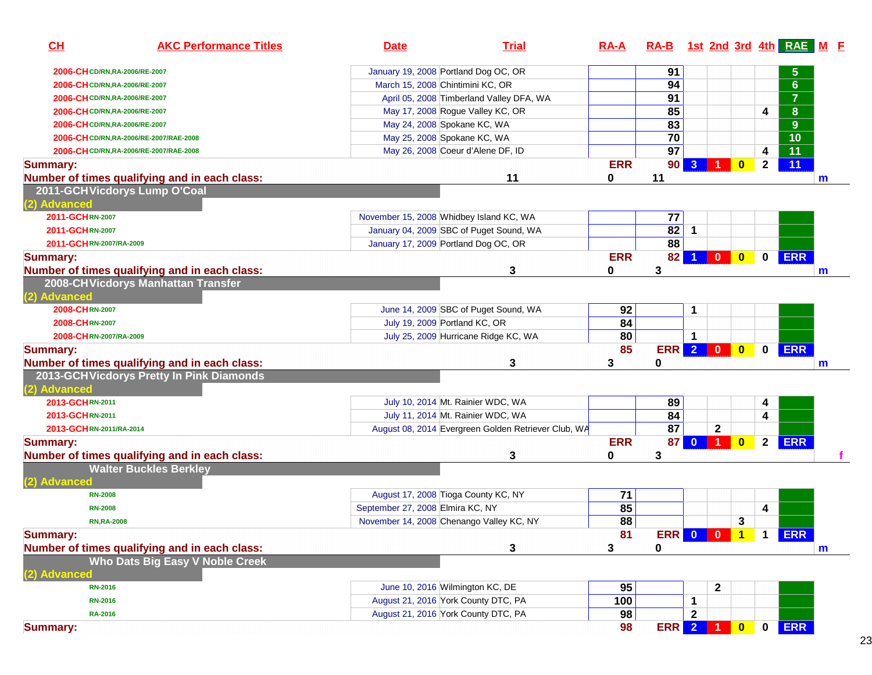| CH                              | <b>AKC Performance Titles</b>                 | <b>Date</b>                      | <b>Trial</b>                                        | $RA-A$     | RA-B 1st 2nd 3rd 4th RAE M E |                |                         |              |              |                         |              |
|---------------------------------|-----------------------------------------------|----------------------------------|-----------------------------------------------------|------------|------------------------------|----------------|-------------------------|--------------|--------------|-------------------------|--------------|
| 2006-CHCD/RN, RA-2006/RE-2007   |                                               |                                  | January 19, 2008 Portland Dog OC, OR                |            | 91                           |                |                         |              |              | $\overline{\mathbf{5}}$ |              |
| 2006-CHCD/RN, RA-2006/RE-2007   |                                               |                                  | March 15, 2008 Chintimini KC, OR                    |            | 94                           |                |                         |              |              | $\overline{6}$          |              |
| 2006-CHCD/RN, RA-2006/RE-2007   |                                               |                                  | April 05, 2008 Timberland Valley DFA, WA            |            | 91                           |                |                         |              |              | $\overline{7}$          |              |
| 2006-CHCD/RN, RA-2006/RE-2007   |                                               |                                  | May 17, 2008 Rogue Valley KC, OR                    |            | 85                           |                |                         |              | 4            | 8 <sup>°</sup>          |              |
| 2006-CHCD/RN, RA-2006/RE-2007   |                                               |                                  | May 24, 2008 Spokane KC, WA                         |            | 83                           |                |                         |              |              | 9                       |              |
|                                 | 2006-CHCD/RN, RA-2006/RE-2007/RAE-2008        |                                  | May 25, 2008 Spokane KC, WA                         |            | 70                           |                |                         |              |              | 10                      |              |
|                                 | 2006-CHCD/RN, RA-2006/RE-2007/RAE-2008        |                                  | May 26, 2008 Coeur d'Alene DF, ID                   |            | 97                           |                |                         |              | 4            | 11                      |              |
| <b>Summary:</b>                 |                                               |                                  |                                                     | <b>ERR</b> |                              | $90$ 3         |                         | $\mathbf{0}$ | $\mathbf{2}$ | 11                      |              |
|                                 | Number of times qualifying and in each class: |                                  | 11                                                  | 0          | 11                           |                |                         |              |              |                         | m            |
|                                 | 2011-GCHVicdorys Lump O'Coal                  |                                  |                                                     |            |                              |                |                         |              |              |                         |              |
| (2) Advanced<br>2011-GCHRN-2007 |                                               |                                  |                                                     |            |                              |                |                         |              |              |                         |              |
|                                 |                                               |                                  | November 15, 2008 Whidbey Island KC, WA             |            | 77<br>82                     | $\mathbf 1$    |                         |              |              |                         |              |
| 2011-GCHRN-2007                 |                                               |                                  | January 04, 2009 SBC of Puget Sound, WA             |            | 88                           |                |                         |              |              |                         |              |
| 2011-GCHRN-2007/RA-2009         |                                               |                                  | January 17, 2009 Portland Dog OC, OR                |            |                              |                |                         |              |              |                         |              |
| <b>Summary:</b>                 |                                               |                                  |                                                     | <b>ERR</b> |                              | $82$ 1         | $\overline{\mathbf{0}}$ | $\bullet$    |              | 0 ERR                   |              |
|                                 | Number of times qualifying and in each class: |                                  | 3                                                   | 0          | 3                            |                |                         |              |              |                         | m            |
|                                 | 2008-CHVicdorys Manhattan Transfer            |                                  |                                                     |            |                              |                |                         |              |              |                         |              |
| (2) Advanced                    |                                               |                                  |                                                     |            |                              |                |                         |              |              |                         |              |
| 2008-CHRN-2007                  |                                               |                                  | June 14, 2009 SBC of Puget Sound, WA                | 92         |                              | 1              |                         |              |              |                         |              |
| 2008-CHRN-2007                  |                                               |                                  | July 19, 2009 Portland KC, OR                       | 84         |                              |                |                         |              |              |                         |              |
| 2008-CHRN-2007/RA-2009          |                                               |                                  | July 25, 2009 Hurricane Ridge KC, WA                | 80         |                              | $\mathbf{1}$   |                         |              |              |                         |              |
| <b>Summary:</b>                 |                                               |                                  |                                                     | 85         | <b>ERR 2 0</b>               |                |                         | $\mathbf{0}$ |              | 0 ERR                   |              |
|                                 | Number of times qualifying and in each class: |                                  | 3                                                   | 3          | 0                            |                |                         |              |              |                         | $\mathsf{m}$ |
| (2) Advanced                    | 2013-GCH Vicdorys Pretty In Pink Diamonds     |                                  |                                                     |            |                              |                |                         |              |              |                         |              |
| 2013-GCHRN-2011                 |                                               |                                  | July 10, 2014 Mt. Rainier WDC, WA                   |            | 89                           |                |                         |              | 4            |                         |              |
| 2013-GCHRN-2011                 |                                               |                                  | July 11, 2014 Mt. Rainier WDC, WA                   |            | 84                           |                |                         |              | 4            |                         |              |
| 2013-GCHRN-2011/RA-2014         |                                               |                                  | August 08, 2014 Evergreen Golden Retriever Club, WA |            | 87                           |                | $\mathbf{2}$            |              |              |                         |              |
| <b>Summary:</b>                 |                                               |                                  |                                                     | <b>ERR</b> |                              | 87 0 1         |                         | $\bf{0}$     |              | 2 ERR                   |              |
|                                 | Number of times qualifying and in each class: |                                  | 3                                                   | 0          | 3                            |                |                         |              |              |                         |              |
| (2) Advanced                    | <b>Walter Buckles Berkley</b>                 |                                  |                                                     |            |                              |                |                         |              |              |                         |              |
| <b>RN-2008</b>                  |                                               |                                  | August 17, 2008 Tioga County KC, NY                 | 71         |                              |                |                         |              |              |                         |              |
| <b>RN-2008</b>                  |                                               | September 27, 2008 Elmira KC, NY |                                                     | 85         |                              |                |                         |              | 4            |                         |              |
| <b>RN, RA-2008</b>              |                                               |                                  | November 14, 2008 Chenango Valley KC, NY            | 88         |                              |                |                         | 3            |              |                         |              |
| <b>Summary:</b>                 |                                               |                                  |                                                     | 81         |                              |                |                         |              |              | ERR 0 0 1 1 ERR         |              |
|                                 | Number of times qualifying and in each class: |                                  | 3                                                   | 3          | 0                            |                |                         |              |              |                         | m            |
|                                 | <b>Who Dats Big Easy V Noble Creek</b>        |                                  |                                                     |            |                              |                |                         |              |              |                         |              |
| (2) Advanced                    |                                               |                                  |                                                     |            |                              |                |                         |              |              |                         |              |
| <b>RN-2016</b>                  |                                               |                                  | June 10, 2016 Wilmington KC, DE                     | 95         |                              |                | $\mathbf{2}$            |              |              |                         |              |
| <b>RN-2016</b>                  |                                               |                                  | August 21, 2016 York County DTC, PA                 | 100        |                              | 1              |                         |              |              |                         |              |
| <b>RA-2016</b>                  |                                               |                                  | August 21, 2016 York County DTC, PA                 | 98         |                              | $\overline{2}$ |                         |              |              |                         |              |
| <b>Summary:</b>                 |                                               |                                  |                                                     | 98         | <b>ERR</b> 2 1               |                |                         | $\mathbf{0}$ |              | $0$ ERR                 |              |
|                                 |                                               |                                  |                                                     |            |                              |                |                         |              |              |                         |              |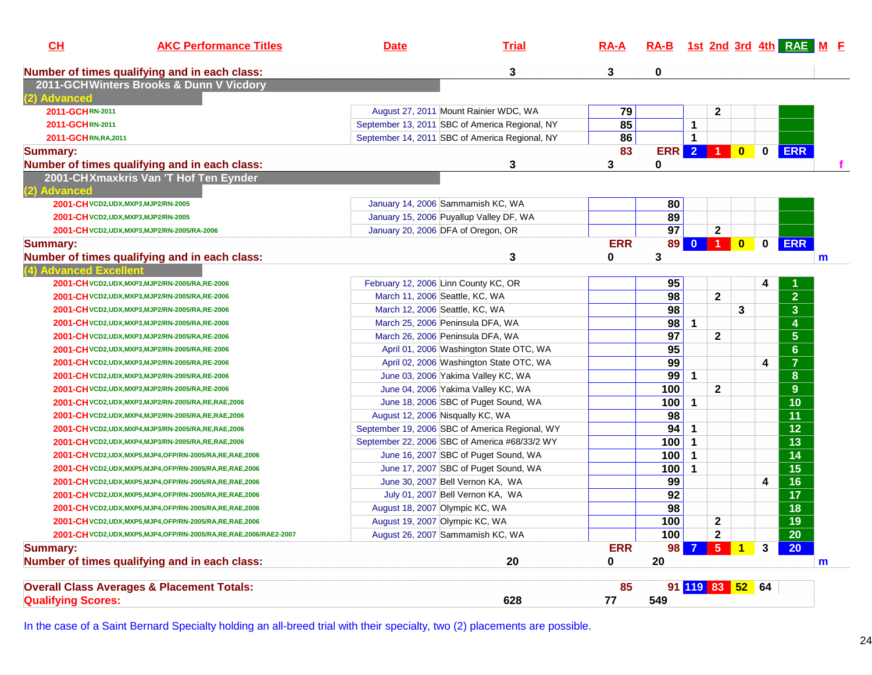| CH                                            | <b>AKC Performance Titles</b>                                          | <b>Date</b> | <b>Trial</b>                                   | $RA-A$     | RA-B 1st 2nd 3rd 4th RAE M E |                      |                |                         |             |                         |   |
|-----------------------------------------------|------------------------------------------------------------------------|-------------|------------------------------------------------|------------|------------------------------|----------------------|----------------|-------------------------|-------------|-------------------------|---|
|                                               | Number of times qualifying and in each class:                          |             | 3                                              | 3          | 0                            |                      |                |                         |             |                         |   |
|                                               | 2011-GCHWinters Brooks & Dunn V Vicdory                                |             |                                                |            |                              |                      |                |                         |             |                         |   |
| (2) Advanced                                  |                                                                        |             |                                                |            |                              |                      |                |                         |             |                         |   |
| 2011-GCHRN-2011                               |                                                                        |             | August 27, 2011 Mount Rainier WDC, WA          | 79         |                              |                      | $\mathbf{2}$   |                         |             |                         |   |
| 2011-GCHRN-2011                               |                                                                        |             | September 13, 2011 SBC of America Regional, NY | 85         |                              | 1                    |                |                         |             |                         |   |
| 2011-GCHRN, RA, 2011                          |                                                                        |             | September 14, 2011 SBC of America Regional, NY | 86         |                              | $\blacktriangleleft$ |                |                         |             |                         |   |
| <b>Summary:</b>                               |                                                                        |             |                                                | 83         | ERR <sub>2</sub>             |                      | -1             | $\mathbf{0}$            | $\mathbf 0$ | <b>ERR</b>              |   |
|                                               | Number of times qualifying and in each class:                          |             | 3                                              | 3          | 0                            |                      |                |                         |             |                         | f |
| (2) Advanced                                  | 2001-CHXmaxkris Van 'T Hof Ten Eynder                                  |             |                                                |            |                              |                      |                |                         |             |                         |   |
|                                               | 2001-CH VCD2, UDX, MXP3, MJP2/RN-2005                                  |             | January 14, 2006 Sammamish KC, WA              |            | 80                           |                      |                |                         |             |                         |   |
|                                               | 2001-CH VCD2, UDX, MXP3, MJP2/RN-2005                                  |             | January 15, 2006 Puyallup Valley DF, WA        |            | 89                           |                      |                |                         |             |                         |   |
|                                               | 2001-CH VCD2, UDX, MXP3, MJP2/RN-2005/RA-2006                          |             | January 20, 2006 DFA of Oregon, OR             |            | 97                           |                      | $\mathbf{2}$   |                         |             |                         |   |
| <b>Summary:</b>                               |                                                                        |             |                                                | <b>ERR</b> |                              |                      | 89 0 1         | $\overline{\mathbf{0}}$ | $\mathbf 0$ | <b>ERR</b>              |   |
|                                               | Number of times qualifying and in each class:                          |             | 3                                              | 0          | 3                            |                      |                |                         |             |                         | m |
| (4) Advanced Excellent                        |                                                                        |             |                                                |            |                              |                      |                |                         |             |                         |   |
|                                               | 2001-CH VCD2, UDX, MXP3, MJP2/RN-2005/RA, RE-2006                      |             | February 12, 2006 Linn County KC, OR           |            | 95                           |                      |                |                         |             |                         |   |
|                                               | 2001-CH VCD2, UDX, MXP3, MJP2/RN-2005/RA, RE-2006                      |             | March 11, 2006 Seattle, KC, WA                 |            | 98                           |                      | $\mathbf{2}$   |                         |             | $\overline{2}$          |   |
|                                               | 2001-CH VCD2, UDX, MXP3, MJP2/RN-2005/RA, RE-2006                      |             | March 12, 2006 Seattle, KC, WA                 |            | 98                           |                      |                | 3                       |             | $\overline{3}$          |   |
|                                               | 2001-CH VCD2, UDX, MXP3, MJP2/RN-2005/RA, RE-2006                      |             | March 25, 2006 Peninsula DFA, WA               |            | 98                           | $\overline{1}$       |                |                         |             | $\overline{\mathbf{4}}$ |   |
|                                               | 2001-CH VCD2, UDX, MXP3, MJP2/RN-2005/RA, RE-2006                      |             | March 26, 2006 Peninsula DFA, WA               |            | $\overline{97}$              |                      | $\mathbf{2}$   |                         |             | 5 <sub>5</sub>          |   |
|                                               | 2001-CH VCD2, UDX, MXP3, MJP2/RN-2005/RA, RE-2006                      |             | April 01, 2006 Washington State OTC, WA        |            | 95                           |                      |                |                         |             | $\overline{6}$          |   |
|                                               | 2001-CH VCD2, UDX, MXP3, MJP2/RN-2005/RA, RE-2006                      |             | April 02, 2006 Washington State OTC, WA        |            | 99                           |                      |                |                         | 4           | $\overline{7}$          |   |
|                                               | 2001-CH VCD2, UDX, MXP3, MJP2/RN-2005/RA, RE-2006                      |             | June 03, 2006 Yakima Valley KC, WA             |            | 99                           | $\mathbf{1}$         |                |                         |             | 8                       |   |
|                                               | 2001-CH VCD2, UDX, MXP3, MJP2/RN-2005/RA, RE-2006                      |             | June 04, 2006 Yakima Valley KC, WA             |            | 100                          |                      | $\mathbf{2}$   |                         |             | 9 <sup>°</sup>          |   |
|                                               | 2001-CH VCD2, UDX, MXP3, MJP2/RN-2005/RA, RE, RAE, 2006                |             | June 18, 2006 SBC of Puget Sound, WA           |            | 100                          | $\overline{1}$       |                |                         |             | $\overline{10}$         |   |
|                                               | 2001-CH VCD2, UDX, MXP4, MJP2/RN-2005/RA, RE, RAE, 2006                |             | August 12, 2006 Nisqually KC, WA               |            | 98                           |                      |                |                         |             | 11                      |   |
|                                               | 2001-CH VCD2, UDX, MXP4, MJP3/RN-2005/RA, RE, RAE, 2006                |             | September 19, 2006 SBC of America Regional, WY |            | 94                           | $\mathbf{1}$         |                |                         |             | $\overline{12}$         |   |
|                                               | 2001-CH VCD2, UDX, MXP4, MJP3/RN-2005/RA, RE, RAE, 2006                |             | September 22, 2006 SBC of America #68/33/2 WY  |            | 100                          | $\mathbf{1}$         |                |                         |             | 13                      |   |
|                                               | 2001-CH VCD2, UDX, MXP5, MJP4, OFP/RN-2005/RA, RE, RAE, 2006           |             | June 16, 2007 SBC of Puget Sound, WA           |            | 100                          | $\mathbf{1}$         |                |                         |             | $\overline{14}$         |   |
|                                               | 2001-CH VCD2, UDX, MXP5, MJP4, OFP/RN-2005/RA, RE, RAE, 2006           |             | June 17, 2007 SBC of Puget Sound, WA           |            | 100                          | $\mathbf{1}$         |                |                         |             | $\overline{15}$         |   |
|                                               | 2001-CH VCD2, UDX, MXP5, MJP4, OFP/RN-2005/RA, RE, RAE, 2006           |             | June 30, 2007 Bell Vernon KA, WA               |            | 99                           |                      |                |                         | 4           | $\overline{16}$         |   |
|                                               | 2001-CH VCD2, UDX, MXP5, MJP4, OFP/RN-2005/RA, RE, RAE, 2006           |             | July 01, 2007 Bell Vernon KA, WA               |            | 92                           |                      |                |                         |             | 17                      |   |
|                                               | 2001-CH VCD2, UDX, MXP5, MJP4, OFP/RN-2005/RA, RE, RAE, 2006           |             | August 18, 2007 Olympic KC, WA                 |            | $\overline{98}$              |                      |                |                         |             | $\overline{18}$         |   |
|                                               | 2001-CH VCD2, UDX, MXP5, MJP4, OFP/RN-2005/RA, RE, RAE, 2006           |             | August 19, 2007 Olympic KC, WA                 |            | 100                          |                      | $\mathbf{2}$   |                         |             | $\overline{19}$         |   |
|                                               | 2001-CH VCD2, UDX, MXP5, MJP4, OFP/RN-2005/RA, RE, RAE, 2006/RAE2-2007 |             | August 26, 2007 Sammamish KC, WA               |            | 100                          |                      | $\overline{2}$ |                         |             | $\overline{20}$         |   |
| <b>Summary:</b>                               |                                                                        |             |                                                | <b>ERR</b> | 98 <sup>°</sup>              | 7 <sup>1</sup>       | $5\vert 1$     |                         | 3           | 20                      |   |
| Number of times qualifying and in each class: |                                                                        |             | 20                                             | $\bf{0}$   | 20                           |                      |                |                         |             |                         | m |

**Qualifying Scores:628 77 549** 

In the case of a Saint Bernard Specialty holding an all-breed trial with their specialty, two (2) placements are possible.